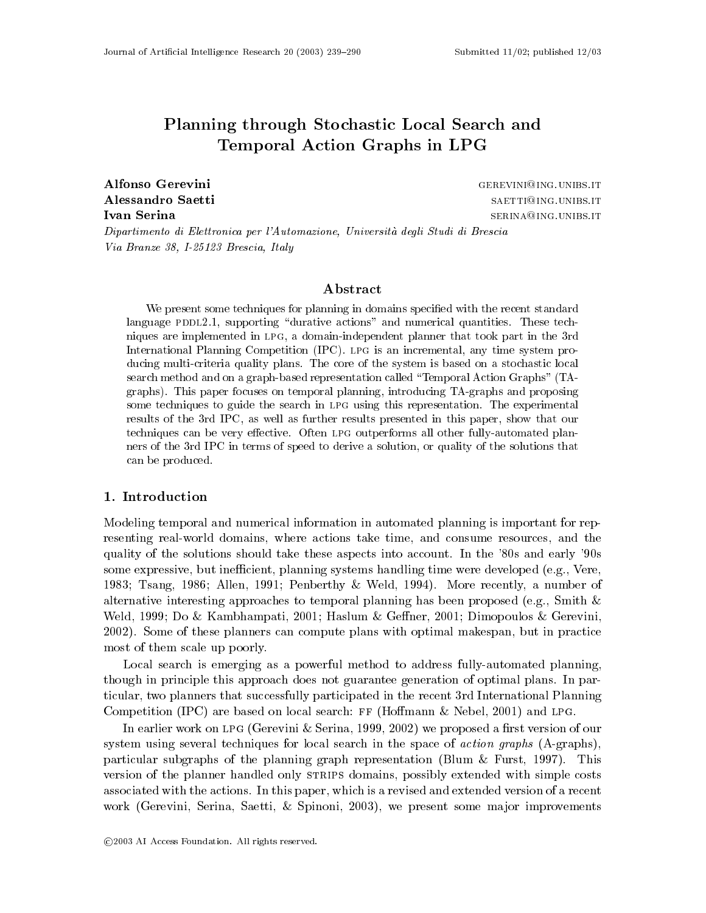# Planning through Stochastic Local Search and **Temporal Action Graphs in LPG**

Alfonso Gerevini Alessandro Saetti Ivan Serina

GEREVINI@ING.UNIBS.IT SAETTI@ING.UNIBS.IT SERINA@ING.UNIBS.IT

Dipartimento di Elettronica per l'Automazione, Università degli Studi di Brescia Via Branze 38, I-25123 Brescia, Italy

#### Abstract

We present some techniques for planning in domains specified with the recent standard language PDDL2.1, supporting "durative actions" and numerical quantities. These techniques are implemented in LPG, a domain-independent planner that took part in the 3rd International Planning Competition (IPC). LPG is an incremental, any time system producing multi-criteria quality plans. The core of the system is based on a stochastic local search method and on a graph-based representation called "Temporal Action Graphs" (TAgraphs). This paper focuses on temporal planning, introducing TA-graphs and proposing some techniques to guide the search in LPG using this representation. The experimental results of the 3rd IPC, as well as further results presented in this paper, show that our techniques can be very effective. Often LPG outperforms all other fully-automated planners of the 3rd IPC in terms of speed to derive a solution, or quality of the solutions that can be produced.

### 1. Introduction

Modeling temporal and numerical information in automated planning is important for representing real-world domains, where actions take time, and consume resources, and the quality of the solutions should take these aspects into account. In the '80s and early '90s some expressive, but inefficient, planning systems handling time were developed (e.g., Vere, 1983; Tsang, 1986; Allen, 1991; Penberthy & Weld, 1994). More recently, a number of alternative interesting approaches to temporal planning has been proposed (e.g., Smith  $\&$ Weld, 1999; Do & Kambhampati, 2001; Haslum & Geffner, 2001; Dimopoulos & Gerevini, 2002). Some of these planners can compute plans with optimal makespan, but in practice most of them scale up poorly.

Local search is emerging as a powerful method to address fully-automated planning, though in principle this approach does not guarantee generation of optimal plans. In particular, two planners that successfully participated in the recent 3rd International Planning Competition (IPC) are based on local search:  $FF$  (Hoffmann & Nebel, 2001) and LPG.

In earlier work on LPG (Gerevini & Serina, 1999, 2002) we proposed a first version of our system using several techniques for local search in the space of *action graphs* (A-graphs), particular subgraphs of the planning graph representation (Blum  $\&$  Furst, 1997). This version of the planner handled only STRIPS domains, possibly extended with simple costs associated with the actions. In this paper, which is a revised and extended version of a recent work (Gerevini, Serina, Saetti, & Spinoni, 2003), we present some major improvements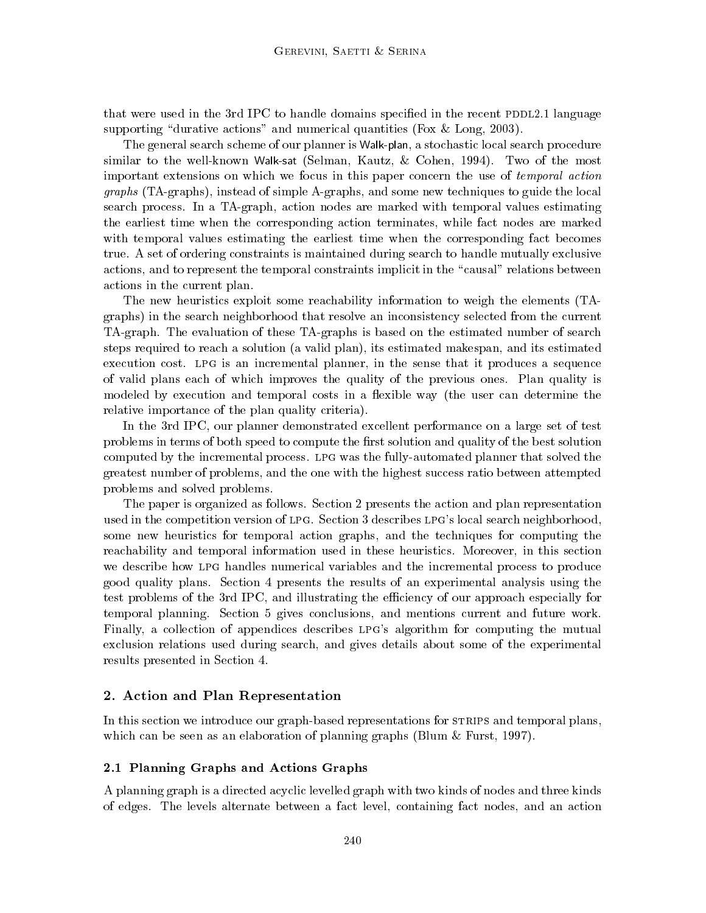that were used in the 3rd IPC to handle domains specified in the recent PDDL2.1 language supporting "durative actions" and numerical quantities (Fox  $\&$  Long, 2003).

The general search scheme of our planner is Walk-plan, a stochastic local search procedure similar to the well-known Walk-sat (Selman, Kautz, & Cohen, 1994). Two of the most important extensions on which we focus in this paper concern the use of *temporal action graphs* (TA-graphs), instead of simple A-graphs, and some new techniques to guide the local search process. In a TA-graph, action nodes are marked with temporal values estimating the earliest time when the corresponding action terminates, while fact nodes are marked with temporal values estimating the earliest time when the corresponding fact becomes true. A set of ordering constraints is maintained during search to handle mutually exclusive actions, and to represent the temporal constraints implicit in the "causal" relations between actions in the current plan.

The new heuristics exploit some reachability information to weigh the elements (TAgraphs) in the search neighborhood that resolve an inconsistency selected from the current TA-graph. The evaluation of these TA-graphs is based on the estimated number of search steps required to reach a solution (a valid plan), its estimated makespan, and its estimated execution cost. LPG is an incremental planner, in the sense that it produces a sequence of valid plans each of which improves the quality of the previous ones. Plan quality is modeled by execution and temporal costs in a flexible way (the user can determine the relative importance of the plan quality criteria).

In the 3rd IPC, our planner demonstrated excellent performance on a large set of test problems in terms of both speed to compute the first solution and quality of the best solution computed by the incremental process. LPG was the fully-automated planner that solved the greatest number of problems, and the one with the highest success ratio between attempted problems and solved problems.

The paper is organized as follows. Section 2 presents the action and plan representation used in the competition version of LPG. Section 3 describes LPG's local search neighborhood, some new heuristics for temporal action graphs, and the techniques for computing the reachability and temporal information used in these heuristics. Moreover, in this section we describe how LPG handles numerical variables and the incremental process to produce good quality plans. Section 4 presents the results of an experimental analysis using the test problems of the 3rd IPC, and illustrating the efficiency of our approach especially for temporal planning. Section 5 gives conclusions, and mentions current and future work. Finally, a collection of appendices describes LPG's algorithm for computing the mutual exclusion relations used during search, and gives details about some of the experimental results presented in Section 4.

#### 2. Action and Plan Representation

In this section we introduce our graph-based representations for STRIPS and temporal plans, which can be seen as an elaboration of planning graphs (Blum & Furst, 1997).

# 2.1 Planning Graphs and Actions Graphs

A planning graph is a directed acyclic levelled graph with two kinds of nodes and three kinds of edges. The levels alternate between a fact level, containing fact nodes, and an action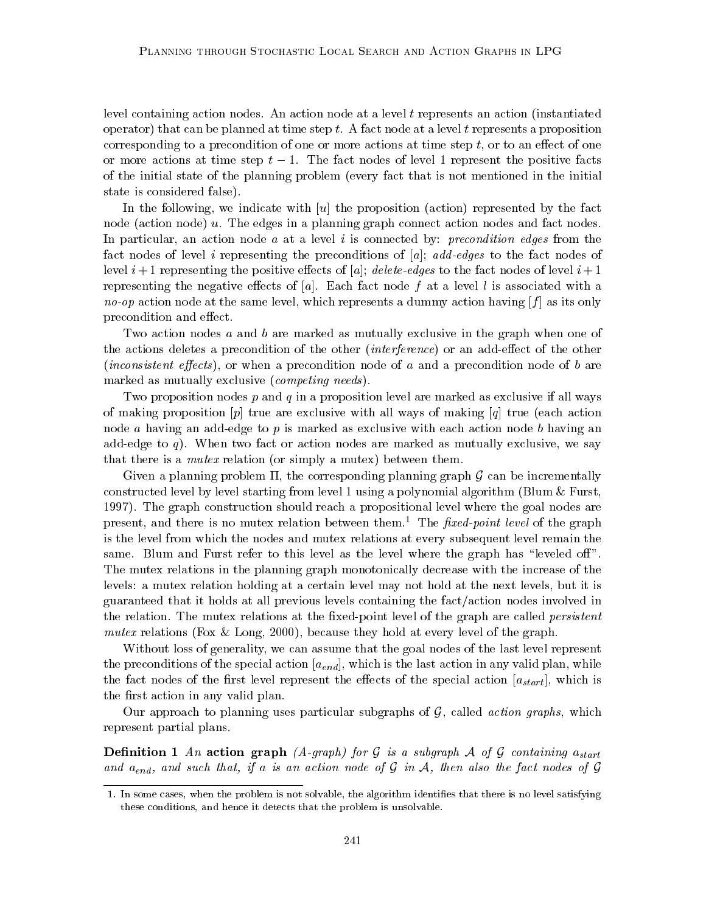level containing action nodes. An action node at a level t represents an action (instantiated operator) that can be planned at time step  $t$ . A fact node at a level  $t$  represents a proposition corresponding to a precondition of one or more actions at time step  $t$ , or to an effect of one or more actions at time step  $t-1$ . The fact nodes of level 1 represent the positive facts of the initial state of the planning problem (every fact that is not mentioned in the initial state is considered false).

In the following, we indicate with  $[u]$  the proposition (action) represented by the fact node (action node)  $u$ . The edges in a planning graph connect action nodes and fact nodes. In particular, an action node  $a$  at a level i is connected by: precondition edges from the fact nodes of level i representing the preconditions of [a]; add-edges to the fact nodes of level  $i+1$  representing the positive effects of [a]; delete-edges to the fact nodes of level  $i+1$ representing the negative effects of [a]. Each fact node f at a level l is associated with a no-op action node at the same level, which represents a dummy action having  $[f]$  as its only precondition and effect.

Two action nodes  $a$  and  $b$  are marked as mutually exclusive in the graph when one of the actions deletes a precondition of the other *(interference)* or an add-effect of the other *(inconsistent effects)*, or when a precondition node of a and a precondition node of b are marked as mutually exclusive (*competing needs*).

Two proposition nodes p and q in a proposition level are marked as exclusive if all ways of making proposition  $[p]$  true are exclusive with all ways of making  $[q]$  true (each action node a having an add-edge to  $p$  is marked as exclusive with each action node b having an add-edge to q). When two fact or action nodes are marked as mutually exclusive, we say that there is a *mutex* relation (or simply a mutex) between them.

Given a planning problem  $\Pi$ , the corresponding planning graph  $\mathcal G$  can be incrementally constructed level by level starting from level 1 using a polynomial algorithm (Blum & Furst, 1997). The graph construction should reach a propositional level where the goal nodes are present, and there is no mutex relation between them.<sup>1</sup> The fixed-point level of the graph is the level from which the nodes and mutex relations at every subsequent level remain the same. Blum and Furst refer to this level as the level where the graph has "leveled off". The mutex relations in the planning graph monotonically decrease with the increase of the levels: a mutex relation holding at a certain level may not hold at the next levels, but it is guaranteed that it holds at all previous levels containing the fact/action nodes involved in the relation. The mutex relations at the fixed-point level of the graph are called *persistent* mutex relations (Fox & Long, 2000), because they hold at every level of the graph.

Without loss of generality, we can assume that the goal nodes of the last level represent the preconditions of the special action  $[a_{end}]$ , which is the last action in any valid plan, while the fact nodes of the first level represent the effects of the special action  $[a_{start}]$ , which is the first action in any valid plan.

Our approach to planning uses particular subgraphs of  $G$ , called *action graphs*, which represent partial plans.

**Definition 1** An action graph (A-graph) for G is a subgraph A of G containing  $a_{start}$ and  $a_{end}$ , and such that, if a is an action node of  $G$  in  $A$ , then also the fact nodes of  $G$ 

<sup>1.</sup> In some cases, when the problem is not solvable, the algorithm identifies that there is no level satisfying these conditions, and hence it detects that the problem is unsolvable.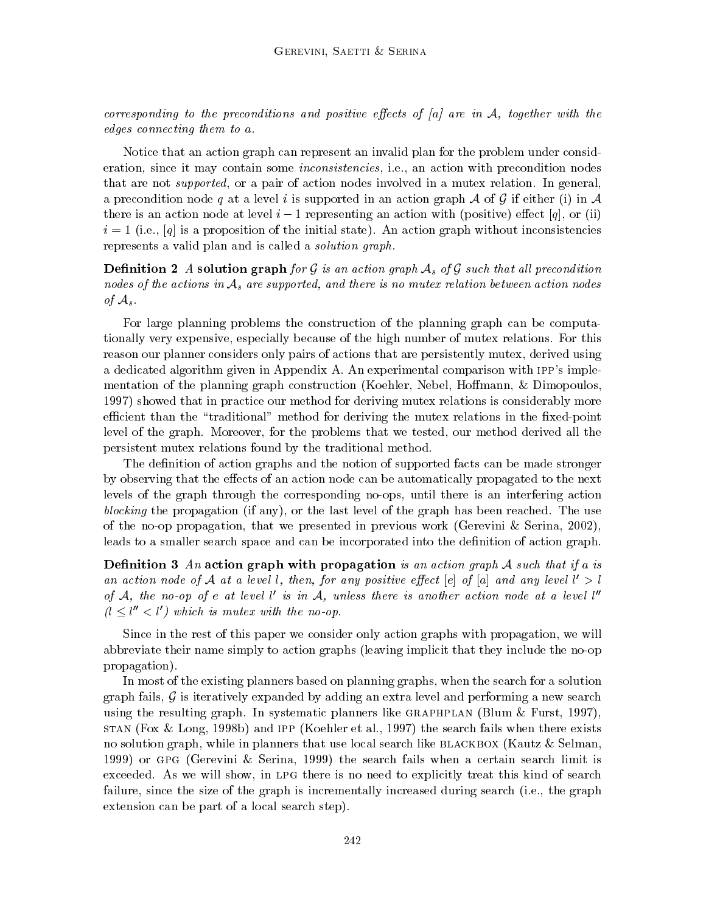corresponding to the preconditions and positive effects of  $[a]$  are in  $A$ , together with the edges connecting them to a.

Notice that an action graph can represent an invalid plan for the problem under consideration, since it may contain some *inconsistencies*, i.e., an action with precondition nodes that are not *supported*, or a pair of action nodes involved in a mutex relation. In general, a precondition node q at a level i is supported in an action graph  $A$  of  $G$  if either (i) in  $A$ there is an action node at level  $i-1$  representing an action with (positive) effect [q], or (ii)  $i = 1$  (i.e., [q] is a proposition of the initial state). An action graph without inconsistencies represents a valid plan and is called a *solution* graph.

**Definition 2** A solution graph for G is an action graph  $A_s$  of G such that all precondition nodes of the actions in  $A_s$  are supported, and there is no mutex relation between action nodes of  $\mathcal{A}_s$ .

For large planning problems the construction of the planning graph can be computationally very expensive, especially because of the high number of mutex relations. For this reason our planner considers only pairs of actions that are persistently mutex, derived using a dedicated algorithm given in Appendix A. An experimental comparison with IPP's implementation of the planning graph construction (Koehler, Nebel, Hoffmann, & Dimopoulos, 1997) showed that in practice our method for deriving mutex relations is considerably more efficient than the "traditional" method for deriving the mutex relations in the fixed-point level of the graph. Moreover, for the problems that we tested, our method derived all the persistent mutex relations found by the traditional method.

The definition of action graphs and the notion of supported facts can be made stronger by observing that the effects of an action node can be automatically propagated to the next levels of the graph through the corresponding no-ops, until there is an interfering action *blocking* the propagation (if any), or the last level of the graph has been reached. The use of the no-op propagation, that we presented in previous work (Gerevini & Serina, 2002), leads to a smaller search space and can be incorporated into the definition of action graph.

**Definition 3** An action graph with propagation is an action graph  $\mathcal A$  such that if a is an action node of A at a level l, then, for any positive effect [e] of [a] and any level  $l' > l$ of  $A$ , the no-op of e at level  $l'$  is in  $A$ , unless there is another action node at a level  $l''$  $(l \leq l'' \leq l')$  which is mutex with the no-op.

Since in the rest of this paper we consider only action graphs with propagation, we will abbreviate their name simply to action graphs (leaving implicit that they include the no-op propagation).

In most of the existing planners based on planning graphs, when the search for a solution graph fails,  $G$  is iteratively expanded by adding an extra level and performing a new search using the resulting graph. In systematic planners like GRAPHPLAN (Blum  $\&$  Furst, 1997), STAN (Fox & Long, 1998b) and IPP (Koehler et al., 1997) the search fails when there exists no solution graph, while in planners that use local search like BLACKBOX (Kautz & Selman, 1999) or GPG (Gerevini & Serina, 1999) the search fails when a certain search limit is exceeded. As we will show, in LPG there is no need to explicitly treat this kind of search failure, since the size of the graph is incrementally increased during search (i.e., the graph extension can be part of a local search step).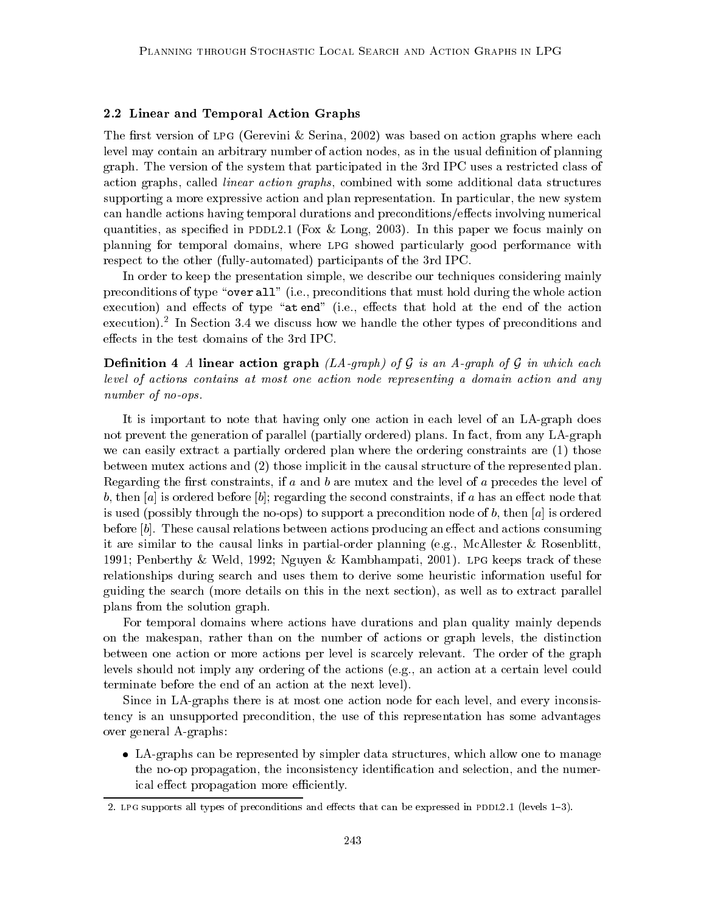### 2.2 Linear and Temporal Action Graphs

The first version of LPG (Gerevini & Serina, 2002) was based on action graphs where each level may contain an arbitrary number of action nodes, as in the usual definition of planning graph. The version of the system that participated in the 3rd IPC uses a restricted class of action graphs, called *linear action graphs*, combined with some additional data structures supporting a more expressive action and plan representation. In particular, the new system can handle actions having temporal durations and preconditions/effects involving numerical quantities, as specified in PDDL2.1 (Fox & Long, 2003). In this paper we focus mainly on planning for temporal domains, where LPG showed particularly good performance with respect to the other (fully-automated) participants of the 3rd IPC.

In order to keep the presentation simple, we describe our techniques considering mainly preconditions of type "over all" (i.e., preconditions that must hold during the whole action execution) and effects of type "at end" (i.e., effects that hold at the end of the action execution).<sup>2</sup> In Section 3.4 we discuss how we handle the other types of preconditions and effects in the test domains of the 3rd IPC.

**Definition 4** A linear action graph  $(LA\text{-}graph)$  of G is an A-graph of G in which each level of actions contains at most one action node representing a domain action and any number of no-ops.

It is important to note that having only one action in each level of an LA-graph does not prevent the generation of parallel (partially ordered) plans. In fact, from any LA-graph we can easily extract a partially ordered plan where the ordering constraints are (1) those between mutex actions and (2) those implicit in the causal structure of the represented plan. Regarding the first constraints, if  $a$  and  $b$  are mutex and the level of  $a$  precedes the level of b, then [a] is ordered before [b]; regarding the second constraints, if a has an effect node that is used (possibly through the no-ops) to support a precondition node of  $b$ , then [a] is ordered before  $[b]$ . These causal relations between actions producing an effect and actions consuming it are similar to the causal links in partial-order planning (e.g., McAllester & Rosenblitt, 1991; Penberthy & Weld, 1992; Nguyen & Kambhampati, 2001). LPG keeps track of these relationships during search and uses them to derive some heuristic information useful for guiding the search (more details on this in the next section), as well as to extract parallel plans from the solution graph.

For temporal domains where actions have durations and plan quality mainly depends on the makespan, rather than on the number of actions or graph levels, the distinction between one action or more actions per level is scarcely relevant. The order of the graph levels should not imply any ordering of the actions (e.g., an action at a certain level could terminate before the end of an action at the next level).

Since in LA-graphs there is at most one action node for each level, and every inconsistency is an unsupported precondition, the use of this representation has some advantages over general A-graphs:

• LA-graphs can be represented by simpler data structures, which allow one to manage the no-op propagation, the inconsistency identification and selection, and the numerical effect propagation more efficiently.

<sup>2.</sup> LPG supports all types of preconditions and effects that can be expressed in PDDL2.1 (levels 1-3).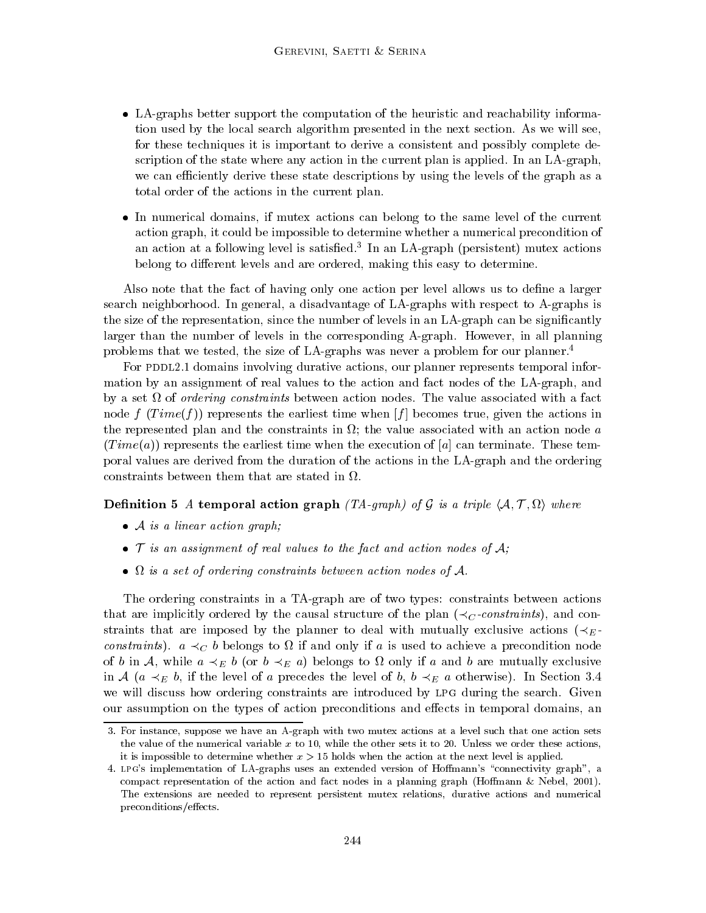- LA-graphs better support the computation of the heuristic and reachability information used by the local search algorithm presented in the next section. As we will see, for these techniques it is important to derive a consistent and possibly complete description of the state where any action in the current plan is applied. In an LA-graph. we can efficiently derive these state descriptions by using the levels of the graph as a total order of the actions in the current plan.
- In numerical domains, if mutex actions can belong to the same level of the current action graph, it could be impossible to determine whether a numerical precondition of an action at a following level is satisfied.<sup>3</sup> In an LA-graph (persistent) mutex actions belong to different levels and are ordered, making this easy to determine.

Also note that the fact of having only one action per level allows us to define a larger search neighborhood. In general, a disadvantage of LA-graphs with respect to A-graphs is the size of the representation, since the number of levels in an LA-graph can be significantly larger than the number of levels in the corresponding A-graph. However, in all planning problems that we tested, the size of LA-graphs was never a problem for our planner.<sup>4</sup>

For PDDL2.1 domains involving durative actions, our planner represents temporal information by an assignment of real values to the action and fact nodes of the LA-graph, and by a set  $\Omega$  of *ordering constraints* between action nodes. The value associated with a fact node f  $(Time(f))$  represents the earliest time when [f] becomes true, given the actions in the represented plan and the constraints in  $\Omega$ ; the value associated with an action node a  $(Time(a))$  represents the earliest time when the execution of [a] can terminate. These temporal values are derived from the duration of the actions in the LA-graph and the ordering constraints between them that are stated in  $\Omega$ .

### **Definition 5** A temporal action graph (TA-graph) of G is a triple  $\langle A, \mathcal{T}, \Omega \rangle$  where

- $\bullet$  A is a linear action graph;
- $\mathcal T$  is an assignment of real values to the fact and action nodes of  $\mathcal A$ ;
- $\Omega$  is a set of ordering constraints between action nodes of A.

The ordering constraints in a TA-graph are of two types: constraints between actions that are implicitly ordered by the causal structure of the plan  $(\prec_C\text{-}constraints)$ , and constraints that are imposed by the planner to deal with mutually exclusive actions ( $\prec_{E}$ constraints).  $a \prec_C b$  belongs to  $\Omega$  if and only if a is used to achieve a precondition node of b in A, while  $a \prec_E b$  (or  $b \prec_E a$ ) belongs to  $\Omega$  only if a and b are mutually exclusive in A  $(a \prec_E b)$ , if the level of a precedes the level of b,  $b \prec_E a$  otherwise). In Section 3.4 we will discuss how ordering constraints are introduced by LPG during the search. Given our assumption on the types of action preconditions and effects in temporal domains, an

<sup>3.</sup> For instance, suppose we have an A-graph with two mutex actions at a level such that one action sets the value of the numerical variable  $x$  to 10, while the other sets it to 20. Unless we order these actions, it is impossible to determine whether  $x > 15$  holds when the action at the next level is applied.

<sup>4.</sup> LPG's implementation of LA-graphs uses an extended version of Hoffmann's "connectivity graph", a compact representation of the action and fact nodes in a planning graph (Hoffmann & Nebel, 2001). The extensions are needed to represent persistent mutex relations, durative actions and numerical preconditions/effects.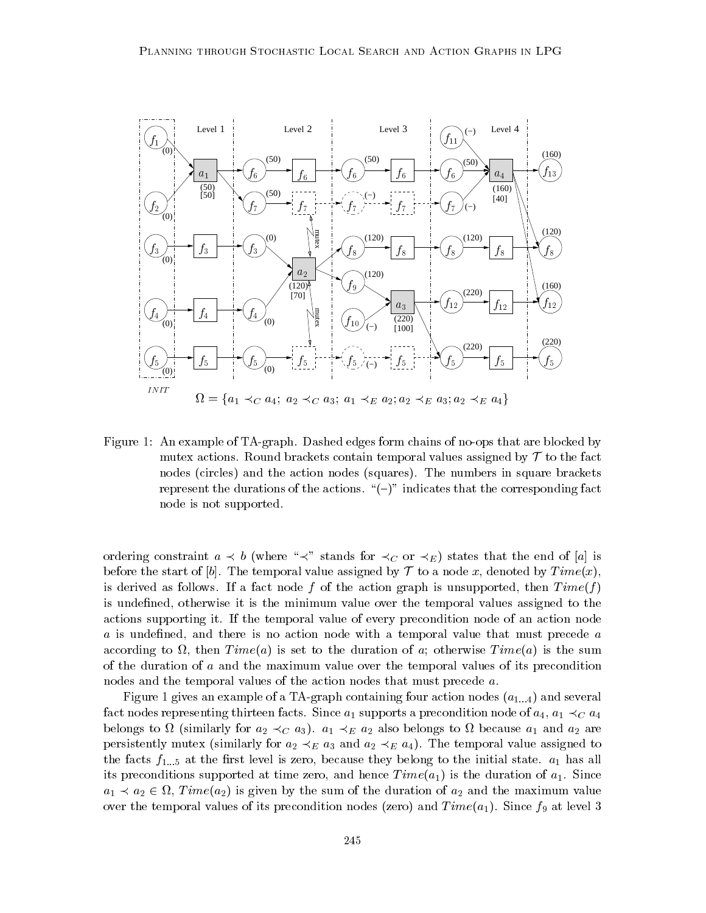

Figure 1: An example of TA-graph. Dashed edges form chains of no-ops that are blocked by mutex actions. Round brackets contain temporal values assigned by  $\mathcal T$  to the fact nodes (circles) and the action nodes (squares). The numbers in square brackets represent the durations of the actions. " $(-)$ " indicates that the corresponding fact node is not supported.

ordering constraint  $a \prec b$  (where " $\prec$ " stands for  $\prec_C$  or  $\prec_E$ ) states that the end of [a] is before the start of [b]. The temporal value assigned by  $\mathcal T$  to a node x, denoted by  $Time(x)$ , is derived as follows. If a fact node f of the action graph is unsupported, then  $Time(f)$ is undefined, otherwise it is the minimum value over the temporal values assigned to the actions supporting it. If the temporal value of every precondition node of an action node a is undefined, and there is no action node with a temporal value that must precede a according to  $\Omega$ , then  $Time(a)$  is set to the duration of a; otherwise  $Time(a)$  is the sum of the duration of  $a$  and the maximum value over the temporal values of its precondition nodes and the temporal values of the action nodes that must precede a.

Figure 1 gives an example of a TA-graph containing four action nodes  $(a_{1...4})$  and several fact nodes representing thirteen facts. Since  $a_1$  supports a precondition node of  $a_4$ ,  $a_1 \prec_C a_4$ belongs to  $\Omega$  (similarly for  $a_2 \prec_C a_3$ ).  $a_1 \prec_E a_2$  also belongs to  $\Omega$  because  $a_1$  and  $a_2$  are persistently mutex (similarly for  $a_2 \prec_E a_3$  and  $a_2 \prec_E a_4$ ). The temporal value assigned to the facts  $f_{1...5}$  at the first level is zero, because they belong to the initial state.  $a_1$  has all its preconditions supported at time zero, and hence  $Time(a_1)$  is the duration of  $a_1$ . Since  $a_1 \prec a_2 \in \Omega$ ,  $Time(a_2)$  is given by the sum of the duration of  $a_2$  and the maximum value over the temporal values of its precondition nodes (zero) and  $Time(a_1)$ . Since  $f_9$  at level 3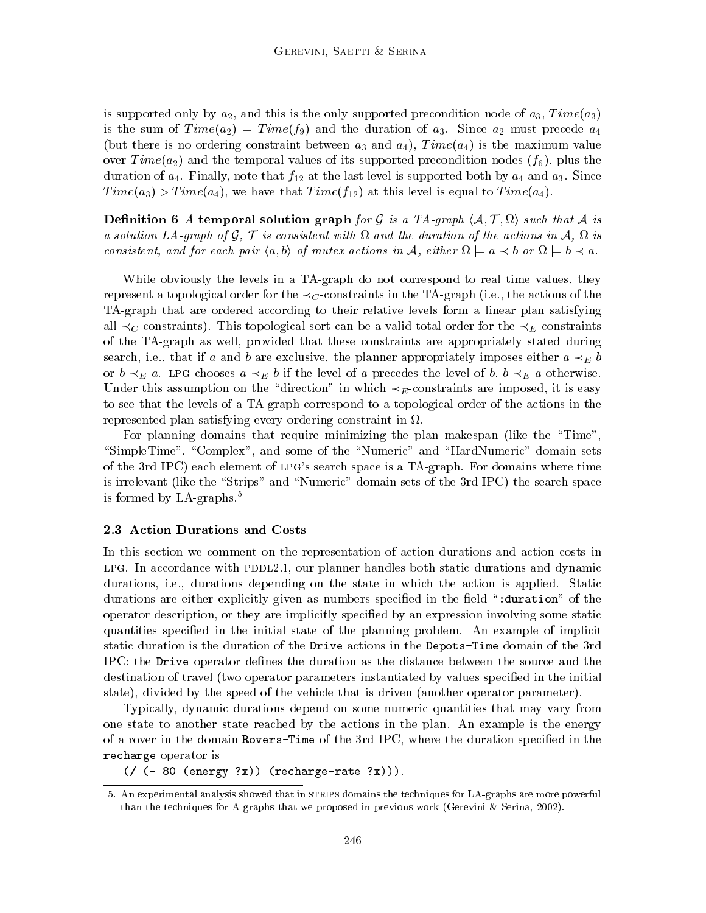is supported only by  $a_2$ , and this is the only supported precondition node of  $a_3$ ,  $Time(a_3)$ is the sum of  $Time(a_2) = Time(f_9)$  and the duration of  $a_3$ . Since  $a_2$  must precede  $a_4$ (but there is no ordering constraint between  $a_3$  and  $a_4$ ),  $Time(a_4)$  is the maximum value over  $Time(a_2)$  and the temporal values of its supported precondition nodes  $(f_6)$ , plus the duration of  $a_4$ . Finally, note that  $f_{12}$  at the last level is supported both by  $a_4$  and  $a_3$ . Since  $Time(a_3) > Time(a_4)$ , we have that  $Time(f_{12})$  at this level is equal to  $Time(a_4)$ .

**Definition 6** A temporal solution graph for G is a TA-graph  $(A, \mathcal{T}, \Omega)$  such that A is a solution LA-graph of G,  $\mathcal T$  is consistent with  $\Omega$  and the duration of the actions in  $\mathcal A, \Omega$  is consistent, and for each pair  $\langle a,b \rangle$  of mutex actions in A, either  $\Omega \models a \prec b$  or  $\Omega \models b \prec a$ .

While obviously the levels in a TA-graph do not correspond to real time values, they represent a topological order for the  $\prec_C$ -constraints in the TA-graph (i.e., the actions of the TA-graph that are ordered according to their relative levels form a linear plan satisfying all  $\prec_C$ -constraints). This topological sort can be a valid total order for the  $\prec_E$ -constraints of the TA-graph as well, provided that these constraints are appropriately stated during search, i.e., that if a and b are exclusive, the planner appropriately imposes either  $a \prec_E b$ or  $b \prec_E a$ . LPG chooses  $a \prec_E b$  if the level of a precedes the level of b,  $b \prec_E a$  otherwise. Under this assumption on the "direction" in which  $\prec_E$ -constraints are imposed, it is easy to see that the levels of a TA-graph correspond to a topological order of the actions in the represented plan satisfying every ordering constraint in  $\Omega$ .

For planning domains that require minimizing the plan makespan (like the "Time", "SimpleTime", "Complex", and some of the "Numeric" and "HardNumeric" domain sets of the 3rd IPC) each element of LPG's search space is a TA-graph. For domains where time is irrelevant (like the "Strips" and "Numeric" domain sets of the 3rd IPC) the search space is formed by  $LA$ -graphs.<sup>5</sup>

#### 2.3 Action Durations and Costs

In this section we comment on the representation of action durations and action costs in LPG. In accordance with PDDL2.1, our planner handles both static durations and dynamic durations, i.e., durations depending on the state in which the action is applied. Static durations are either explicitly given as numbers specified in the field ": duration" of the operator description, or they are implicitly specified by an expression involving some static quantities specified in the initial state of the planning problem. An example of implicit static duration is the duration of the Drive actions in the Depots-Time domain of the 3rd IPC: the Drive operator defines the duration as the distance between the source and the destination of travel (two operator parameters instantiated by values specified in the initial state), divided by the speed of the vehicle that is driven (another operator parameter).

Typically, dynamic durations depend on some numeric quantities that may vary from one state to another state reached by the actions in the plan. An example is the energy of a rover in the domain Rovers-Time of the 3rd IPC, where the duration specified in the recharge operator is

 $\left(\frac{\ }{\ }$  (- 80 (energy ?x)) (recharge-rate ?x))).

<sup>5.</sup> An experimental analysis showed that in STRIPS domains the techniques for LA-graphs are more powerful than the techniques for A-graphs that we proposed in previous work (Gerevini & Serina, 2002).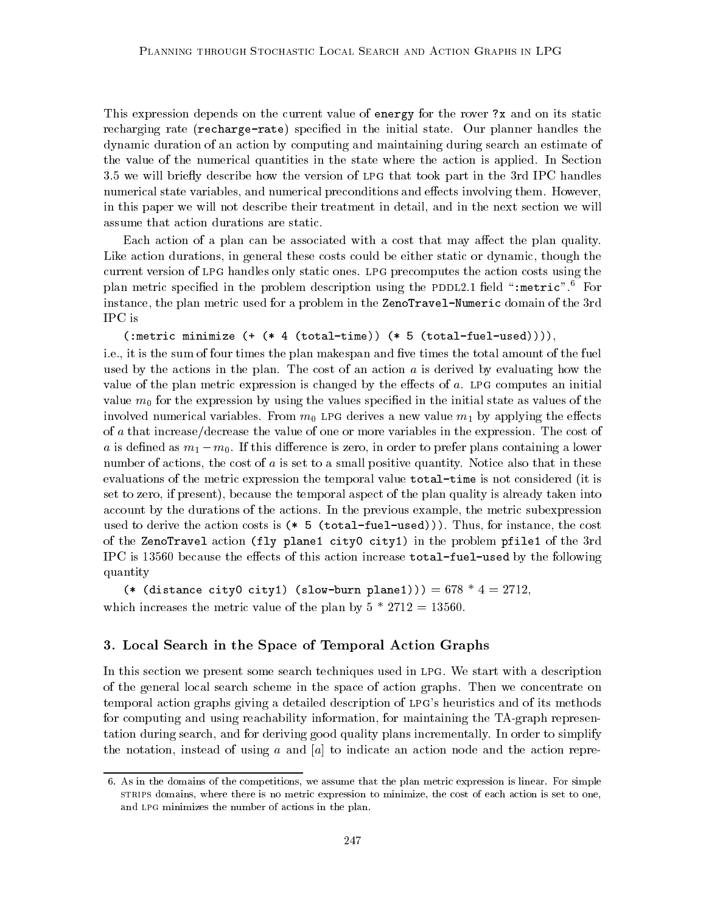This expression depends on the current value of energy for the rover ?x and on its static recharging rate (recharge-rate) specified in the initial state. Our planner handles the dynamic duration of an action by computing and maintaining during search an estimate of the value of the numerical quantities in the state where the action is applied. In Section 3.5 we will briefly describe how the version of LPG that took part in the 3rd IPC handles numerical state variables, and numerical preconditions and effects involving them. However, in this paper we will not describe their treatment in detail, and in the next section we will assume that action durations are static.

Each action of a plan can be associated with a cost that may affect the plan quality. Like action durations, in general these costs could be either static or dynamic, though the current version of LPG handles only static ones. LPG precomputes the action costs using the plan metric specified in the problem description using the PDDL2.1 field ":metric".<sup>6</sup> For instance, the plan metric used for a problem in the ZenoTravel-Numeric domain of the 3rd IPC is

```
(\text{metric minimize } (+ (* 4 (total-time)) (* 5 (total-fuel-used)))),
```
i.e., it is the sum of four times the plan makespan and five times the total amount of the fuel used by the actions in the plan. The cost of an action  $a$  is derived by evaluating how the value of the plan metric expression is changed by the effects of  $a$ . LPG computes an initial value  $m_0$  for the expression by using the values specified in the initial state as values of the involved numerical variables. From  $m_0$  LPG derives a new value  $m_1$  by applying the effects of a that increase/decrease the value of one or more variables in the expression. The cost of a is defined as  $m_1 - m_0$ . If this difference is zero, in order to prefer plans containing a lower number of actions, the cost of  $a$  is set to a small positive quantity. Notice also that in these evaluations of the metric expression the temporal value total-time is not considered (it is set to zero, if present), because the temporal aspect of the plan quality is already taken into account by the durations of the actions. In the previous example, the metric subexpression used to derive the action costs is  $(* 5 (total - fuel - used)))$ . Thus, for instance, the cost of the ZenoTravel action (fly plane1 city0 city1) in the problem pfile1 of the 3rd IPC is 13560 because the effects of this action increase total-fuel-used by the following quantity

(\* (distance city0 city1) (slow-burn plane1))) =  $678 * 4 = 2712$ , which increases the metric value of the plan by  $5 * 2712 = 13560$ .

### 3. Local Search in the Space of Temporal Action Graphs

In this section we present some search techniques used in LPG. We start with a description of the general local search scheme in the space of action graphs. Then we concentrate on temporal action graphs giving a detailed description of LPG's heuristics and of its methods for computing and using reachability information, for maintaining the TA-graph representation during search, and for deriving good quality plans incrementally. In order to simplify the notation, instead of using a and  $[a]$  to indicate an action node and the action repre-

<sup>6.</sup> As in the domains of the competitions, we assume that the plan metric expression is linear. For simple strips domains, where there is no metric expression to minimize, the cost of each action is set to one, and LPG minimizes the number of actions in the plan.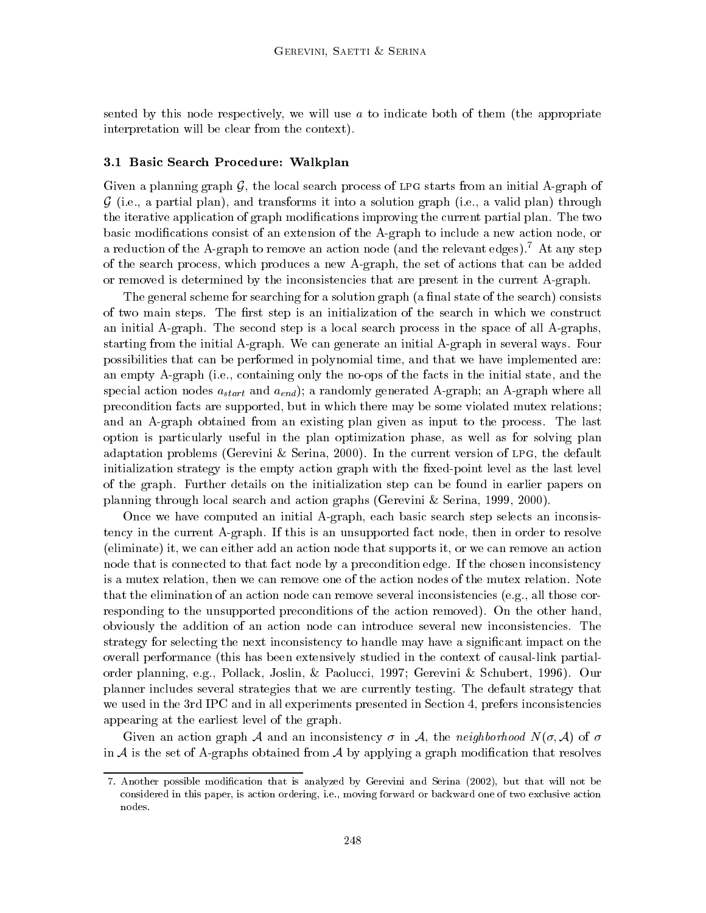sented by this node respectively, we will use  $a$  to indicate both of them (the appropriate interpretation will be clear from the context).

#### 3.1 Basic Search Procedure: Walkplan

Given a planning graph  $G$ , the local search process of LPG starts from an initial A-graph of  $\mathcal G$  (i.e., a partial plan), and transforms it into a solution graph (i.e., a valid plan) through the iterative application of graph modifications improving the current partial plan. The two basic modifications consist of an extension of the A-graph to include a new action node, or a reduction of the A-graph to remove an action node (and the relevant edges).<sup>7</sup> At any step of the search process, which produces a new A-graph, the set of actions that can be added or removed is determined by the inconsistencies that are present in the current A-graph.

The general scheme for searching for a solution graph (a final state of the search) consists of two main steps. The first step is an initialization of the search in which we construct an initial A-graph. The second step is a local search process in the space of all A-graphs, starting from the initial A-graph. We can generate an initial A-graph in several ways. Four possibilities that can be performed in polynomial time, and that we have implemented are: an empty A-graph (i.e., containing only the no-ops of the facts in the initial state, and the special action nodes  $a_{start}$  and  $a_{end}$ ); a randomly generated A-graph; an A-graph where all precondition facts are supported, but in which there may be some violated mutex relations; and an A-graph obtained from an existing plan given as input to the process. The last option is particularly useful in the plan optimization phase, as well as for solving plan adaptation problems (Gerevini & Serina, 2000). In the current version of LPG, the default initialization strategy is the empty action graph with the fixed-point level as the last level of the graph. Further details on the initialization step can be found in earlier papers on planning through local search and action graphs (Gerevini & Serina, 1999, 2000).

Once we have computed an initial A-graph, each basic search step selects an inconsistency in the current A-graph. If this is an unsupported fact node, then in order to resolve (eliminate) it, we can either add an action node that supports it, or we can remove an action node that is connected to that fact node by a precondition edge. If the chosen inconsistency is a mutex relation, then we can remove one of the action nodes of the mutex relation. Note that the elimination of an action node can remove several inconsistencies (e.g., all those corresponding to the unsupported preconditions of the action removed). On the other hand, obviously the addition of an action node can introduce several new inconsistencies. The strategy for selecting the next inconsistency to handle may have a significant impact on the overall performance (this has been extensively studied in the context of causal-link partialorder planning, e.g., Pollack, Joslin, & Paolucci, 1997; Gerevini & Schubert, 1996). Our planner includes several strategies that we are currently testing. The default strategy that we used in the 3rd IPC and in all experiments presented in Section 4, prefers inconsistencies appearing at the earliest level of the graph.

Given an action graph A and an inconsistency  $\sigma$  in A, the neighborhood  $N(\sigma, \mathcal{A})$  of  $\sigma$ in A is the set of A-graphs obtained from A by applying a graph modification that resolves

<sup>7.</sup> Another possible modification that is analyzed by Gerevini and Serina (2002), but that will not be considered in this paper, is action ordering, i.e., moving forward or backward one of two exclusive action nodes.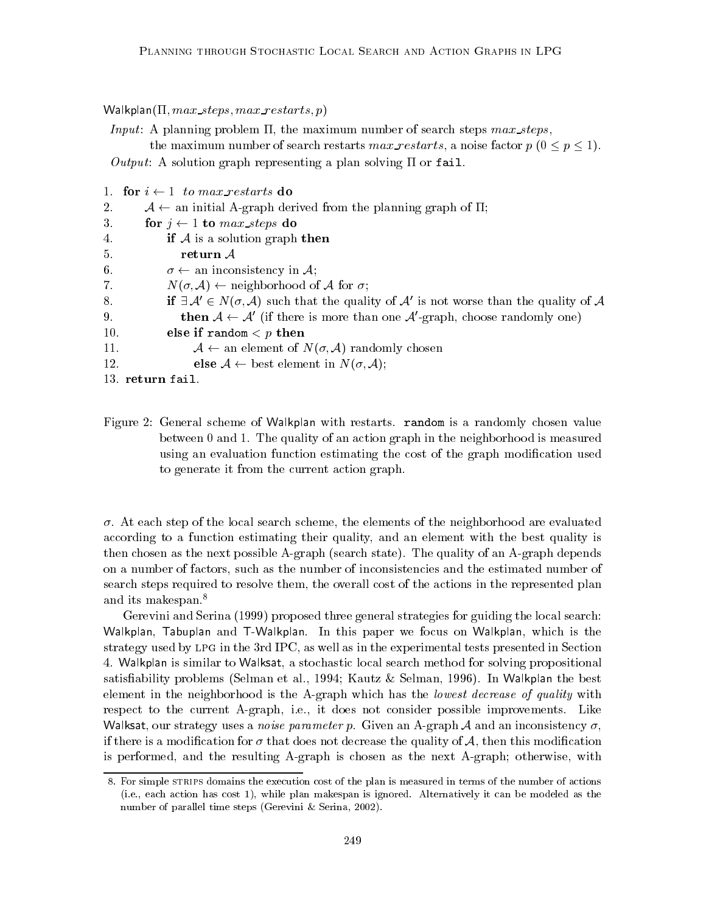Walkplan $(\Pi, max\_steps, max\_restarts, p)$ 

*Input*: A planning problem  $\Pi$ , the maximum number of search steps  $max\_steps$ ,

the maximum number of search restarts  $max\_restarts$ , a noise factor  $p(0 \le p \le 1)$ . Output: A solution graph representing a plan solving  $\Pi$  or fail.

1. for  $i \leftarrow 1$  to max restarts do

2.  $\mathcal{A} \leftarrow$  an initial A-graph derived from the planning graph of  $\Pi$ ;

| 3. | for $j \leftarrow 1$ to max steps do |
|----|--------------------------------------|
|----|--------------------------------------|

4. if  $A$  is a solution graph then

```
5.
           return A
```

```
6.
                \sigma \leftarrow an inconsistency in A;
```
7.  $N(\sigma, \mathcal{A}) \leftarrow$  neighborhood of  $\mathcal A$  for  $\sigma$ ;

```
if \exists A' \in N(\sigma, A) such that the quality of A' is not worse than the quality of A
8.
```
- 9. **then**  $A \leftarrow A'$  (if there is more than one  $A'$ -graph, choose randomly one)
- $10<sup>1</sup>$ else if random  $\langle p \rangle$  then
- 11.  $\mathcal{A} \leftarrow$  an element of  $N(\sigma, \mathcal{A})$  randomly chosen
- 12. else  $A \leftarrow$  best element in  $N(\sigma, A)$ ;

```
13. return fail.
```
Figure 2: General scheme of Walkplan with restarts. random is a randomly chosen value between 0 and 1. The quality of an action graph in the neighborhood is measured using an evaluation function estimating the cost of the graph modification used to generate it from the current action graph.

 $\sigma$ . At each step of the local search scheme, the elements of the neighborhood are evaluated according to a function estimating their quality, and an element with the best quality is then chosen as the next possible A-graph (search state). The quality of an A-graph depends on a number of factors, such as the number of inconsistencies and the estimated number of search steps required to resolve them, the overall cost of the actions in the represented plan and its makespan.<sup>8</sup>

Gerevini and Serina (1999) proposed three general strategies for guiding the local search: Walkplan, Tabuplan and T-Walkplan. In this paper we focus on Walkplan, which is the strategy used by LPG in the 3rd IPC, as well as in the experimental tests presented in Section 4. Walkplan is similar to Walksat, a stochastic local search method for solving propositional satisfiability problems (Selman et al., 1994; Kautz & Selman, 1996). In Walkplan the best element in the neighborhood is the A-graph which has the lowest decrease of quality with respect to the current A-graph, i.e., it does not consider possible improvements. Like Walksat, our strategy uses a *noise parameter p*. Given an A-graph A and an inconsistency  $\sigma$ , if there is a modification for  $\sigma$  that does not decrease the quality of  $A$ , then this modification is performed, and the resulting A-graph is chosen as the next A-graph; otherwise, with

<sup>8.</sup> For simple STRIPS domains the execution cost of the plan is measured in terms of the number of actions (i.e., each action has cost 1), while plan makespan is ignored. Alternatively it can be modeled as the number of parallel time steps (Gerevini & Serina, 2002).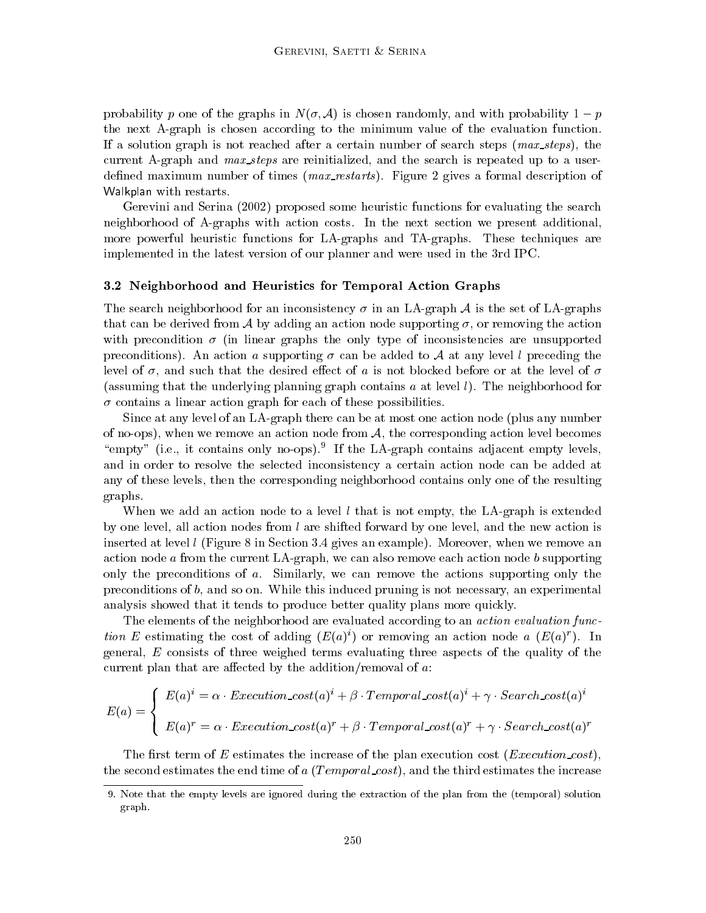probability p one of the graphs in  $N(\sigma, \mathcal{A})$  is chosen randomly, and with probability  $1-p$ the next A-graph is chosen according to the minimum value of the evaluation function. If a solution graph is not reached after a certain number of search steps ( $max\_steps$ ), the current A-graph and *max-steps* are reinitialized, and the search is repeated up to a userdefined maximum number of times (max-restarts). Figure 2 gives a formal description of Walkplan with restarts.

Gerevini and Serina (2002) proposed some heuristic functions for evaluating the search neighborhood of A-graphs with action costs. In the next section we present additional. more powerful heuristic functions for LA-graphs and TA-graphs. These techniques are implemented in the latest version of our planner and were used in the 3rd IPC.

### 3.2 Neighborhood and Heuristics for Temporal Action Graphs

The search neighborhood for an inconsistency  $\sigma$  in an LA-graph  $\mathcal A$  is the set of LA-graphs that can be derived from A by adding an action node supporting  $\sigma$ , or removing the action with precondition  $\sigma$  (in linear graphs the only type of inconsistencies are unsupported preconditions). An action a supporting  $\sigma$  can be added to A at any level l preceding the level of  $\sigma$ , and such that the desired effect of a is not blocked before or at the level of  $\sigma$ (assuming that the underlying planning graph contains  $a$  at level  $l$ ). The neighborhood for  $\sigma$  contains a linear action graph for each of these possibilities.

Since at any level of an LA-graph there can be at most one action node (plus any number of no-ops), when we remove an action node from  $A$ , the corresponding action level becomes "empty" (i.e., it contains only no-ops).<sup>9</sup> If the LA-graph contains adjacent empty levels, and in order to resolve the selected inconsistency a certain action node can be added at any of these levels, then the corresponding neighborhood contains only one of the resulting graphs.

When we add an action node to a level  $l$  that is not empty, the LA-graph is extended by one level, all action nodes from l are shifted forward by one level, and the new action is inserted at level  $l$  (Figure 8 in Section 3.4 gives an example). Moreover, when we remove an action node  $\alpha$  from the current LA-graph, we can also remove each action node  $b$  supporting only the preconditions of a. Similarly, we can remove the actions supporting only the preconditions of b, and so on. While this induced pruning is not necessary, an experimental analysis showed that it tends to produce better quality plans more quickly.

The elements of the neighborhood are evaluated according to an *action evaluation func*tion E estimating the cost of adding  $(E(a)^i)$  or removing an action node a  $(E(a)^r)$ . In general,  $E$  consists of three weighed terms evaluating three aspects of the quality of the current plan that are affected by the addition/removal of  $a$ .

$$
E(a) = \begin{cases} E(a)^{i} = \alpha \cdot Execution\_cost(a)^{i} + \beta \cdot Temporal\_cost(a)^{i} + \gamma \cdot Search\_cost(a)^{i} \\ E(a)^{r} = \alpha \cdot Execution\_cost(a)^{r} + \beta \cdot Temporal\_cost(a)^{r} + \gamma \cdot Search\_cost(a)^{r} \end{cases}
$$

The first term of E estimates the increase of the plan execution cost (*Execution\_cost*), the second estimates the end time of  $a$  (Temporal cost), and the third estimates the increase

<sup>9.</sup> Note that the empty levels are ignored during the extraction of the plan from the (temporal) solution graph.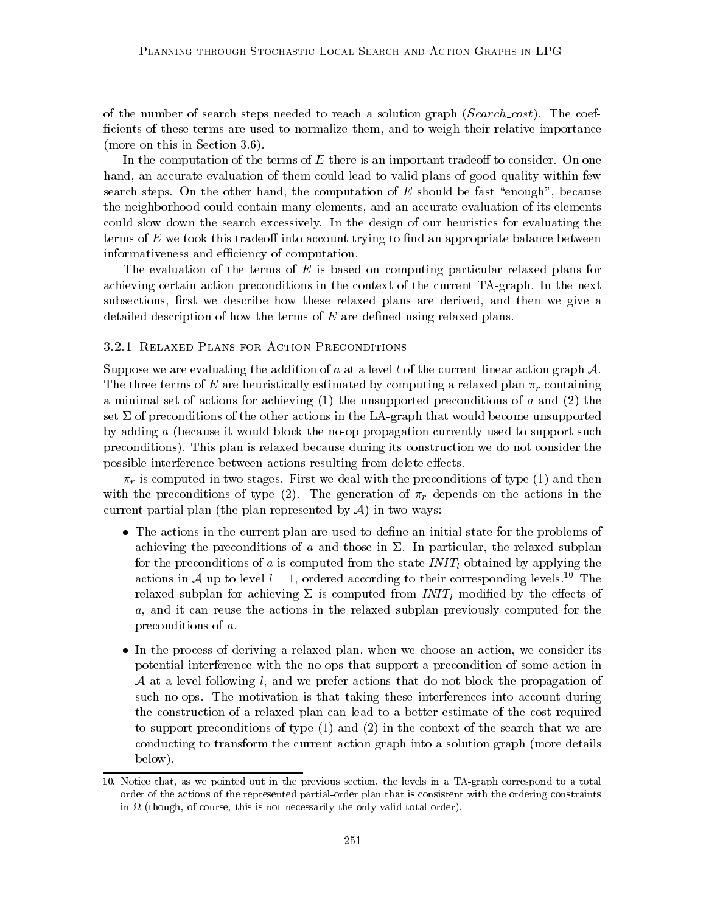of the number of search steps needed to reach a solution graph (Search\_cost). The coefficients of these terms are used to normalize them, and to weigh their relative importance (more on this in Section 3.6).

In the computation of the terms of  $E$  there is an important tradeoff to consider. On one hand, an accurate evaluation of them could lead to valid plans of good quality within few search steps. On the other hand, the computation of  $E$  should be fast "enough", because the neighborhood could contain many elements, and an accurate evaluation of its elements could slow down the search excessively. In the design of our heuristics for evaluating the terms of  $E$  we took this tradeoff into account trying to find an appropriate balance between informativeness and efficiency of computation.

The evaluation of the terms of  $E$  is based on computing particular relaxed plans for achieving certain action preconditions in the context of the current TA-graph. In the next subsections, first we describe how these relaxed plans are derived, and then we give a detailed description of how the terms of  $E$  are defined using relaxed plans.

#### 3.2.1 RELAXED PLANS FOR ACTION PRECONDITIONS

Suppose we are evaluating the addition of a at a level l of the current linear action graph  $\mathcal{A}$ . The three terms of E are heuristically estimated by computing a relaxed plan  $\pi_r$  containing a minimal set of actions for achieving (1) the unsupported preconditions of a and (2) the set  $\Sigma$  of preconditions of the other actions in the LA-graph that would become unsupported by adding a (because it would block the no-op propagation currently used to support such preconditions). This plan is relaxed because during its construction we do not consider the possible interference between actions resulting from delete-effects.

 $\pi_r$  is computed in two stages. First we deal with the preconditions of type (1) and then with the preconditions of type (2). The generation of  $\pi_r$  depends on the actions in the current partial plan (the plan represented by  $A$ ) in two ways:

- The actions in the current plan are used to define an initial state for the problems of achieving the preconditions of a and those in  $\Sigma$ . In particular, the relaxed subplan for the preconditions of a is computed from the state  $INIT<sub>l</sub>$  obtained by applying the actions in A up to level  $l-1$ , ordered according to their corresponding levels.<sup>10</sup> The relaxed subplan for achieving  $\Sigma$  is computed from  $INT_l$  modified by the effects of a, and it can reuse the actions in the relaxed subplan previously computed for the preconditions of  $a$ .
- In the process of deriving a relaxed plan, when we choose an action, we consider its potential interference with the no-ops that support a precondition of some action in A at a level following l, and we prefer actions that do not block the propagation of such no-ops. The motivation is that taking these interferences into account during the construction of a relaxed plan can lead to a better estimate of the cost required to support preconditions of type  $(1)$  and  $(2)$  in the context of the search that we are conducting to transform the current action graph into a solution graph (more details below).

<sup>10.</sup> Notice that, as we pointed out in the previous section, the levels in a TA-graph correspond to a total order of the actions of the represented partial-order plan that is consistent with the ordering constraints in  $\Omega$  (though, of course, this is not necessarily the only valid total order).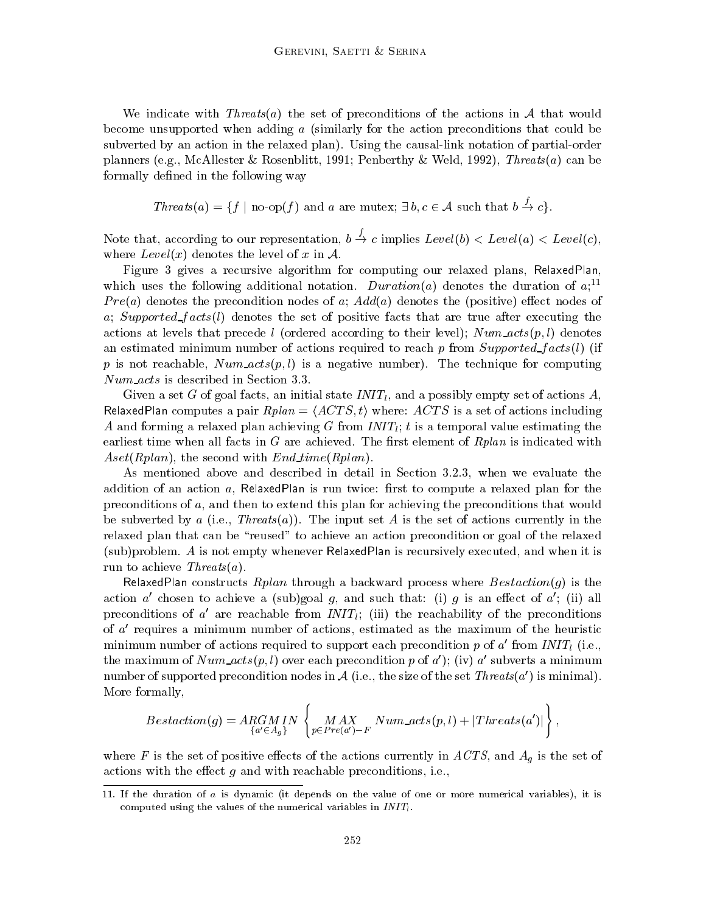We indicate with  $Threats(a)$  the set of preconditions of the actions in A that would become unsupported when adding a (similarly for the action preconditions that could be subverted by an action in the relaxed plan). Using the causal-link notation of partial-order planners (e.g., McAllester & Rosenblitt, 1991; Penberthy & Weld, 1992), Threats(a) can be formally defined in the following way

 $Threshold() = \{f \mid \text{no-op}(f) \text{ and } a \text{ are mutex}; \exists b, c \in \mathcal{A} \text{ such that } b \stackrel{f}{\rightarrow} c\}.$ 

Note that, according to our representation,  $b \stackrel{f}{\rightarrow} c$  implies  $Level(b) < Level(a) < Level(c)$ . where  $Level(x)$  denotes the level of x in A.

Figure 3 gives a recursive algorithm for computing our relaxed plans, RelaxedPlan, which uses the following additional notation. Duration(a) denotes the duration of  $a_i$ <sup>11</sup>  $Pre(a)$  denotes the precondition nodes of a;  $Add(a)$  denotes the (positive) effect nodes of a; Supported\_facts(l) denotes the set of positive facts that are true after executing the actions at levels that precede l (ordered according to their level);  $Num\_acts(p, l)$  denotes an estimated minimum number of actions required to reach p from  $Supported_facts(l)$  (if p is not reachable,  $Num\_acts(p, l)$  is a negative number). The technique for computing  $Num\_acts$  is described in Section 3.3.

Given a set G of goal facts, an initial state  $INIT<sub>l</sub>$ , and a possibly empty set of actions A, RelaxedPlan computes a pair  $Rplan = \langle ACTS, t \rangle$  where:  $ACTS$  is a set of actions including A and forming a relaxed plan achieving G from  $INT_l$ ; t is a temporal value estimating the earliest time when all facts in G are achieved. The first element of  $Rplan$  is indicated with  $A set(Rplan)$ , the second with  $End_time(Rplan)$ .

As mentioned above and described in detail in Section 3.2.3, when we evaluate the addition of an action  $a$ , RelaxedPlan is run twice: first to compute a relaxed plan for the preconditions of a, and then to extend this plan for achieving the preconditions that would be subverted by a (i.e., *Threats*(a)). The input set A is the set of actions currently in the relaxed plan that can be "reused" to achieve an action precondition or goal of the relaxed  $(sub)$  problem. A is not empty whenever RelaxedPlan is recursively executed, and when it is run to achieve  $Threats(a)$ .

RelaxedPlan constructs  $Rplan$  through a backward process where  $Bestaction(g)$  is the action  $a'$  chosen to achieve a (sub)goal g, and such that: (i) g is an effect of  $a'$ ; (ii) all preconditions of  $a'$  are reachable from  $INIT_i$ ; (iii) the reachability of the preconditions of  $a'$  requires a minimum number of actions, estimated as the maximum of the heuristic minimum number of actions required to support each precondition p of a' from  $INIT<sub>l</sub>$  (i.e., the maximum of  $Num\_acts(p, l)$  over each precondition p of a'); (iv) a' subverts a minimum number of supported precondition nodes in  $\mathcal{A}$  (i.e., the size of the set *Threats(a')* is minimal). More formally,

$$
Bestaction(g) = A}{\underset{\{a' \in A_g\}}{RGMIN}} \left\{ \underset{p \in Pre(a')-F}{MAX} Num\_acts(p, l) + |Threats(a')| \right\},
$$

where F is the set of positive effects of the actions currently in ACTS, and  $A<sub>q</sub>$  is the set of actions with the effect  $g$  and with reachable preconditions, i.e.,

<sup>11.</sup> If the duration of  $a$  is dynamic (it depends on the value of one or more numerical variables), it is computed using the values of the numerical variables in  $INT<sub>1</sub>$ .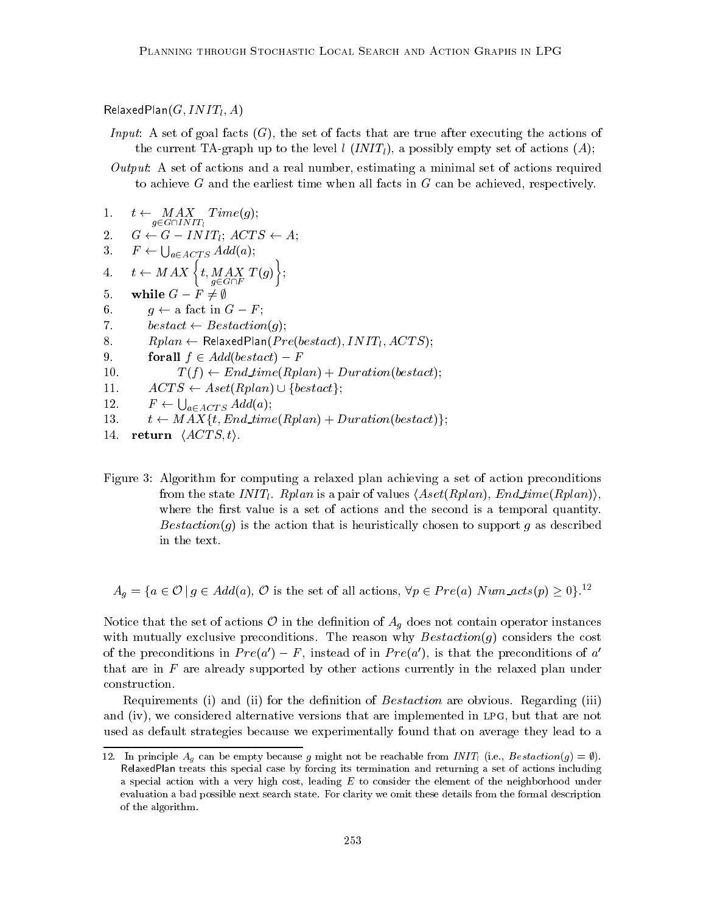# RelaxedPlan(G,  $INT_l$ , A)

*Input*: A set of goal facts  $(G)$ , the set of facts that are true after executing the actions of the current TA-graph up to the level  $l$  (*INIT<sub>i</sub>*), a possibly empty set of actions (A); Output: A set of actions and a real number, estimating a minimal set of actions required to achieve  $G$  and the earliest time when all facts in  $G$  can be achieved, respectively.

 $t \leftarrow \underset{g \in G \cap INT_l}{MAX} Time(g);$ <br>  $G \leftarrow G - INT_l; ACTS \leftarrow A;$ 1. 2.  $F \leftarrow \bigcup_{a \in ACTS} Add(a);$ 3.  $t \leftarrow MAX\left\{t, \underset{g \in G \cap F}{MAX} T(g)\right\};$  $4.$ while  $G - F \neq \emptyset$ 5. 6.  $g \leftarrow$  a fact in  $G - F$ ;  $bestact \leftarrow Bestaction(q);$  $7.$ 8.  $Rplan \leftarrow$  Relaxed Plan $(Pre(bestact), INT_l, ACTS);$ 9. forall  $f \in Add(bestact) - F$ 10.  $T(f) \leftarrow End_time(Rplan) +ّDuration(bestact);$ 11.  $ACTS \leftarrow Aset(Rplan) \cup \{bestact\};$  $F \leftarrow \bigcup_{a \in ACTS} Add(a);$ 12.  $t \leftarrow MAX\{t, End_time(Rplan) + Duration(bestact)\};$ 13. 14. return  $\langle ACTS, t \rangle$ .

Figure 3: Algorithm for computing a relaxed plan achieving a set of action preconditions from the state  $INT_l$ . Rplan is a pair of values  $\langle Aset(Rplan), End_time(Rplan) \rangle$ , where the first value is a set of actions and the second is a temporal quantity.  $Bestaction(g)$  is the action that is heuristically chosen to support g as described in the text.

 $A_q = \{a \in \mathcal{O} | g \in Add(a), \mathcal{O} \text{ is the set of all actions, } \forall p \in Pre(a) \; Num\_acts(p) \geq 0\}.$ <sup>12</sup>

Notice that the set of actions  $\mathcal O$  in the definition of  $A_q$  does not contain operator instances with mutually exclusive preconditions. The reason why  $Bestaction(g)$  considers the cost of the preconditions in  $Pre(a') - F$ , instead of in  $Pre(a')$ , is that the preconditions of a' that are in  $F$  are already supported by other actions currently in the relaxed plan under construction.

Requirements (i) and (ii) for the definition of *Bestaction* are obvious. Regarding (iii) and (iv), we considered alternative versions that are implemented in LPG, but that are not used as default strategies because we experimentally found that on average they lead to a

<sup>12.</sup> In principle  $A_q$  can be empty because g might not be reachable from INIT<sub>l</sub> (i.e., Bestaction(g) =  $\emptyset$ ). RelaxedPlan treats this special case by forcing its termination and returning a set of actions including a special action with a very high cost, leading  $E$  to consider the element of the neighborhood under evaluation a bad possible next search state. For clarity we omit these details from the formal description of the algorithm.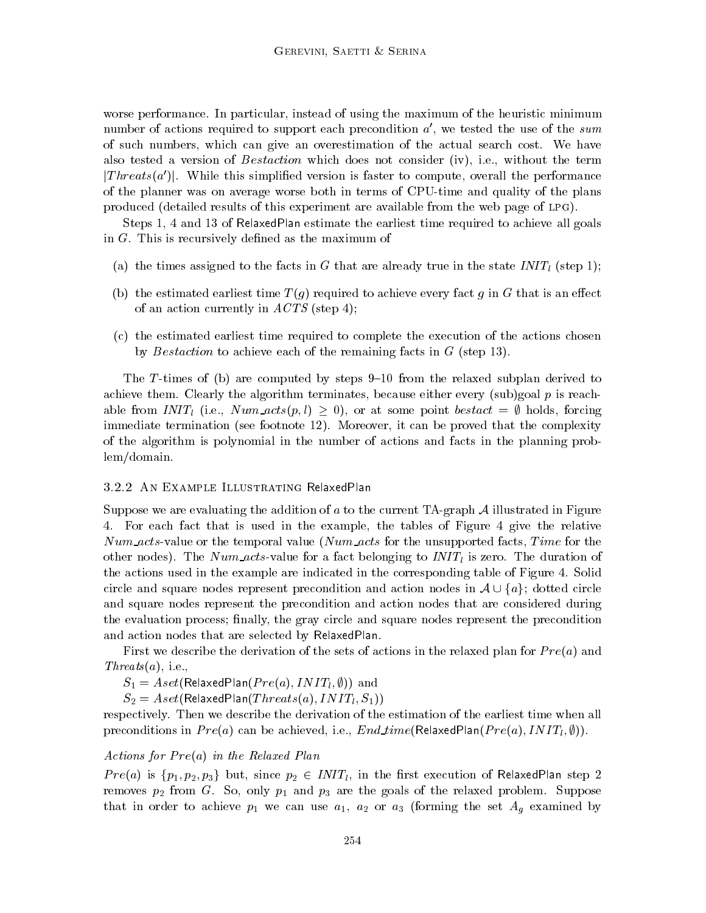worse performance. In particular, instead of using the maximum of the heuristic minimum number of actions required to support each precondition  $a'$ , we tested the use of the sum of such numbers, which can give an overestimation of the actual search cost. We have also tested a version of *Bestaction* which does not consider (iv), i.e., without the term  $|Threats(a')|$ . While this simplified version is faster to compute, overall the performance of the planner was on average worse both in terms of CPU-time and quality of the plans produced (detailed results of this experiment are available from the web page of LPG).

Steps 1, 4 and 13 of RelaxedPlan estimate the earliest time required to achieve all goals in  $G$ . This is recursively defined as the maximum of

- (a) the times assigned to the facts in G that are already true in the state  $INT<sub>l</sub>$  (step 1);
- (b) the estimated earliest time  $T(g)$  required to achieve every fact g in G that is an effect of an action currently in  $\Lambda CTS$  (step 4);
- (c) the estimated earliest time required to complete the execution of the actions chosen by Bestaction to achieve each of the remaining facts in  $G$  (step 13).

The T-times of (b) are computed by steps  $9-10$  from the relaxed subplan derived to achieve them. Clearly the algorithm terminates, because either every (sub)goal  $p$  is reachable from  $INIT_l$  (i.e.,  $Num\_acts(p, l) > 0$ ), or at some point *bestact* =  $\emptyset$  holds, forcing immediate termination (see footnote 12). Moreover, it can be proved that the complexity of the algorithm is polynomial in the number of actions and facts in the planning prob $lem/domain.$ 

## 3.2.2 AN EXAMPLE ILLUSTRATING RelaxedPlan

Suppose we are evaluating the addition of a to the current TA-graph  $\mathcal A$  illustrated in Figure 4. For each fact that is used in the example, the tables of Figure 4 give the relative  $Num\_acts$ -value or the temporal value ( $Num\_acts$  for the unsupported facts, Time for the other nodes). The Num acts-value for a fact belonging to  $INIT<sub>l</sub>$  is zero. The duration of the actions used in the example are indicated in the corresponding table of Figure 4. Solid circle and square nodes represent precondition and action nodes in  $\mathcal{A} \cup \{a\}$ ; dotted circle and square nodes represent the precondition and action nodes that are considered during the evaluation process; finally, the gray circle and square nodes represent the precondition and action nodes that are selected by RelaxedPlan.

First we describe the derivation of the sets of actions in the relaxed plan for  $Pre(a)$  and  $Threats(a), i.e.,$ 

 $S_1 = A set(\mathsf{RelaxedPlan}\left(Pre(a), INT{T_l}, \emptyset\right))\; \text{and}$ 

 $S_2 = A set(\text{RelaxedPlan}(Threats(a), INT_l, S_1))$ 

respectively. Then we describe the derivation of the estimation of the earliest time when all preconditions in  $Pre(a)$  can be achieved, i.e.,  $End\_time(RelaxedPlan(Pre(a), INT<sub>L</sub>, \emptyset)).$ 

#### Actions for  $Pre(a)$  in the Relaxed Plan

 $Pre(a)$  is  $\{p_1, p_2, p_3\}$  but, since  $p_2 \in INT_l$ , in the first execution of RelaxedPlan step 2 removes  $p_2$  from G. So, only  $p_1$  and  $p_3$  are the goals of the relaxed problem. Suppose that in order to achieve  $p_1$  we can use  $a_1$ ,  $a_2$  or  $a_3$  (forming the set  $A_q$  examined by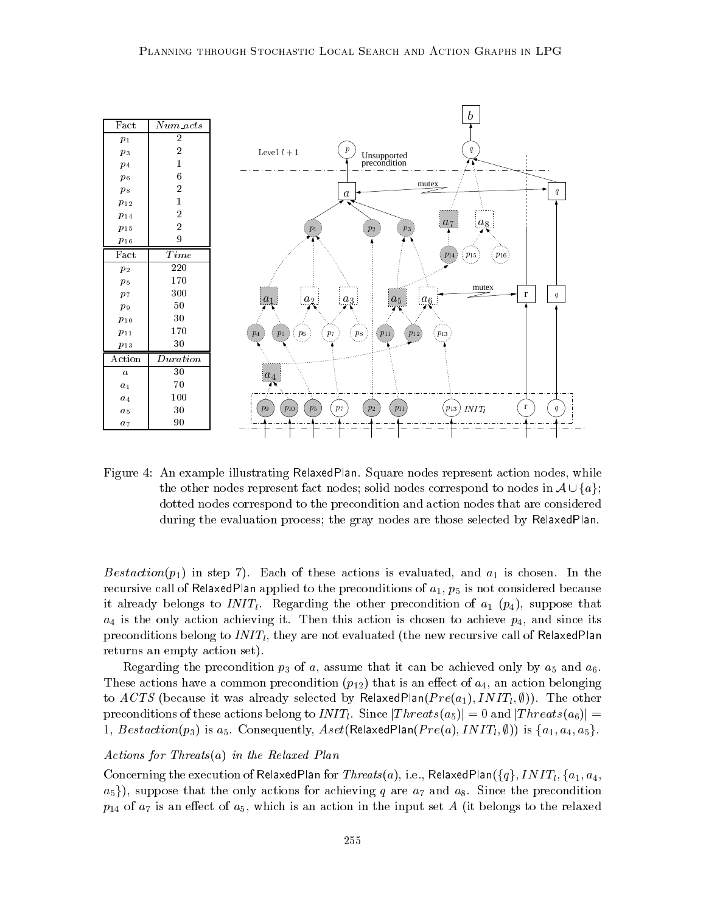

Figure 4: An example illustrating RelaxedPlan. Square nodes represent action nodes, while the other nodes represent fact nodes; solid nodes correspond to nodes in  $\mathcal{A}\cup\{a\}$ ; dotted nodes correspond to the precondition and action nodes that are considered during the evaluation process; the gray nodes are those selected by RelaxedPlan.

 $Bestaction(p_1)$  in step 7). Each of these actions is evaluated, and  $a_1$  is chosen. In the recursive call of RelaxedPlan applied to the preconditions of  $a_1$ ,  $p_5$  is not considered because it already belongs to  $INIT<sub>l</sub>$ . Regarding the other precondition of  $a_1$  ( $p_4$ ), suppose that  $a_4$  is the only action achieving it. Then this action is chosen to achieve  $p_4$ , and since its preconditions belong to  $INT<sub>l</sub>$ , they are not evaluated (the new recursive call of RelaxedPlan returns an empty action set).

Regarding the precondition  $p_3$  of a, assume that it can be achieved only by  $a_5$  and  $a_6$ . These actions have a common precondition  $(p_{12})$  that is an effect of  $a_4$ , an action belonging to ACTS (because it was already selected by RelaxedPlan( $Pre(a_1), INT<sub>l</sub>, \emptyset$ )). The other preconditions of these actions belong to *INIT*<sub>1</sub>. Since  $|Threats(a_5)| = 0$  and  $|Threats(a_6)| =$ 1,  $Bestaction(p_3)$  is  $a_5$ . Consequently,  $Aset(RelaxedPlan(Pre(a), INIT_1, \emptyset))$  is  $\{a_1, a_4, a_5\}$ .

#### Actions for Threats $(a)$  in the Relaxed Plan

Concerning the execution of Relaxed Plan for *Threats*(a), i.e., Relaxed Plan( $\{q\}$ , *INIT*<sub>1</sub>,  $\{a_1, a_4,$  $a_5$ ), suppose that the only actions for achieving q are  $a_7$  and  $a_8$ . Since the precondition  $p_{14}$  of  $a_7$  is an effect of  $a_5$ , which is an action in the input set A (it belongs to the relaxed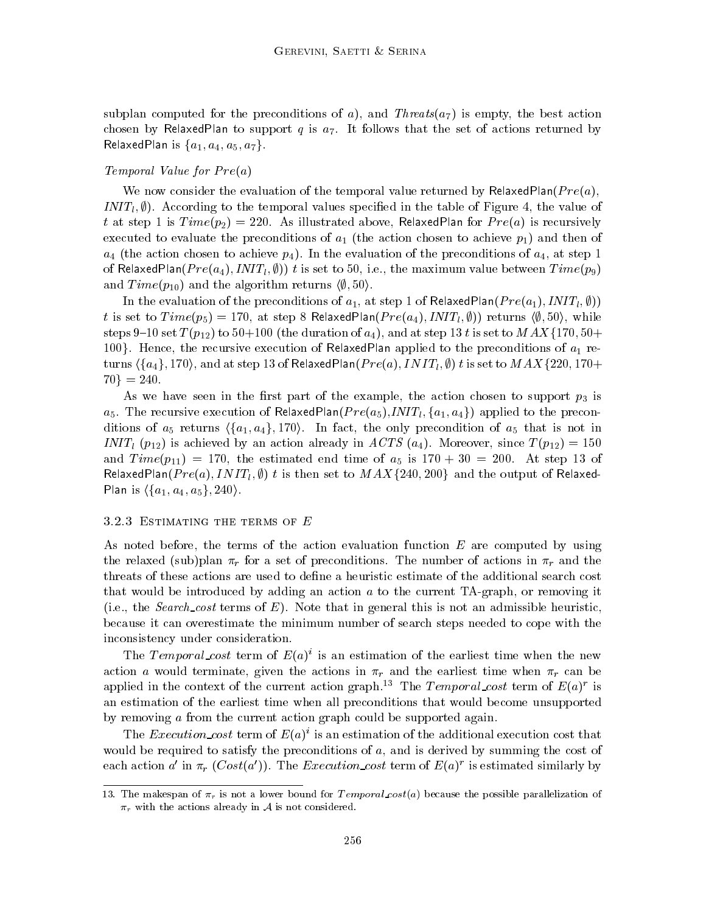subplan computed for the preconditions of a), and *Threats* $(a_7)$  is empty, the best action chosen by RelaxedPlan to support q is  $a_7$ . It follows that the set of actions returned by Relaxed Plan is  $\{a_1, a_4, a_5, a_7\}$ .

## Temporal Value for  $Pre(a)$

We now consider the evaluation of the temporal value returned by RelaxedPlan( $Pre(a)$ ,  $INT<sub>l</sub>, \emptyset$ ). According to the temporal values specified in the table of Figure 4, the value of t at step 1 is  $Time(p_2) = 220$ . As illustrated above, RelaxedPlan for  $Pre(a)$  is recursively executed to evaluate the preconditions of  $a_1$  (the action chosen to achieve  $p_1$ ) and then of  $a_4$  (the action chosen to achieve  $p_4$ ). In the evaluation of the preconditions of  $a_4$ , at step 1 of RelaxedPlan( $Pre(a_4)$ ,  $INIT<sub>1</sub>, \emptyset)$ ) t is set to 50, i.e., the maximum value between  $Time(p_9)$ and  $Time(p_{10})$  and the algorithm returns  $\langle \emptyset, 50 \rangle$ .

In the evaluation of the preconditions of  $a_1$ , at step 1 of RelaxedPlan( $Pre(a_1), INT<sub>1</sub>, \emptyset$ )) t is set to  $Time(p_5) = 170$ , at step 8 RelaxedPlan( $Pre(a_4), INT_l, \emptyset$ ) returns  $\langle \emptyset, 50 \rangle$ , while steps 9–10 set  $T(p_{12})$  to 50+100 (the duration of  $a_4$ ), and at step 13 t is set to  $MAX\{170, 50+\}$ 100. Hence, the recursive execution of RelaxedPlan applied to the preconditions of  $a_1$  returns  $\langle \{a_4\}, 170\rangle$ , and at step 13 of RelaxedPlan $(Pre(a), INIT<sub>l</sub>, \emptyset)$  t is set to  $MAX\{220, 170+\}$  $70$ } = 240.

As we have seen in the first part of the example, the action chosen to support  $p_3$  is  $a_5$ . The recursive execution of RelaxedPlan( $Pre(a_5), INT_l, \{a_1, a_4\}$ ) applied to the preconditions of  $a_5$  returns  $\langle \{a_1, a_4\}, 170 \rangle$ . In fact, the only precondition of  $a_5$  that is not in INIT<sub>l</sub> ( $p_{12}$ ) is achieved by an action already in ACTS ( $a_4$ ). Moreover, since  $T(p_{12}) = 150$ and  $Time(p_{11}) = 170$ , the estimated end time of  $a_5$  is  $170 + 30 = 200$ . At step 13 of RelaxedPlan( $Pre(a), INT<sub>l</sub>, \emptyset$ ) t is then set to  $MAX\{240, 200\}$  and the output of Relaxed-Plan is  $\langle \{a_1, a_4, a_5\}, 240 \rangle$ .

#### 3.2.3 ESTIMATING THE TERMS OF  $E$

As noted before, the terms of the action evaluation function  $E$  are computed by using the relaxed (sub)plan  $\pi_r$  for a set of preconditions. The number of actions in  $\pi_r$  and the threats of these actions are used to define a heuristic estimate of the additional search cost that would be introduced by adding an action  $\alpha$  to the current TA-graph, or removing it (i.e., the Search cost terms of  $E$ ). Note that in general this is not an admissible heuristic, because it can overestimate the minimum number of search steps needed to cope with the inconsistency under consideration.

The Temporal cost term of  $E(a)^i$  is an estimation of the earliest time when the new action a would terminate, given the actions in  $\pi_r$  and the earliest time when  $\pi_r$  can be applied in the context of the current action graph.<sup>13</sup> The Temporal cost term of  $E(a)^r$  is an estimation of the earliest time when all preconditions that would become unsupported by removing  $a$  from the current action graph could be supported again.

The *Execution\_cost* term of  $E(a)^i$  is an estimation of the additional execution cost that would be required to satisfy the preconditions of  $a$ , and is derived by summing the cost of each action a' in  $\pi_r$  (Cost(a')). The Execution cost term of  $E(a)^r$  is estimated similarly by

<sup>13.</sup> The makespan of  $\pi_r$  is not a lower bound for *Temporal cost(a)* because the possible parallelization of  $\pi_r$  with the actions already in A is not considered.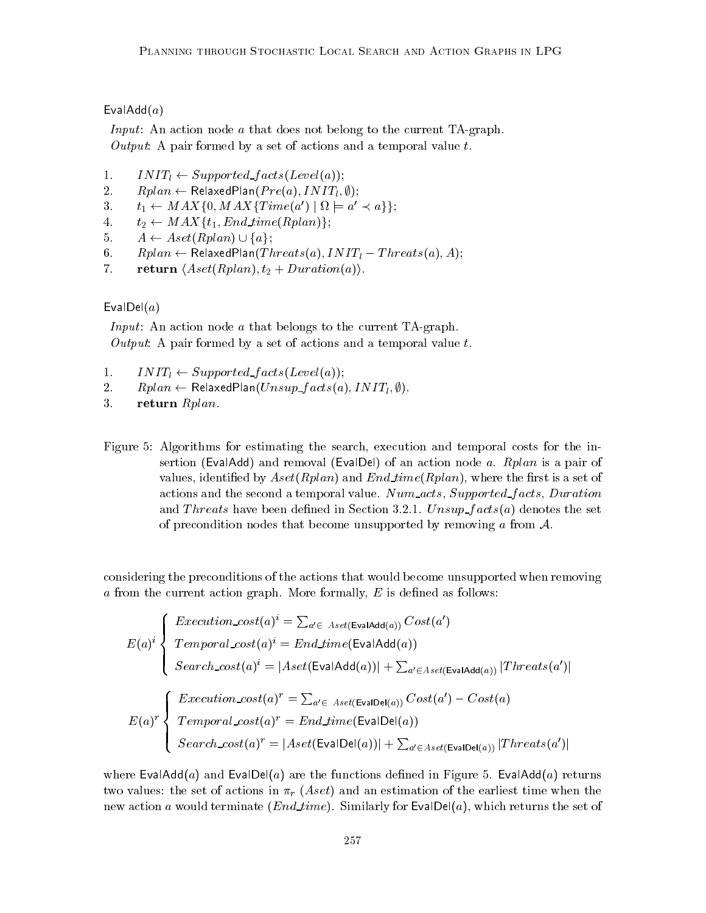### EvalAdd $(a)$

*Input:* An action node a that does not belong to the current TA-graph. Output: A pair formed by a set of actions and a temporal value  $t$ .

- $INIT_l \leftarrow Supported\_facts(Level(a));$ 1.
- $\overline{2}$ .  $Rplan \leftarrow \text{RelaxedPlan}(Pre(a), INT_l, \emptyset);$
- $t_1 \leftarrow MAX\{0, MAX\{Time(a') \mid \Omega \models a' \prec a\}\};$ 3.
- $t_2 \leftarrow MAX\{t_1, End_time(Rplan)\};$ 4.
- $A \leftarrow Aset(Rplan) \cup \{a\};$ 5.
- $Rplan \leftarrow \text{RelaxedPlan}(Threats(a), INT_{l}-Threats(a), A);$ 6.
- 7. **return**  $\langle Aset(Rplan), t_2 + Duration(a) \rangle$ .

#### EvalDel $(a)$

*Input*: An action node a that belongs to the current TA-graph. Output: A pair formed by a set of actions and a temporal value  $t$ .

- $INIT_l \leftarrow Supported\_facts(Level(a));$ 1.
- $\overline{2}$ .  $Rplan \leftarrow \text{RelaxedPlan}(Unsup\_facts(a), INIT_l, \emptyset).$
- 3. return Rplan.
- Figure 5: Algorithms for estimating the search, execution and temporal costs for the insertion (EvalAdd) and removal (EvalDel) of an action node a. Rplan is a pair of values, identified by  $Aset(Rplan)$  and  $End_time(Rplan)$ , where the first is a set of actions and the second a temporal value. Num\_acts, Supported\_facts, Duration and Threats have been defined in Section 3.2.1.  $Unsup_f acts(a)$  denotes the set of precondition nodes that become unsupported by removing a from  $A$ .

considering the preconditions of the actions that would become unsupported when removing a from the current action graph. More formally,  $E$  is defined as follows:

$$
E(a)^{i} \left\{ \begin{array}{l} Execution\_cost(a)^{i} = \sum_{a' \in \text{ Aset(EvalAdd}(a))} Cost(a') \\ Temporal\_cost(a)^{i} = End_time(\text{EvalAdd}(a)) \\ Search\_cost(a)^{i} = |Aset(\text{EvalAdd}(a))| + \sum_{a' \in \text{ Aset(EvalAdd}(a))} |Threats(a')| \end{array} \right.
$$

$$
E(a)^{r} \left\{ \begin{array}{l} Execution\_cost(a)^{r} = \sum_{a' \in \text{ Aset(EvalDel}(a))} Cost(a') - Cost(a) \\ Temporal\_cost(a)^{r} = End_time(\text{EvalDel}(a)) \\ Search\_cost(a)^{r} = |Aset(\text{EvalDel}(a))| + \sum_{a' \in \text{ Aset(EvalDel}(a))} |Threats(a')| \end{array} \right.
$$

where  $EvalAdd(a)$  and  $EvalDel(a)$  are the functions defined in Figure 5. EvalAdd(a) returns two values: the set of actions in  $\pi_r$  (Aset) and an estimation of the earliest time when the new action a would terminate (*End\_time*). Similarly for  $EvalDel(a)$ , which returns the set of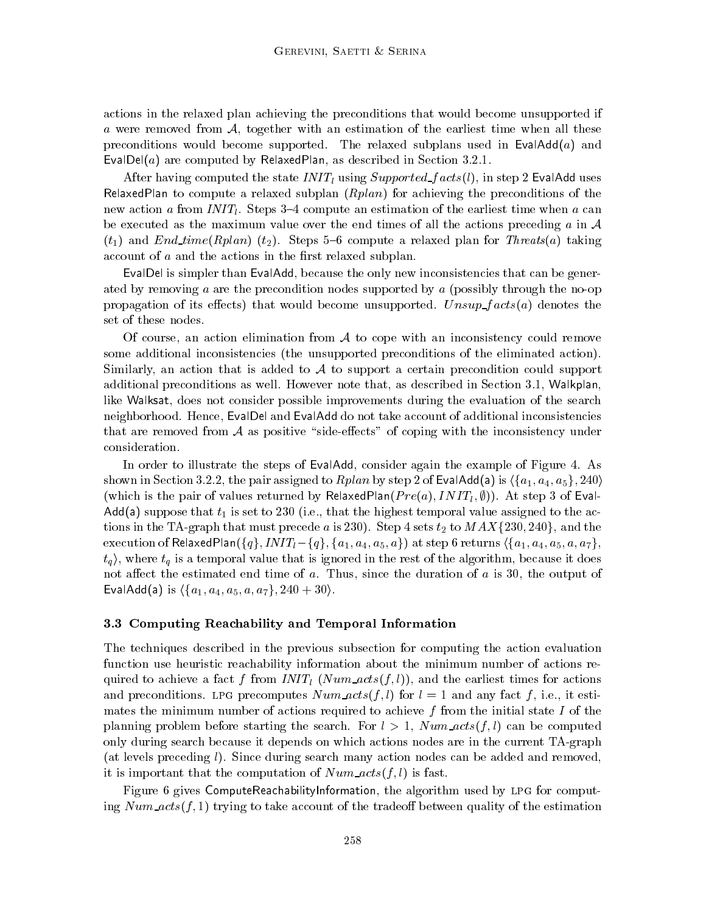actions in the relaxed plan achieving the preconditions that would become unsupported if a were removed from  $A$ , together with an estimation of the earliest time when all these preconditions would become supported. The relaxed subplans used in  $EvalAdd(a)$  and EvalDel(a) are computed by RelaxedPlan, as described in Section 3.2.1.

After having computed the state  $INT_l$  using  $Supported_facts(l)$ , in step 2 EvalAdd uses RelaxedPlan to compute a relaxed subplan  $(Rplan)$  for achieving the preconditions of the new action a from  $INT<sub>l</sub>$ . Steps 3-4 compute an estimation of the earliest time when a can be executed as the maximum value over the end times of all the actions preceding a in  $\mathcal A$  $(t_1)$  and  $End_time(Rplan)$   $(t_2)$ . Steps 5-6 compute a relaxed plan for *Threats(a)* taking account of a and the actions in the first relaxed subplan.

EvalDel is simpler than EvalAdd, because the only new inconsistencies that can be generated by removing a are the precondition nodes supported by a (possibly through the no-op propagation of its effects) that would become unsupported.  $Unsup_facts(a)$  denotes the set of these nodes.

Of course, an action elimination from  $A$  to cope with an inconsistency could remove some additional inconsistencies (the unsupported preconditions of the eliminated action). Similarly, an action that is added to  $A$  to support a certain precondition could support additional preconditions as well. However note that, as described in Section 3.1, Walkplan, like Walksat, does not consider possible improvements during the evaluation of the search neighborhood. Hence, EvalDel and EvalAdd do not take account of additional inconsistencies that are removed from  $A$  as positive "side-effects" of coping with the inconsistency under consideration.

In order to illustrate the steps of EvalAdd, consider again the example of Figure 4. As shown in Section 3.2.2, the pair assigned to Rplan by step 2 of EvalAdd(a) is  $\langle \{a_1, a_4, a_5\}, 240 \rangle$ (which is the pair of values returned by RelaxedPlan( $Pre(a), INT_l, \emptyset$ )). At step 3 of Eval-Add(a) suppose that  $t_1$  is set to 230 (i.e., that the highest temporal value assigned to the actions in the TA-graph that must precede a is 230). Step 4 sets  $t_2$  to  $MAX\{230, 240\}$ , and the execution of RelaxedPlan( $\{q\}$ , *INIT*<sub>l</sub>  $-\{q\}$ ,  $\{a_1, a_4, a_5, a\}$ ) at step 6 returns  $\langle \{a_1, a_4, a_5, a, a_7\}$ ,  $t_q$ , where  $t_q$  is a temporal value that is ignored in the rest of the algorithm, because it does not affect the estimated end time of a. Thus, since the duration of a is 30, the output of EvalAdd(a) is  $\langle \{a_1, a_4, a_5, a, a_7\}, 240 + 30 \rangle$ .

#### 3.3 Computing Reachability and Temporal Information

The techniques described in the previous subsection for computing the action evaluation function use heuristic reachability information about the minimum number of actions required to achieve a fact f from  $NIT_l$  ( $Num\_acts(f, l)$ ), and the earliest times for actions and preconditions. LPG precomputes  $Num\_acts(f, l)$  for  $l = 1$  and any fact f, i.e., it estimates the minimum number of actions required to achieve  $f$  from the initial state  $I$  of the planning problem before starting the search. For  $l > 1$ ,  $Num\_acts(f, l)$  can be computed only during search because it depends on which actions nodes are in the current TA-graph (at levels preceding  $l$ ). Since during search many action nodes can be added and removed, it is important that the computation of  $Num\_acts(f, l)$  is fast.

Figure 6 gives ComputeReachabilityInformation, the algorithm used by LPG for computing  $Num\_acts(f, 1)$  trying to take account of the tradeoff between quality of the estimation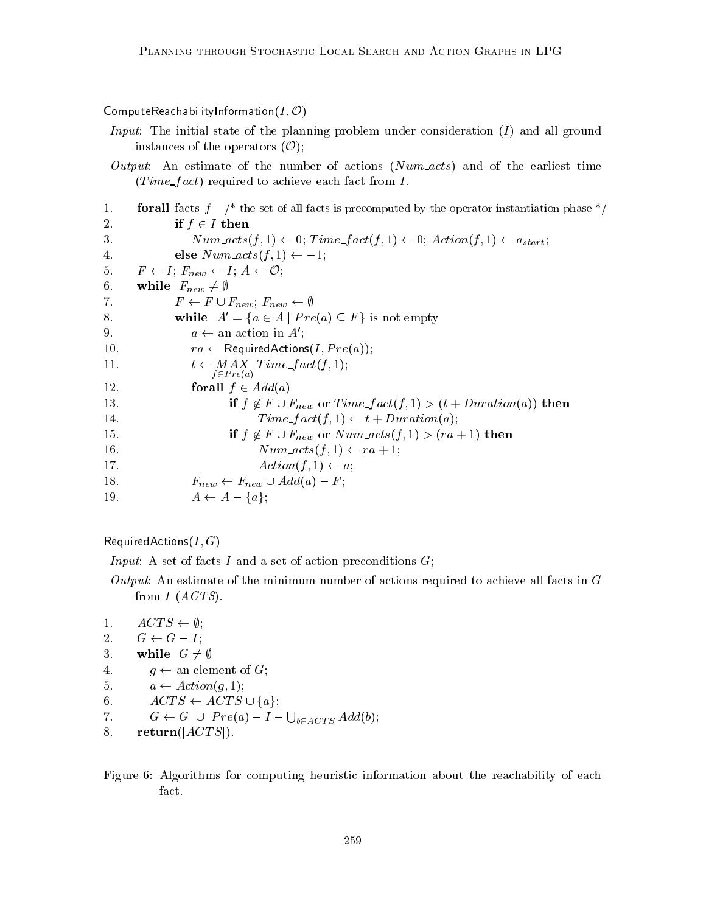ComputeReachabilityInformation( $I, \mathcal{O}$ )

- *Input*: The initial state of the planning problem under consideration  $(I)$  and all ground instances of the operators  $(\mathcal{O})$ ;
- *Output*: An estimate of the number of actions ( $Num\_acts$ ) and of the earliest time  $(Time\_fact)$  required to achieve each fact from I.

 $\overline{1}$ . **forall** facts  $f \neq$ <sup>\*</sup> the set of all facts is precomputed by the operator instantiation phase  $*/$ 2. if  $f \in I$  then 3.  $Num\_acts(f, 1) \leftarrow 0; Time\_fact(f, 1) \leftarrow 0; Action(f, 1) \leftarrow a_{start};$ 4. else  $Num\_acts(f, 1) \leftarrow -1;$  $F \leftarrow I; F_{new} \leftarrow I; A \leftarrow \mathcal{O};$ 5. 6. while  $F_{new} \neq \emptyset$ 7.  $F \leftarrow F \cup F_{new}; F_{new} \leftarrow \emptyset$ while  $A' = \{a \in A \mid Pre(a) \subseteq F\}$  is not empty 8. 9.  $a \leftarrow$  an action in  $A'$ ; 10.  $ra \leftarrow$  Required Actions  $(I, Pre(a));$  $t \leftarrow MAX$  Time\_fact(f, 1); 11.  $f\in Pre(a)$ 12. forall  $f \in Add(a)$ 13. if  $f \notin F \cup F_{new}$  or  $Time\_fact(f, 1) > (t +ّvarian(a)) then$ 14.  $Time\_fact(f, 1) \leftarrow t +ّoaration(a);$ if  $f \notin F \cup F_{new}$  or  $Num\_acts(f, 1) > (ra + 1)$  then 15.  $Num\_acts(f, 1) \leftarrow ra + 1;$ 16. 17.  $Action(f, 1) \leftarrow a;$ 18.  $F_{new} \leftarrow F_{new} \cup Add(a) - F;$ 19.  $A \leftarrow A - \{a\};$ 

Required Actions  $(I, G)$ 

*Input*: A set of facts I and a set of action preconditions  $G$ ;

- *Output*: An estimate of the minimum number of actions required to achieve all facts in  $G$ from  $I(ACTS)$ .
- $ACTS \leftarrow \emptyset$ : 1.
- $\overline{2}$ .  $G \leftarrow G - I$
- while  $G \neq \emptyset$ 3.
- 4.  $g \leftarrow$  an element of G;
- 5.  $a \leftarrow Action(g, 1);$
- 6.  $ACTS \leftarrow ACTS \cup \{a\};$
- 7.  $G \leftarrow G \cup Pre(a) - I - \bigcup_{b \in ACTS} Add(b);$
- 8.  $return(|ACTS|)$ .

Figure 6: Algorithms for computing heuristic information about the reachability of each fact.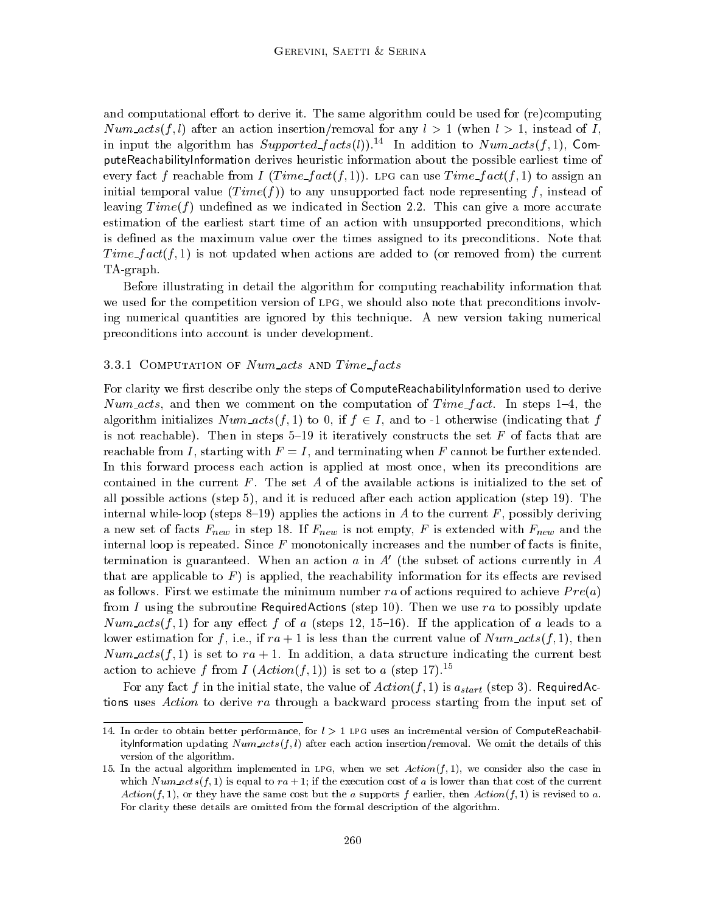and computational effort to derive it. The same algorithm could be used for (re)computing  $Num\_acts(f, l)$  after an action insertion/removal for any  $l > 1$  (when  $l > 1$ , instead of I, in input the algorithm has  $Supported_facts(l))$ .<sup>14</sup> In addition to  $Num\_acts(f, 1)$ , ComputeReachabilityInformation derives heuristic information about the possible earliest time of every fact f reachable from I  $(Time_fact(f, 1))$ . LPG can use  $Time_fact(f, 1)$  to assign an initial temporal value  $(Time(f))$  to any unsupported fact node representing f, instead of leaving  $Time(f)$  undefined as we indicated in Section 2.2. This can give a more accurate estimation of the earliest start time of an action with unsupported preconditions, which is defined as the maximum value over the times assigned to its preconditions. Note that  $Time\_{fact}(f,1)$  is not updated when actions are added to (or removed from) the current TA-graph.

Before illustrating in detail the algorithm for computing reachability information that we used for the competition version of LPG, we should also note that preconditions involving numerical quantities are ignored by this technique. A new version taking numerical preconditions into account is under development.

#### 3.3.1 COMPUTATION OF Num\_acts AND Time\_facts

For clarity we first describe only the steps of ComputeReachabilityInformation used to derive Num\_acts, and then we comment on the computation of  $Time\_fact$ . In steps 1-4, the algorithm initializes  $Num\_acts(f, 1)$  to 0, if  $f \in I$ , and to -1 otherwise (indicating that f is not reachable). Then in steps 5–19 it iteratively constructs the set  $F$  of facts that are reachable from I, starting with  $F = I$ , and terminating when F cannot be further extended. In this forward process each action is applied at most once, when its preconditions are contained in the current  $F$ . The set  $A$  of the available actions is initialized to the set of all possible actions (step 5), and it is reduced after each action application (step 19). The internal while-loop (steps 8–19) applies the actions in A to the current F, possibly deriving a new set of facts  $F_{new}$  in step 18. If  $F_{new}$  is not empty, F is extended with  $F_{new}$  and the internal loop is repeated. Since  $F$  monotonically increases and the number of facts is finite, termination is guaranteed. When an action  $a$  in  $A'$  (the subset of actions currently in A that are applicable to  $F$ ) is applied, the reachability information for its effects are revised as follows. First we estimate the minimum number ra of actions required to achieve  $Pre(a)$ from I using the subroutine Required Actions (step 10). Then we use ra to possibly update  $Num\_acts(f, 1)$  for any effect f of a (steps 12, 15-16). If the application of a leads to a lower estimation for f, i.e., if  $ra + 1$  is less than the current value of  $Num\_acts(f, 1)$ , then  $Num\_acts(f, 1)$  is set to  $ra + 1$ . In addition, a data structure indicating the current best action to achieve f from I  $(Action(f, 1))$  is set to a (step 17).<sup>15</sup>

For any fact f in the initial state, the value of  $Action(f, 1)$  is  $a_{start}$  (step 3). RequiredActions uses Action to derive ra through a backward process starting from the input set of

<sup>14.</sup> In order to obtain better performance, for  $l > 1$  LPG uses an incremental version of ComputeReachabilitylnformation updating  $Num\_acts(f, l)$  after each action insertion/removal. We omit the details of this version of the algorithm.

<sup>15.</sup> In the actual algorithm implemented in LPG, when we set  $Action(f, 1)$ , we consider also the case in which  $Num\_acts(f, 1)$  is equal to  $ra + 1$ ; if the execution cost of a is lower than that cost of the current  $Action(f, 1)$ , or they have the same cost but the a supports f earlier, then  $Action(f, 1)$  is revised to a. For clarity these details are omitted from the formal description of the algorithm.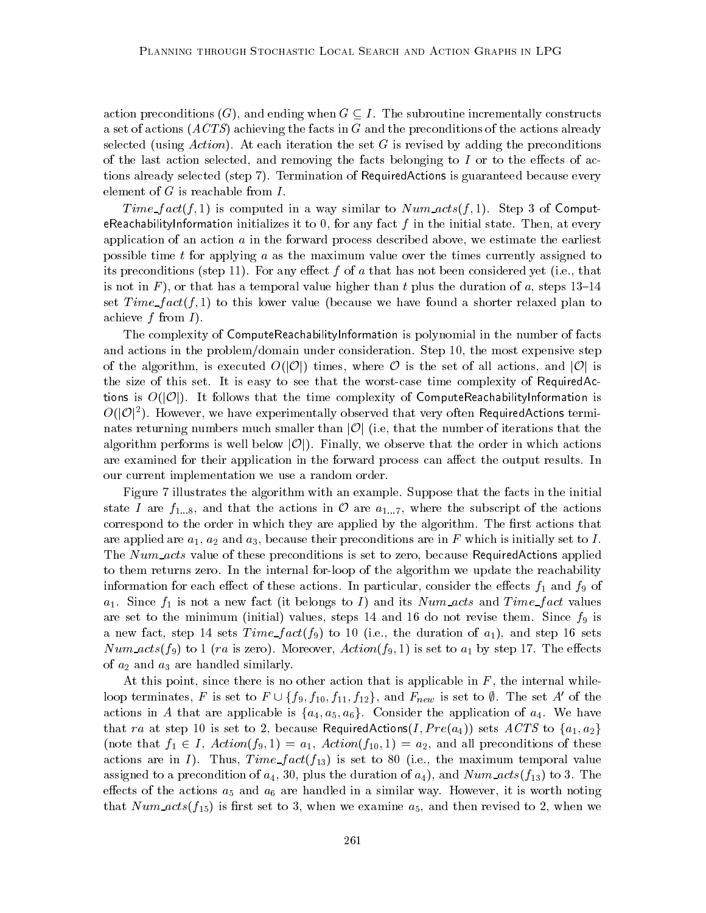action preconditions  $(G)$ , and ending when  $G \subseteq I$ . The subroutine incrementally constructs a set of actions  $(ACTS)$  achieving the facts in G and the preconditions of the actions already selected (using Action). At each iteration the set  $G$  is revised by adding the preconditions of the last action selected, and removing the facts belonging to  $I$  or to the effects of actions already selected (step 7). Termination of Required Actions is guaranteed because every element of  $G$  is reachable from  $I$ .

Time-fact(f, 1) is computed in a way similar to  $Num\_acts(f, 1)$ . Step 3 of ComputeReachability Information initializes it to 0, for any fact  $f$  in the initial state. Then, at every application of an action  $a$  in the forward process described above, we estimate the earliest possible time t for applying a as the maximum value over the times currently assigned to its preconditions (step 11). For any effect f of a that has not been considered yet (i.e., that is not in F, or that has a temporal value higher than t plus the duration of a, steps 13–14 set  $Time\_fact(f, 1)$  to this lower value (because we have found a shorter relaxed plan to achieve  $f$  from  $I$ ).

The complexity of ComputeReachabilityInformation is polynomial in the number of facts and actions in the problem/domain under consideration. Step 10, the most expensive step of the algorithm, is executed  $O(|\mathcal{O}|)$  times, where  $\mathcal O$  is the set of all actions, and  $|\mathcal O|$  is the size of this set. It is easy to see that the worst-case time complexity of RequiredActions is  $O(|\mathcal{O}|)$ . It follows that the time complexity of ComputeReachabilityInformation is  $O(|\mathcal{O}|^2)$ . However, we have experimentally observed that very often Required Actions terminates returning numbers much smaller than  $|O|$  (i.e., that the number of iterations that the algorithm performs is well below  $|O|$ . Finally, we observe that the order in which actions are examined for their application in the forward process can affect the output results. In our current implementation we use a random order.

Figure 7 illustrates the algorithm with an example. Suppose that the facts in the initial state I are  $f_{1...8}$ , and that the actions in O are  $a_{1...7}$ , where the subscript of the actions correspond to the order in which they are applied by the algorithm. The first actions that are applied are  $a_1, a_2$  and  $a_3$ , because their preconditions are in F which is initially set to I. The Num acts value of these preconditions is set to zero, because Required Actions applied to them returns zero. In the internal for-loop of the algorithm we update the reachability information for each effect of these actions. In particular, consider the effects  $f_1$  and  $f_9$  of  $a_1$ . Since  $f_1$  is not a new fact (it belongs to I) and its  $Num\_acts$  and  $Time\_fact$  values are set to the minimum (initial) values, steps 14 and 16 do not revise them. Since  $f_9$  is a new fact, step 14 sets  $Time\_{fact}(f_9)$  to 10 (i.e., the duration of  $a_1$ ), and step 16 sets  $Num\_acts(f_9)$  to 1 (ra is zero). Moreover,  $Action(f_9, 1)$  is set to  $a_1$  by step 17. The effects of  $a_2$  and  $a_3$  are handled similarly.

At this point, since there is no other action that is applicable in  $F$ , the internal whileloop terminates, F is set to  $F \cup \{f_9, f_{10}, f_{11}, f_{12}\}$ , and  $F_{new}$  is set to  $\emptyset$ . The set A' of the actions in A that are applicable is  $\{a_4, a_5, a_6\}$ . Consider the application of  $a_4$ . We have that ra at step 10 is set to 2, because RequiredActions(I,  $Pre(a_4)$ ) sets  $ACTS$  to  $\{a_1, a_2\}$ (note that  $f_1 \in I$ ,  $Action(f_9, 1) = a_1$ ,  $Action(f_{10}, 1) = a_2$ , and all preconditions of these actions are in I). Thus,  $Time\text{-}fact(f_{13})$  is set to 80 (i.e., the maximum temporal value assigned to a precondition of  $a_4$ , 30, plus the duration of  $a_4$ ), and  $Num\_acts(f_{13})$  to 3. The effects of the actions  $a_5$  and  $a_6$  are handled in a similar way. However, it is worth noting that  $Num\_acts(f_{15})$  is first set to 3, when we examine  $a_5$ , and then revised to 2, when we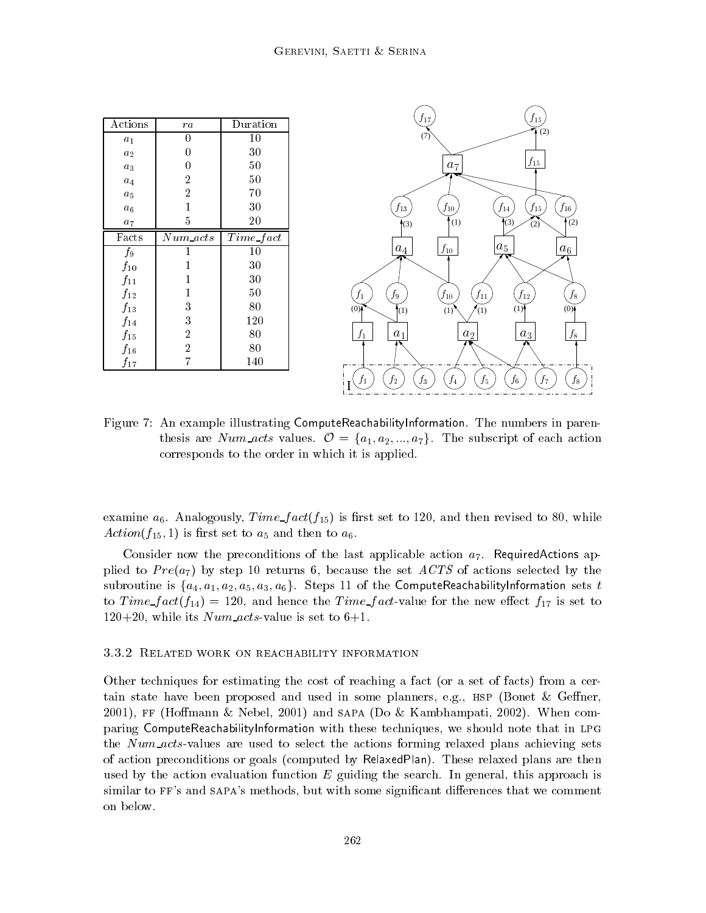| Actions             | ra                     | Duration  | $f_{17}$<br>$f_{15}$<br>$\overline{4}$ (2)                                                                                                |
|---------------------|------------------------|-----------|-------------------------------------------------------------------------------------------------------------------------------------------|
| $a_1$               | $\boldsymbol{0}$       | 10        | (7)                                                                                                                                       |
| $\boldsymbol{a}_2$  | $\boldsymbol{0}$       | $30\,$    |                                                                                                                                           |
| $a_3$               | $\boldsymbol{0}$       | $50\,$    | $f_{\rm 15}$<br>$\boldsymbol{a}_7$                                                                                                        |
| $\boldsymbol{a}_4$  | $\overline{2}$         | $50\,$    |                                                                                                                                           |
| $a_5$               | $\overline{2}$         | 70        |                                                                                                                                           |
| $a_6$               | T                      | $30\,$    | $f_{10}$<br>$f_{16}$<br>$f_{13}$<br>$f_{14}$<br>$f_{15}$                                                                                  |
| $\boldsymbol{a}_7$  | $\overline{5}$         | $20\,$    | (3)<br>(2)<br>(1)<br>(3)<br>(2)                                                                                                           |
| Facts               | $\overline{Num}\_acts$ | Time~fact |                                                                                                                                           |
| $f_{9}$             | T                      | 10        | $a_5$<br>$a_6$<br>$a_4$<br>$f_{\rm 10}$<br>$\overline{\phantom{a}}$                                                                       |
| $f_{10}$            | 1                      | $30\,$    |                                                                                                                                           |
| $\mathfrak{f}_{11}$ | 1                      | $30\,$    |                                                                                                                                           |
| $f_{12}$            | 1                      | $50\,$    | $f_{9}% =f_{9}\equiv\sqrt{\left( 1-\left( 1-\delta\right) ^{2}+\delta\right) ^{4}}$<br>$f_{10}$<br>$f_{11}$<br>$f_{12}$<br>$f_8$<br>$f_1$ |
| $f_{13}$            | $\overline{3}$         | 80        | (0)<br>(0)<br>(1)<br>(1)<br>(1)<br>(1)                                                                                                    |
| $f_{14}$            | 3                      | 120       |                                                                                                                                           |
| $f_{15}$            | $\overline{2}$         | 80        | $a_2$<br>$f_1$<br>$a_1$<br>$a_3$<br>$f_8$                                                                                                 |
| $f_{16}$            | $\overline{2}$         | 80        |                                                                                                                                           |
| $f_{17}$            | 7                      | 140       |                                                                                                                                           |
|                     |                        |           | $\mathfrak{f}_4$<br>$f_7$<br>$f_5$<br>$f_{6}$<br>$f_2$<br>$f_3$<br>$f_{8}$<br>$f_1$                                                       |
|                     |                        |           |                                                                                                                                           |

Figure 7: An example illustrating ComputeReachabilityInformation. The numbers in parenthesis are Num\_acts values.  $\mathcal{O} = \{a_1, a_2, ..., a_7\}$ . The subscript of each action corresponds to the order in which it is applied.

examine  $a_6$ . Analogously, Time\_fact(f<sub>15</sub>) is first set to 120, and then revised to 80, while  $Action(f_{15}, 1)$  is first set to  $a_5$  and then to  $a_6$ .

Consider now the preconditions of the last applicable action  $a_7$ . Required Actions applied to  $Pre(a_7)$  by step 10 returns 6, because the set ACTS of actions selected by the subroutine is  $\{a_4, a_1, a_2, a_5, a_3, a_6\}$ . Steps 11 of the ComputeReachabilityInformation sets t to Time\_ $fact(f_{14}) = 120$ , and hence the Time\_fact-value for the new effect  $f_{17}$  is set to  $120+20$ , while its  $Num\_acts$ -value is set to  $6+1$ .

#### 3.3.2 RELATED WORK ON REACHABILITY INFORMATION

Other techniques for estimating the cost of reaching a fact (or a set of facts) from a certain state have been proposed and used in some planners, e.g., HSP (Bonet & Geffner, 2001), FF (Hoffmann & Nebel, 2001) and SAPA (Do & Kambhampati, 2002). When comparing ComputeReachabilityInformation with these techniques, we should note that in LPG the Num acts-values are used to select the actions forming relaxed plans achieving sets of action preconditions or goals (computed by RelaxedPlan). These relaxed plans are then used by the action evaluation function E guiding the search. In general, this approach is similar to FF's and SAPA's methods, but with some significant differences that we comment on below.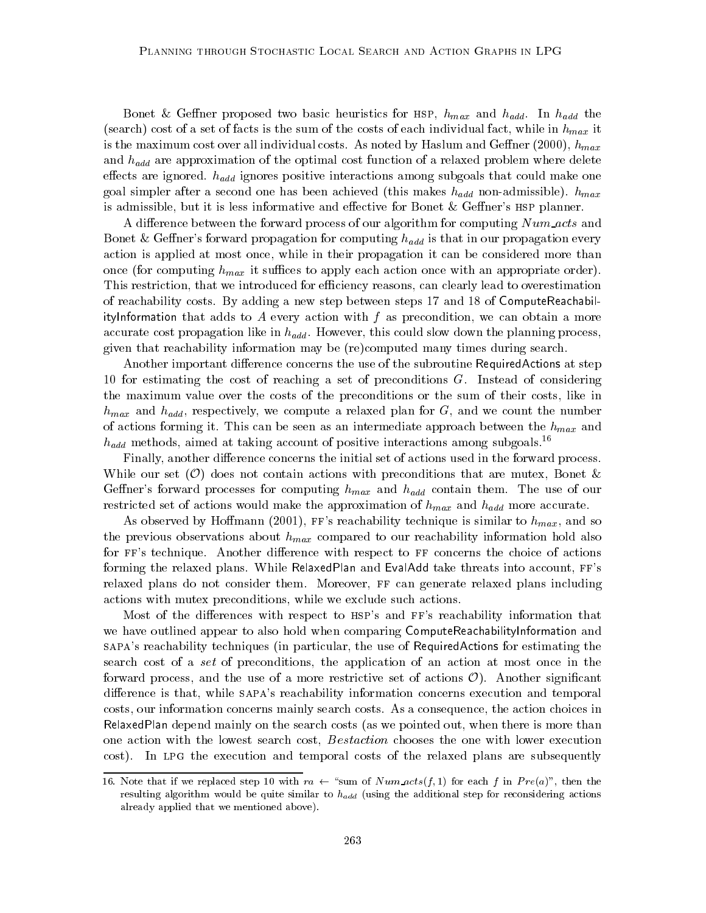Bonet & Geffner proposed two basic heuristics for HSP,  $h_{max}$  and  $h_{add}$ . In  $h_{add}$  the (search) cost of a set of facts is the sum of the costs of each individual fact, while in  $h_{max}$  it is the maximum cost over all individual costs. As noted by Haslum and Geffner (2000),  $h_{max}$ and  $h_{add}$  are approximation of the optimal cost function of a relaxed problem where delete effects are ignored.  $h_{add}$  ignores positive interactions among subgoals that could make one goal simpler after a second one has been achieved (this makes  $h_{add}$  non-admissible).  $h_{max}$ is admissible, but it is less informative and effective for Bonet & Geffner's HSP planner.

A difference between the forward process of our algorithm for computing Num acts and Bonet & Geffner's forward propagation for computing  $h_{add}$  is that in our propagation every action is applied at most once, while in their propagation it can be considered more than once (for computing  $h_{max}$  it suffices to apply each action once with an appropriate order). This restriction, that we introduced for efficiency reasons, can clearly lead to overestimation of reachability costs. By adding a new step between steps 17 and 18 of ComputeReachabilitylnformation that adds to  $A$  every action with  $f$  as precondition, we can obtain a more accurate cost propagation like in  $h_{add}$ . However, this could slow down the planning process, given that reachability information may be (re)computed many times during search.

Another important difference concerns the use of the subroutine Required Actions at step 10 for estimating the cost of reaching a set of preconditions  $G$ . Instead of considering the maximum value over the costs of the preconditions or the sum of their costs, like in  $h_{max}$  and  $h_{add}$ , respectively, we compute a relaxed plan for G, and we count the number of actions forming it. This can be seen as an intermediate approach between the  $h_{max}$  and  $h_{add}$  methods, aimed at taking account of positive interactions among subgoals.<sup>16</sup>

Finally, another difference concerns the initial set of actions used in the forward process. While our set  $(0)$  does not contain actions with preconditions that are mutex, Bonet & Geffner's forward processes for computing  $h_{max}$  and  $h_{add}$  contain them. The use of our restricted set of actions would make the approximation of  $h_{max}$  and  $h_{add}$  more accurate.

As observed by Hoffmann (2001), FF's reachability technique is similar to  $h_{max}$ , and so the previous observations about  $h_{max}$  compared to our reachability information hold also for FF's technique. Another difference with respect to FF concerns the choice of actions forming the relaxed plans. While RelaxedPlan and EvalAdd take threats into account, FF's relaxed plans do not consider them. Moreover, FF can generate relaxed plans including actions with mutex preconditions, while we exclude such actions.

Most of the differences with respect to HSP's and FF's reachability information that we have outlined appear to also hold when comparing ComputeReachabilityInformation and SAPA's reachability techniques (in particular, the use of Required Actions for estimating the search cost of a set of preconditions, the application of an action at most once in the forward process, and the use of a more restrictive set of actions  $\mathcal{O}$ ). Another significant difference is that, while SAPA's reachability information concerns execution and temporal costs, our information concerns mainly search costs. As a consequence, the action choices in RelaxedPlan depend mainly on the search costs (as we pointed out, when there is more than one action with the lowest search cost, *Bestaction* chooses the one with lower execution cost). In LPG the execution and temporal costs of the relaxed plans are subsequently

<sup>16.</sup> Note that if we replaced step 10 with  $ra \leftarrow$  "sum of  $Num\_acts(f, 1)$  for each f in  $Pre(a)$ ", then the resulting algorithm would be quite similar to  $h_{add}$  (using the additional step for reconsidering actions already applied that we mentioned above).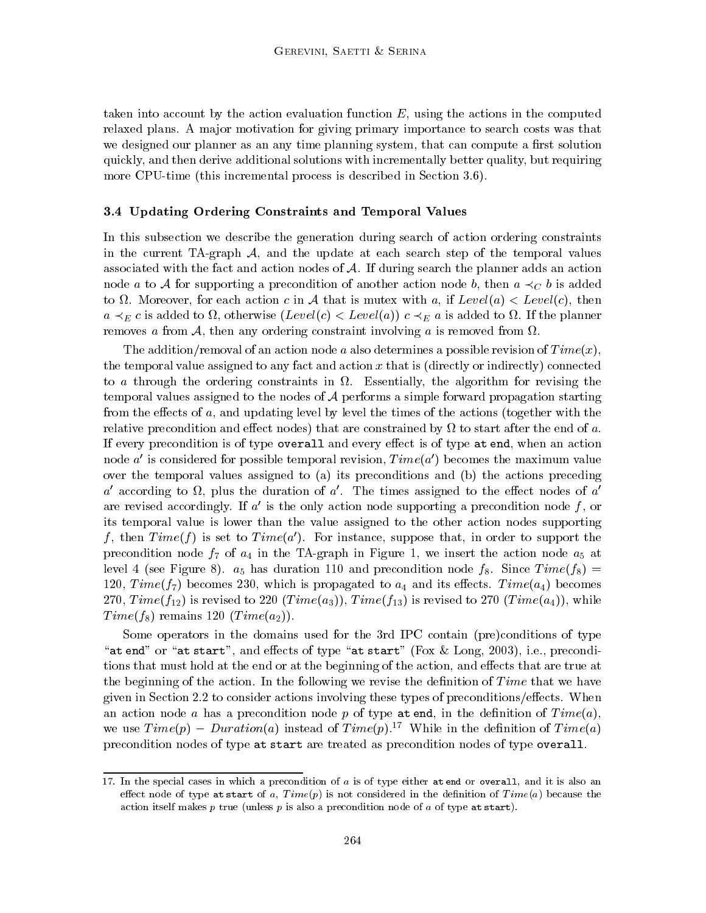taken into account by the action evaluation function  $E$ , using the actions in the computed relaxed plans. A major motivation for giving primary importance to search costs was that we designed our planner as an any time planning system, that can compute a first solution quickly, and then derive additional solutions with incrementally better quality, but requiring more CPU-time (this incremental process is described in Section 3.6).

### 3.4 Updating Ordering Constraints and Temporal Values

In this subsection we describe the generation during search of action ordering constraints in the current TA-graph  $A$ , and the update at each search step of the temporal values associated with the fact and action nodes of A. If during search the planner adds an action node a to A for supporting a precondition of another action node b, then  $a \prec_C b$  is added to  $\Omega$ . Moreover, for each action c in A that is mutex with a, if Level(a) < Level(c), then  $a \prec_E c$  is added to  $\Omega$ , otherwise  $(Level(c) < Level(a))$   $c \prec_E a$  is added to  $\Omega$ . If the planner removes a from  $A$ , then any ordering constraint involving a is removed from  $\Omega$ .

The addition/removal of an action node a also determines a possible revision of  $Time(x)$ , the temporal value assigned to any fact and action  $x$  that is (directly or indirectly) connected to a through the ordering constraints in  $\Omega$ . Essentially, the algorithm for revising the temporal values assigned to the nodes of  $A$  performs a simple forward propagation starting from the effects of  $a$ , and updating level by level the times of the actions (together with the relative precondition and effect nodes) that are constrained by  $\Omega$  to start after the end of a. If every precondition is of type overall and every effect is of type at end, when an action node a' is considered for possible temporal revision,  $Time(a')$  becomes the maximum value over the temporal values assigned to (a) its preconditions and (b) the actions preceding a' according to  $\Omega$ , plus the duration of a'. The times assigned to the effect nodes of a' are revised accordingly. If a' is the only action node supporting a precondition node f, or its temporal value is lower than the value assigned to the other action nodes supporting f, then  $Time(f)$  is set to  $Time(a')$ . For instance, suppose that, in order to support the precondition node  $f_7$  of  $a_4$  in the TA-graph in Figure 1, we insert the action node  $a_5$  at level 4 (see Figure 8).  $a_5$  has duration 110 and precondition node  $f_8$ . Since  $Time(f_8)$  = 120,  $Time(f_7)$  becomes 230, which is propagated to  $a_4$  and its effects.  $Time(a_4)$  becomes 270,  $Time(f_{12})$  is revised to 220  $(Time(a_3))$ ,  $Time(f_{13})$  is revised to 270  $(Time(a_4))$ , while  $Time(f_8)$  remains 120  $(Time(a_2))$ .

Some operators in the domains used for the 3rd IPC contain (pre)conditions of type "at end" or "at start", and effects of type "at start" (Fox & Long, 2003), i.e., preconditions that must hold at the end or at the beginning of the action, and effects that are true at the beginning of the action. In the following we revise the definition of Time that we have given in Section 2.2 to consider actions involving these types of preconditions/effects. When an action node a has a precondition node p of type at end, in the definition of  $Time(a)$ . we use  $Time(p)$  –  $Duration(a)$  instead of  $Time(p).^{17}$  While in the definition of  $Time(a)$ precondition nodes of type at start are treated as precondition nodes of type overall.

<sup>17.</sup> In the special cases in which a precondition of a is of type either at end or overall, and it is also an effect node of type at start of a,  $Time(p)$  is not considered in the definition of  $Time(a)$  because the action itself makes  $p$  true (unless  $p$  is also a precondition node of  $a$  of type at start).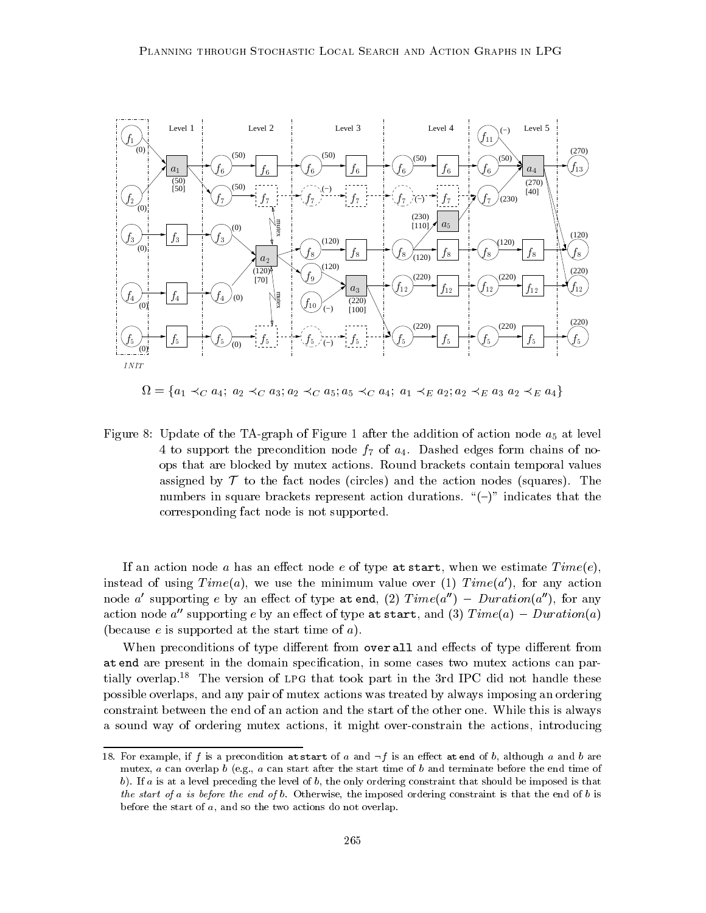

 $\Omega = \{a_1 \prec_C a_4; a_2 \prec_C a_3; a_2 \prec_C a_5; a_5 \prec_C a_4; a_1 \prec_E a_2; a_2 \prec_E a_3 a_2 \prec_E a_4\}$ 

Figure 8: Update of the TA-graph of Figure 1 after the addition of action node  $a_5$  at level 4 to support the precondition node  $f_7$  of  $a_4$ . Dashed edges form chains of noops that are blocked by mutex actions. Round brackets contain temporal values assigned by  $\mathcal T$  to the fact nodes (circles) and the action nodes (squares). The numbers in square brackets represent action durations. " $(-)$ " indicates that the corresponding fact node is not supported.

If an action node a has an effect node e of type at start, when we estimate  $Time(e)$ , instead of using  $Time(a)$ , we use the minimum value over (1)  $Time(a')$ , for any action node a' supporting e by an effect of type at end, (2)  $Time(a'') -ّ$   $Duration(a'')$ , for any action node a" supporting e by an effect of type at start, and (3)  $Time(a) -ّ}$   $Duration(a)$ (because e is supported at the start time of  $a$ ).

When preconditions of type different from overall and effects of type different from at end are present in the domain specification, in some cases two mutex actions can partially overlap.<sup>18</sup> The version of LPG that took part in the 3rd IPC did not handle these possible overlaps, and any pair of mutex actions was treated by always imposing an ordering constraint between the end of an action and the start of the other one. While this is always a sound way of ordering mutex actions, it might over-constrain the actions, introducing

<sup>18.</sup> For example, if f is a precondition at start of a and  $\neg f$  is an effect at end of b, although a and b are mutex, a can overlap  $b$  (e.g., a can start after the start time of b and terminate before the end time of b). If a is at a level preceding the level of b, the only ordering constraint that should be imposed is that the start of a is before the end of b. Otherwise, the imposed ordering constraint is that the end of b is before the start of  $a$ , and so the two actions do not overlap.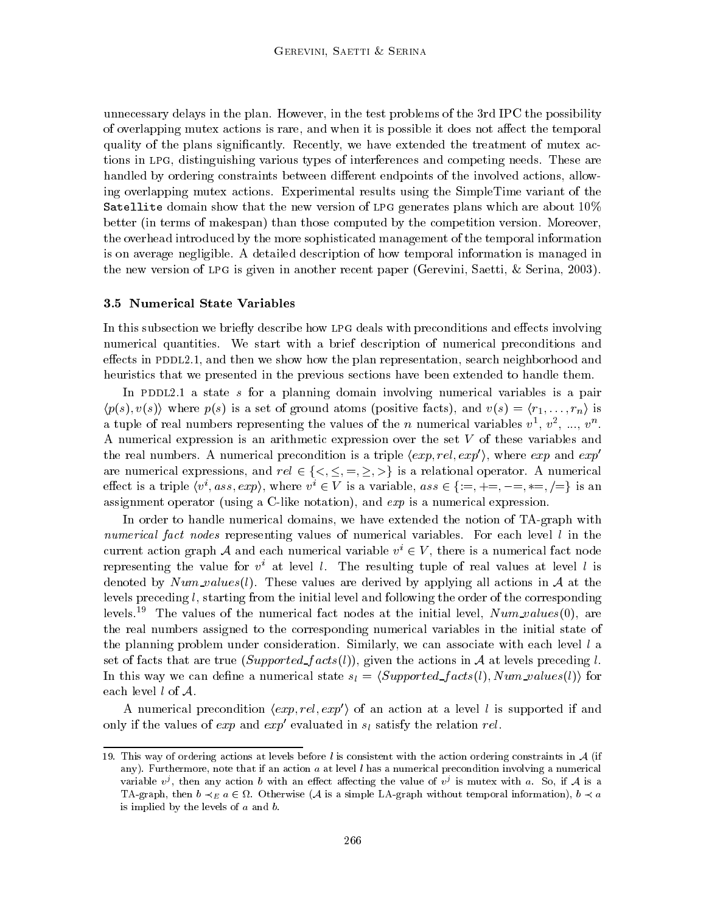unnecessary delays in the plan. However, in the test problems of the 3rd IPC the possibility of overlapping mutex actions is rare, and when it is possible it does not affect the temporal quality of the plans significantly. Recently, we have extended the treatment of mutex actions in LPG, distinguishing various types of interferences and competing needs. These are handled by ordering constraints between different endpoints of the involved actions, allowing overlapping mutex actions. Experimental results using the SimpleTime variant of the Satellite domain show that the new version of LPG generates plans which are about  $10\%$ better (in terms of makespan) than those computed by the competition version. Moreover, the overhead introduced by the more sophisticated management of the temporal information is on average negligible. A detailed description of how temporal information is managed in the new version of LPG is given in another recent paper (Gerevini, Saetti, & Serina, 2003).

#### 3.5 Numerical State Variables

In this subsection we briefly describe how LPG deals with preconditions and effects involving numerical quantities. We start with a brief description of numerical preconditions and effects in PDDL2.1, and then we show how the plan representation, search neighborhood and heuristics that we presented in the previous sections have been extended to handle them.

In PDDL2.1 a state  $s$  for a planning domain involving numerical variables is a pair  $\langle p(s), v(s) \rangle$  where  $p(s)$  is a set of ground atoms (positive facts), and  $v(s) = \langle r_1, \ldots, r_n \rangle$  is a tuple of real numbers representing the values of the *n* numerical variables  $v^1, v^2, ..., v^n$ . A numerical expression is an arithmetic expression over the set V of these variables and the real numbers. A numerical precondition is a triple  $\langle exp, rel, exp' \rangle$ , where  $exp$  and  $exp'$ are numerical expressions, and  $rel \in \{<,\leq,=,\geq,>\}$  is a relational operator. A numerical effect is a triple  $\langle v^i, ass, exp \rangle$ , where  $v^i \in V$  is a variable,  $ass \in \{:=, +=, -=, *=, /= \}$  is an assignment operator (using a C-like notation), and  $exp$  is a numerical expression.

In order to handle numerical domains, we have extended the notion of TA-graph with numerical fact nodes representing values of numerical variables. For each level l in the current action graph A and each numerical variable  $v^i \in V$ , there is a numerical fact node representing the value for  $v^i$  at level l. The resulting tuple of real values at level l is denoted by  $Num\_values(l)$ . These values are derived by applying all actions in A at the levels preceding  $l$ , starting from the initial level and following the order of the corresponding levels.<sup>19</sup> The values of the numerical fact nodes at the initial level,  $Num\_values(0)$ , are the real numbers assigned to the corresponding numerical variables in the initial state of the planning problem under consideration. Similarly, we can associate with each level l a set of facts that are true  $(Supported\_facts(l))$ , given the actions in A at levels preceding l. In this way we can define a numerical state  $s_l = \langle Supported\_facts(l), Num\_values(l) \rangle$  for each level  $l$  of  $A$ .

A numerical precondition  $\langle exp, rel, exp' \rangle$  of an action at a level l is supported if and only if the values of  $exp$  and  $exp'$  evaluated in  $s<sub>l</sub>$  satisfy the relation rel.

<sup>19.</sup> This way of ordering actions at levels before l is consistent with the action ordering constraints in  $A$  (if any). Furthermore, note that if an action a at level l has a numerical precondition involving a numerical variable  $v^j$ , then any action b with an effect affecting the value of  $v^j$  is mutex with a. So, if A is a TA-graph, then  $b \prec_E a \in \Omega$ . Otherwise (A is a simple LA-graph without temporal information),  $b \prec a$ is implied by the levels of  $a$  and  $b$ .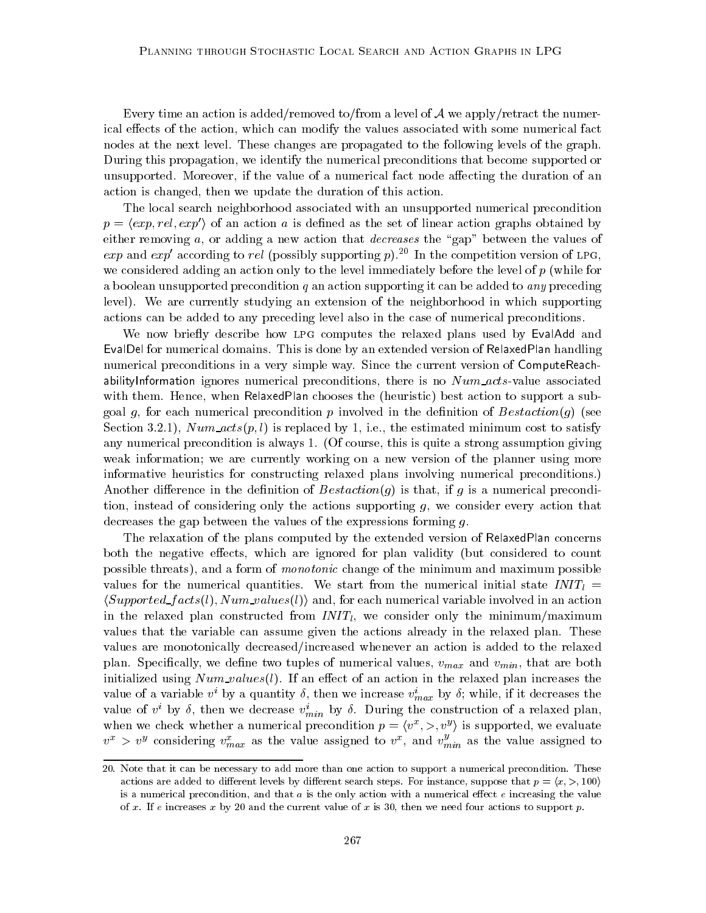Every time an action is added/removed to/from a level of  $A$  we apply/retract the numerical effects of the action, which can modify the values associated with some numerical fact nodes at the next level. These changes are propagated to the following levels of the graph. During this propagation, we identify the numerical preconditions that become supported or unsupported. Moreover, if the value of a numerical fact node affecting the duration of an action is changed, then we update the duration of this action.

The local search neighborhood associated with an unsupported numerical precondition  $p = \langle exp, rel, exp' \rangle$  of an action a is defined as the set of linear action graphs obtained by either removing  $a$ , or adding a new action that *decreases* the "gap" between the values of exp and exp' according to rel (possibly supporting p).<sup>20</sup> In the competition version of LPG, we considered adding an action only to the level immediately before the level of  $p$  (while for a boolean unsupported precondition  $q$  an action supporting it can be added to any preceding level). We are currently studying an extension of the neighborhood in which supporting actions can be added to any preceding level also in the case of numerical preconditions.

We now briefly describe how LPG computes the relaxed plans used by EvalAdd and EvalDel for numerical domains. This is done by an extended version of RelaxedPlan handling numerical preconditions in a very simple way. Since the current version of ComputeReachabilitylnformation ignores numerical preconditions, there is no  $Num\_acts$ -value associated with them. Hence, when RelaxedPlan chooses the (heuristic) best action to support a subgoal g, for each numerical precondition p involved in the definition of  $Bestaction(g)$  (see Section 3.2.1),  $Num\_acts(p, l)$  is replaced by 1, i.e., the estimated minimum cost to satisfy any numerical precondition is always 1. (Of course, this is quite a strong assumption giving weak information; we are currently working on a new version of the planner using more informative heuristics for constructing relaxed plans involving numerical preconditions.) Another difference in the definition of *Bestaction*(q) is that, if q is a numerical precondition, instead of considering only the actions supporting g, we consider every action that decreases the gap between the values of the expressions forming  $q$ .

The relaxation of the plans computed by the extended version of RelaxedPlan concerns both the negative effects, which are ignored for plan validity (but considered to count possible threats), and a form of *monotonic* change of the minimum and maximum possible values for the numerical quantities. We start from the numerical initial state  $INT_{l} =$  $\langle Supported_facts(l), Num\_values(l)\rangle$  and, for each numerical variable involved in an action in the relaxed plan constructed from  $INIT_l$ , we consider only the minimum/maximum values that the variable can assume given the actions already in the relaxed plan. These values are monotonically decreased/increased whenever an action is added to the relaxed plan. Specifically, we define two tuples of numerical values,  $v_{max}$  and  $v_{min}$ , that are both initialized using  $Num\_values(l)$ . If an effect of an action in the relaxed plan increases the value of a variable  $v^i$  by a quantity  $\delta$ , then we increase  $v^i_{max}$  by  $\delta$ ; while, if it decreases the value of  $v^i$  by  $\delta$ , then we decrease  $v^i_{min}$  by  $\delta$ . During the construction of a relaxed plan, when we check whether a numerical precondition  $p = \langle v^x, \rangle, v^y \rangle$  is supported, we evaluate  $v^x > v^y$  considering  $v_{max}^x$  as the value assigned to  $v^x$ , and  $v_{min}^y$  as the value assigned to

<sup>20.</sup> Note that it can be necessary to add more than one action to support a numerical precondition. These actions are added to different levels by different search steps. For instance, suppose that  $p = \langle x, \rangle$ , 100) is a numerical precondition, and that  $a$  is the only action with a numerical effect  $e$  increasing the value of x. If e increases x by 20 and the current value of x is 30, then we need four actions to support p.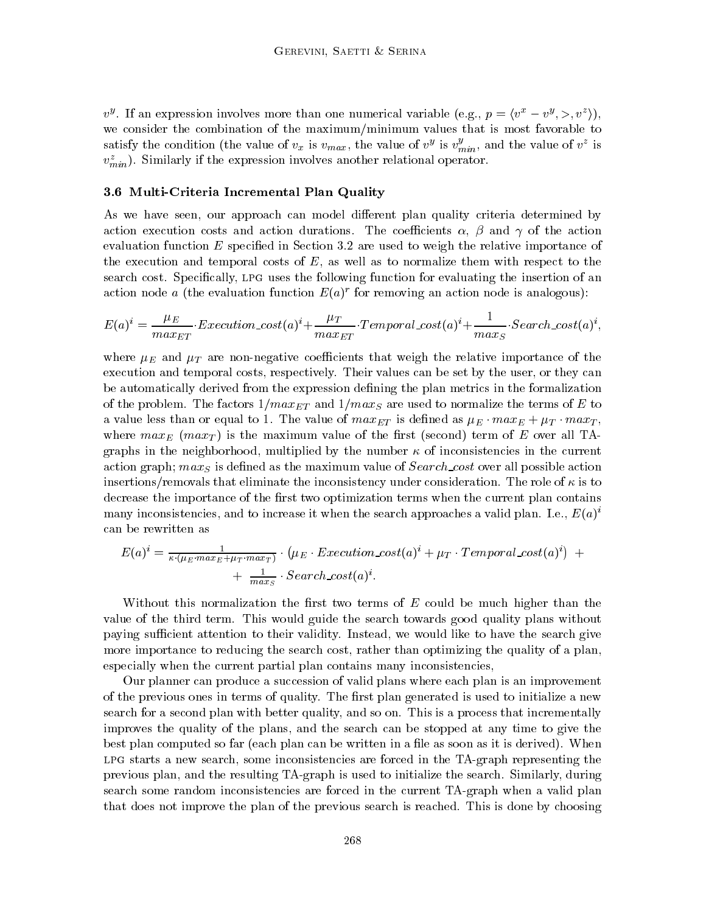$v^y$ . If an expression involves more than one numerical variable (e.g.,  $p = \langle v^x - v^y, \rangle, v^z \rangle$ ), we consider the combination of the maximum/minimum values that is most favorable to satisfy the condition (the value of  $v_x$  is  $v_{max}$ , the value of  $v^y$  is  $v_{min}^y$ , and the value of  $v^z$  is  $v_{min}^z$ ). Similarly if the expression involves another relational operator.

#### 3.6 Multi-Criteria Incremental Plan Quality

As we have seen, our approach can model different plan quality criteria determined by action execution costs and action durations. The coefficients  $\alpha$ ,  $\beta$  and  $\gamma$  of the action evaluation function  $E$  specified in Section 3.2 are used to weigh the relative importance of the execution and temporal costs of  $E$ , as well as to normalize them with respect to the search cost. Specifically, LPG uses the following function for evaluating the insertion of an action node a (the evaluation function  $E(a)^r$  for removing an action node is analogous):

$$
E(a)^{i} = \frac{\mu_{E}}{max_{ET}} \cdot Execution\_cost(a)^{i} + \frac{\mu_{T}}{max_{ET}} \cdot Temporal\_cost(a)^{i} + \frac{1}{max_{S}} \cdot Search\_cost(a)^{i},
$$

where  $\mu_E$  and  $\mu_T$  are non-negative coefficients that weigh the relative importance of the execution and temporal costs, respectively. Their values can be set by the user, or they can be automatically derived from the expression defining the plan metrics in the formalization of the problem. The factors  $1/max_{ET}$  and  $1/max_S$  are used to normalize the terms of E to a value less than or equal to 1. The value of  $max_{ET}$  is defined as  $\mu_E \cdot max_E + \mu_T \cdot max_T$ , where  $max_F$  (max<sub>T</sub>) is the maximum value of the first (second) term of E over all TAgraphs in the neighborhood, multiplied by the number  $\kappa$  of inconsistencies in the current action graph;  $max_S$  is defined as the maximum value of Search cost over all possible action insertions/removals that eliminate the inconsistency under consideration. The role of  $\kappa$  is to decrease the importance of the first two optimization terms when the current plan contains many inconsistencies, and to increase it when the search approaches a valid plan. I.e.,  $E(a)^{i}$ can be rewritten as

$$
E(a)^i = \frac{1}{\kappa \cdot (\mu_E \cdot max_E + \mu_T \cdot max_T)} \cdot (\mu_E \cdot Execution\_cost(a)^i + \mu_T \cdot Temporal\_cost(a)^i) + \frac{1}{\max_{i} \cdot Search\_cost(a)^i}.
$$

Without this normalization the first two terms of  $E$  could be much higher than the value of the third term. This would guide the search towards good quality plans without paying sufficient attention to their validity. Instead, we would like to have the search give more importance to reducing the search cost, rather than optimizing the quality of a plan. especially when the current partial plan contains many inconsistencies,

Our planner can produce a succession of valid plans where each plan is an improvement of the previous ones in terms of quality. The first plan generated is used to initialize a new search for a second plan with better quality, and so on. This is a process that incrementally improves the quality of the plans, and the search can be stopped at any time to give the best plan computed so far (each plan can be written in a file as soon as it is derived). When LPG starts a new search, some inconsistencies are forced in the TA-graph representing the previous plan, and the resulting TA-graph is used to initialize the search. Similarly, during search some random inconsistencies are forced in the current TA-graph when a valid plan that does not improve the plan of the previous search is reached. This is done by choosing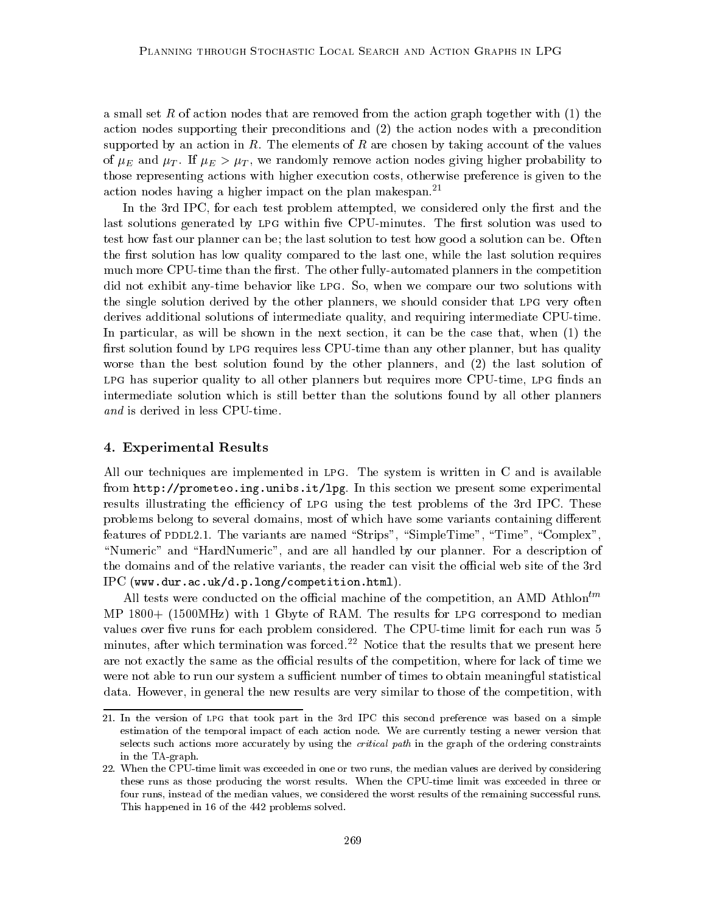a small set R of action nodes that are removed from the action graph together with  $(1)$  the action nodes supporting their preconditions and (2) the action nodes with a precondition supported by an action in  $R$ . The elements of  $R$  are chosen by taking account of the values of  $\mu_E$  and  $\mu_T$ . If  $\mu_E > \mu_T$ , we randomly remove action nodes giving higher probability to those representing actions with higher execution costs, otherwise preference is given to the action nodes having a higher impact on the plan makespan.<sup>21</sup>

In the 3rd IPC, for each test problem attempted, we considered only the first and the last solutions generated by LPG within five CPU-minutes. The first solution was used to test how fast our planner can be; the last solution to test how good a solution can be. Often the first solution has low quality compared to the last one, while the last solution requires much more CPU-time than the first. The other fully-automated planners in the competition did not exhibit any-time behavior like LPG. So, when we compare our two solutions with the single solution derived by the other planners, we should consider that LPG very often derives additional solutions of intermediate quality, and requiring intermediate CPU-time. In particular, as will be shown in the next section, it can be the case that, when (1) the first solution found by LPG requires less CPU-time than any other planner, but has quality worse than the best solution found by the other planners, and (2) the last solution of LPG has superior quality to all other planners but requires more CPU-time, LPG finds an intermediate solution which is still better than the solutions found by all other planners and is derived in less CPU-time.

#### 4. Experimental Results

All our techniques are implemented in LPG. The system is written in C and is available from http://prometeo.ing.unibs.it/lpg. In this section we present some experimental results illustrating the efficiency of LPG using the test problems of the 3rd IPC. These problems belong to several domains, most of which have some variants containing different features of PDDL2.1. The variants are named "Strips", "SimpleTime", "Time", "Complex", "Numeric" and "HardNumeric", and are all handled by our planner. For a description of the domains and of the relative variants, the reader can visit the official web site of the 3rd IPC (www.dur.ac.uk/d.p.long/competition.html).

All tests were conducted on the official machine of the competition, an AMD Athlon<sup>tm</sup> MP 1800+ (1500MHz) with 1 Gbyte of RAM. The results for LPG correspond to median values over five runs for each problem considered. The CPU-time limit for each run was 5 minutes, after which termination was forced.<sup>22</sup> Notice that the results that we present here are not exactly the same as the official results of the competition, where for lack of time we were not able to run our system a sufficient number of times to obtain meaningful statistical data. However, in general the new results are very similar to those of the competition, with

<sup>21.</sup> In the version of LPG that took part in the 3rd IPC this second preference was based on a simple estimation of the temporal impact of each action node. We are currently testing a newer version that selects such actions more accurately by using the *critical path* in the graph of the ordering constraints in the TA-graph.

<sup>22.</sup> When the CPU-time limit was exceeded in one or two runs, the median values are derived by considering these runs as those producing the worst results. When the CPU-time limit was exceeded in three or four runs, instead of the median values, we considered the worst results of the remaining successful runs. This happened in 16 of the 442 problems solved.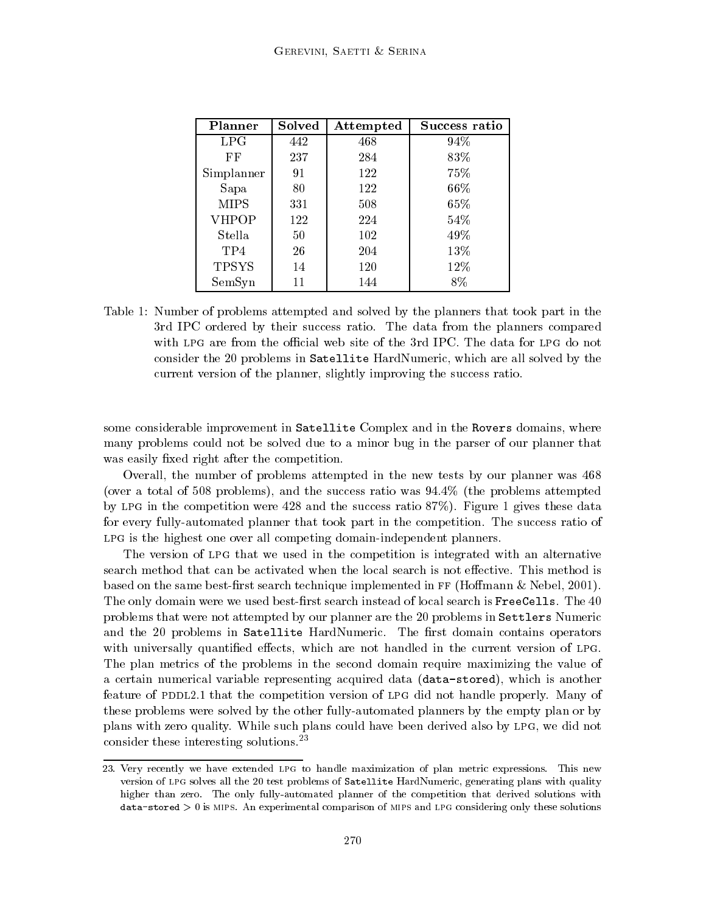| Planner      | Solved | Attempted | Success ratio |
|--------------|--------|-----------|---------------|
| LPG          | 442    | 468       | 94%           |
| FF           | 237    | 284       | 83%           |
| Simplanner   | 91     | 122       | 75%           |
| Sapa         | 80     | 122       | 66%           |
| <b>MIPS</b>  | 331    | 508       | 65%           |
| <b>VHPOP</b> | 122    | 224       | 54%           |
| Stella       | 50     | 102       | 49%           |
| TP4          | 26     | 204       | 13%           |
| <b>TPSYS</b> | 14     | 120       | 12%           |
| SemSyn       | 11     | 144       | 8%            |

Table 1: Number of problems attempted and solved by the planners that took part in the 3rd IPC ordered by their success ratio. The data from the planners compared with LPG are from the official web site of the 3rd IPC. The data for LPG do not consider the 20 problems in Satellite HardNumeric, which are all solved by the current version of the planner, slightly improving the success ratio.

some considerable improvement in Satellite Complex and in the Rovers domains, where many problems could not be solved due to a minor bug in the parser of our planner that was easily fixed right after the competition.

Overall, the number of problems attempted in the new tests by our planner was 468 (over a total of 508 problems), and the success ratio was 94.4% (the problems attempted by LPG in the competition were 428 and the success ratio 87%). Figure 1 gives these data for every fully-automated planner that took part in the competition. The success ratio of LPG is the highest one over all competing domain-independent planners.

The version of LPG that we used in the competition is integrated with an alternative search method that can be activated when the local search is not effective. This method is based on the same best-first search technique implemented in FF (Hoffmann & Nebel, 2001). The only domain were we used best-first search instead of local search is FreeCells. The 40 problems that were not attempted by our planner are the 20 problems in Settlers Numeric and the 20 problems in Satellite HardNumeric. The first domain contains operators with universally quantified effects, which are not handled in the current version of LPG. The plan metrics of the problems in the second domain require maximizing the value of a certain numerical variable representing acquired data (data-stored), which is another feature of PDDL2.1 that the competition version of LPG did not handle properly. Many of these problems were solved by the other fully-automated planners by the empty plan or by plans with zero quality. While such plans could have been derived also by LPG, we did not consider these interesting solutions. $^{23}$ 

<sup>23.</sup> Very recently we have extended LPG to handle maximization of plan metric expressions. This new version of LPG solves all the 20 test problems of Satellite HardNumeric, generating plans with quality higher than zero. The only fully-automated planner of the competition that derived solutions with  $data-stored > 0$  is MIPS. An experimental comparison of MIPS and LPG considering only these solutions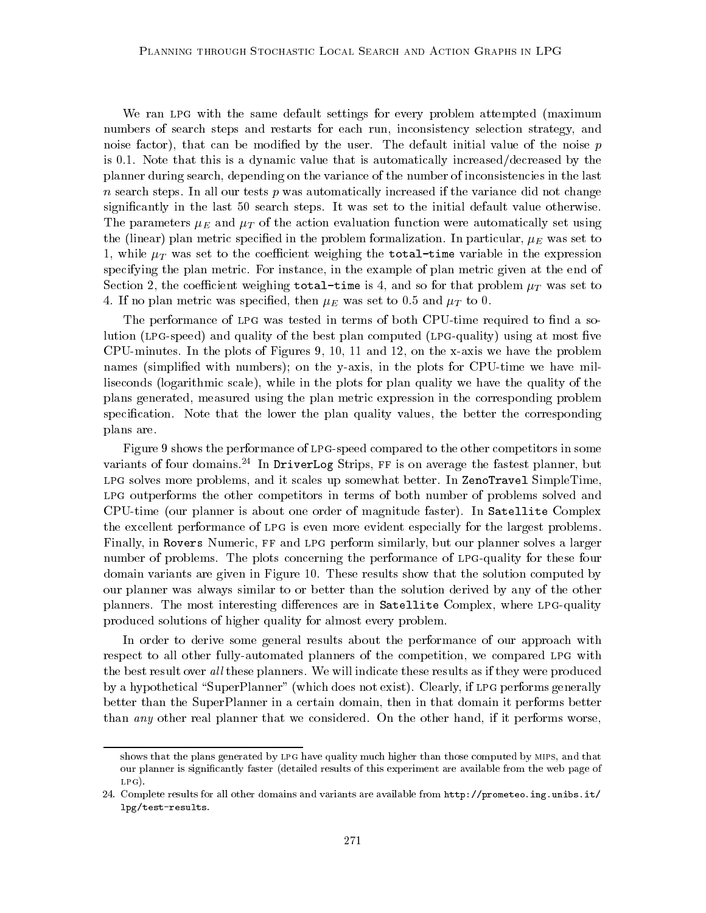We ran LPG with the same default settings for every problem attempted (maximum numbers of search steps and restarts for each run, inconsistency selection strategy, and noise factor), that can be modified by the user. The default initial value of the noise  $p$ is 0.1. Note that this is a dynamic value that is automatically increased/decreased by the planner during search, depending on the variance of the number of inconsistencies in the last n search steps. In all our tests p was automatically increased if the variance did not change significantly in the last 50 search steps. It was set to the initial default value otherwise. The parameters  $\mu_E$  and  $\mu_T$  of the action evaluation function were automatically set using the (linear) plan metric specified in the problem formalization. In particular,  $\mu_E$  was set to 1, while  $\mu_T$  was set to the coefficient weighing the total-time variable in the expression specifying the plan metric. For instance, in the example of plan metric given at the end of Section 2, the coefficient weighing total-time is 4, and so for that problem  $\mu_T$  was set to 4. If no plan metric was specified, then  $\mu_E$  was set to 0.5 and  $\mu_T$  to 0.

The performance of LPG was tested in terms of both CPU-time required to find a solution (LPG-speed) and quality of the best plan computed (LPG-quality) using at most five CPU-minutes. In the plots of Figures 9, 10, 11 and 12, on the x-axis we have the problem names (simplified with numbers); on the y-axis, in the plots for CPU-time we have milliseconds (logarithmic scale), while in the plots for plan quality we have the quality of the plans generated, measured using the plan metric expression in the corresponding problem specification. Note that the lower the plan quality values, the better the corresponding plans are.

Figure 9 shows the performance of LPG-speed compared to the other competitors in some variants of four domains.<sup>24</sup> In DriverLog Strips, FF is on average the fastest planner, but LPG solves more problems, and it scales up somewhat better. In ZenoTravel SimpleTime, LPG outperforms the other competitors in terms of both number of problems solved and CPU-time (our planner is about one order of magnitude faster). In Satellite Complex the excellent performance of LPG is even more evident especially for the largest problems. Finally, in Rovers Numeric, FF and LPG perform similarly, but our planner solves a larger number of problems. The plots concerning the performance of LPG-quality for these four domain variants are given in Figure 10. These results show that the solution computed by our planner was always similar to or better than the solution derived by any of the other planners. The most interesting differences are in Satellite Complex, where LPG-quality produced solutions of higher quality for almost every problem.

In order to derive some general results about the performance of our approach with respect to all other fully-automated planners of the competition, we compared LPG with the best result over all these planners. We will indicate these results as if they were produced by a hypothetical "SuperPlanner" (which does not exist). Clearly, if LPG performs generally better than the SuperPlanner in a certain domain, then in that domain it performs better than *any* other real planner that we considered. On the other hand, if it performs worse,

shows that the plans generated by LPG have quality much higher than those computed by MIPS, and that our planner is significantly faster (detailed results of this experiment are available from the web page of  $LPG$ .

<sup>24.</sup> Complete results for all other domains and variants are available from http://prometeo.ing.unibs.it/ lpg/test-results.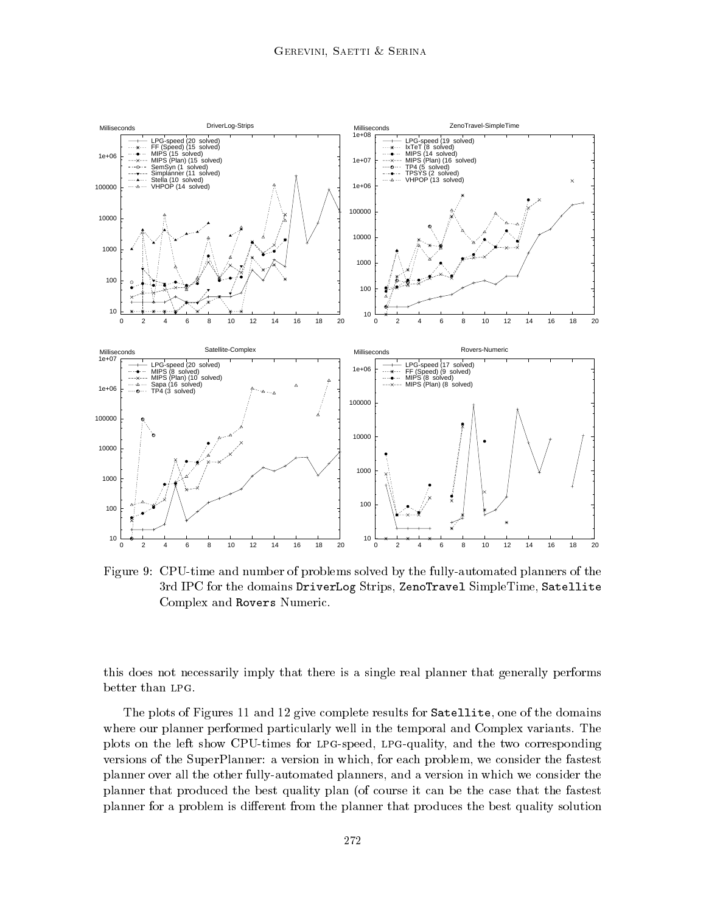

;
 7 6)N - 
 - 

 -  \$- )6 -  -. . -- . & )-die 19de eeu n.C. Soos andere gewone het die gewone van die 19de eeu n.C. Soos andere gewone van die 19de eeu n.C. S

-        

& ;
 ## - #1 
 )-- -  
  - 
  - 6  & parts and the contract of a contract the matrix of the state of the contract of the contract of the contract o . )7   -   $\blacksquare$  . The contract of the contract of the contract of the contract of the contract of the contract of the contract of the contract of the contract of the contract of the contract of the contract of the contract of the  $\blacksquare$  . The contract of the contract of the contract of the contract of the contract of the contract of the contract of the contract of the contract of the contract of the contract of the contract of the contract of the . A set of the set of the set of the set of the set of the set of the set of the set of the set of the set of the set of the set of the set of the set of the set of the set of the set of the set of the set of the set of th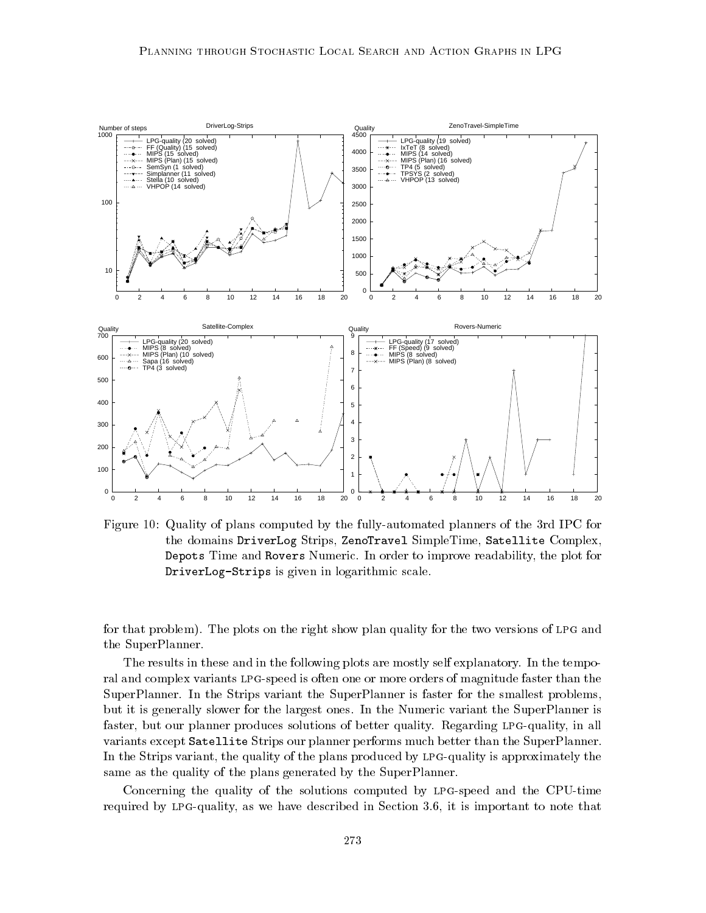

 $\blacksquare$  . The state of the state of the state of the state of the state of the state of the state of the state of the state of the state of the state of the state of the state of the state of the state of the state of the -  -. . -- . & )-- 6 - & - - 8
 - - -.)  

. The contract of the contract of the contract of the contract of the contract of the contract of the contract of the contract of the contract of the contract of the contract of the contract of the contract of the contrac . )

 $\mathbf{A} \cdot \mathbf{P}$  -  - - - 
-   . ) .  . )    $\mathbf{A}$  $\mathbf{A}$  and  $\mathbf{A}$  are the contract of the contract of the contract of the contract of the contract of the contract of the contract of the contract of the contract of the contract of the contract of the contract of the  )-- . 
  
  . ) .  
  -- -     
  - . )

6  - - - - 6)N required by LPG-quality, as we have described in Section 3.6, it is important to note that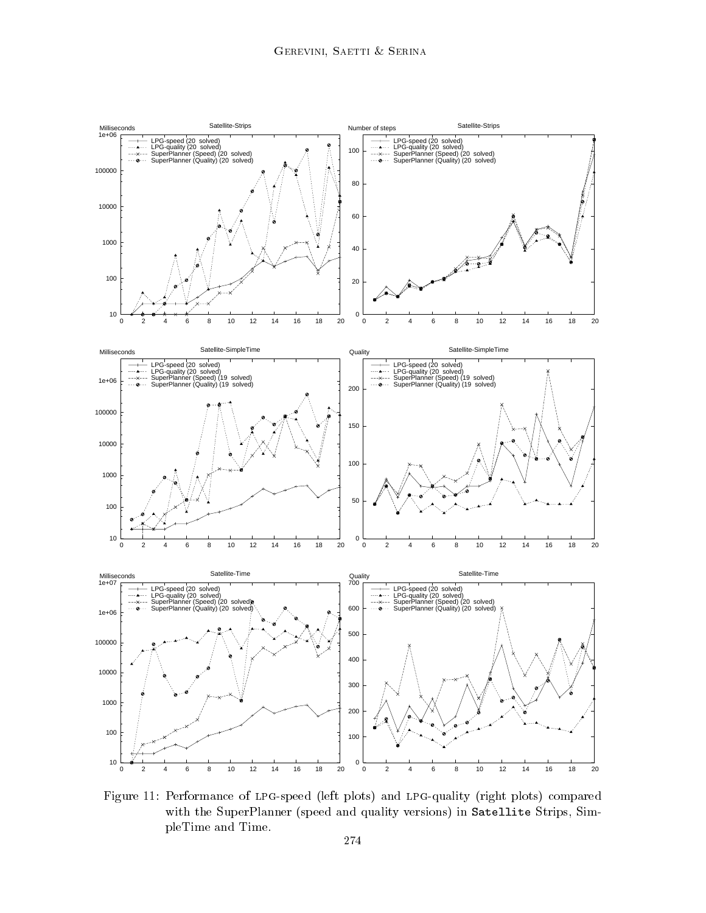

;
 ##7 )  - - ! - - - ! - - . ) ! - -  - )-- . . & - &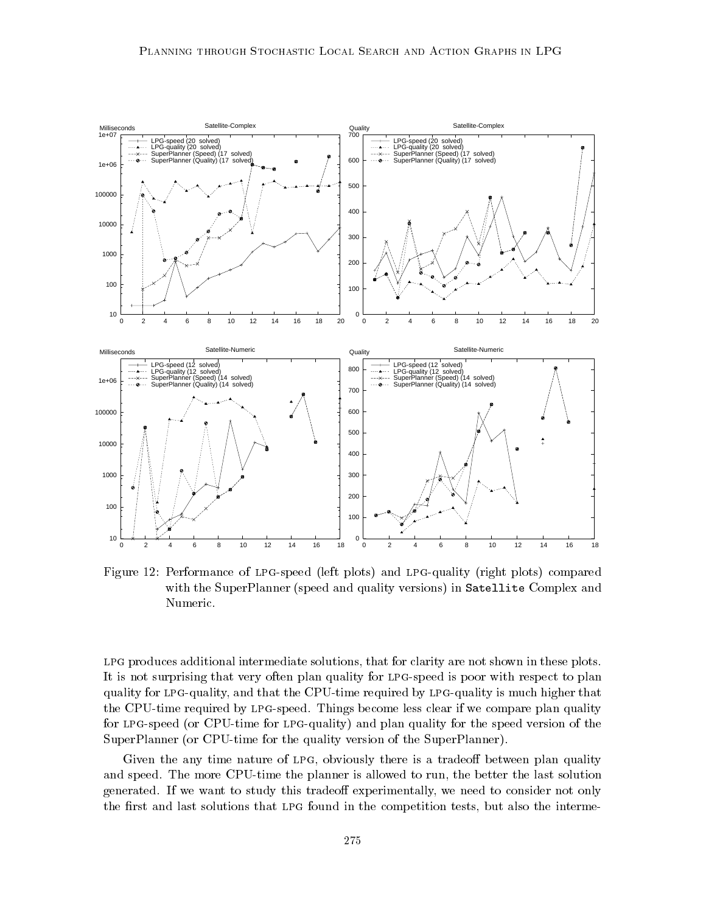

;
 #17 )  - - ! - - - ! - - . ) ! - - 
 - )-- 6 -Numeric.

- - -- - 
      
 - -   - -  6)N 
-  
  en die en die en die en die en die en die en die en die en die en die en die en die en die en die en die en di - - ! 6)N -- -  
 - . ) ! 6)N 
 . )-

and the contract contract of the contract of the contract of the contract of the position of the contract of  $\mathcal{A}$ and the contract of the contract of the contract of the contract of the contract of the contract of the contract of the contract of the contract of the contract of the contract of the contract of the contract of the contra  $\blacksquare$  $\mathcal{P} = \{ \mathcal{P} \mid \mathcal{P} \in \mathcal{P} \mid \mathcal{P} \in \mathcal{P} \}$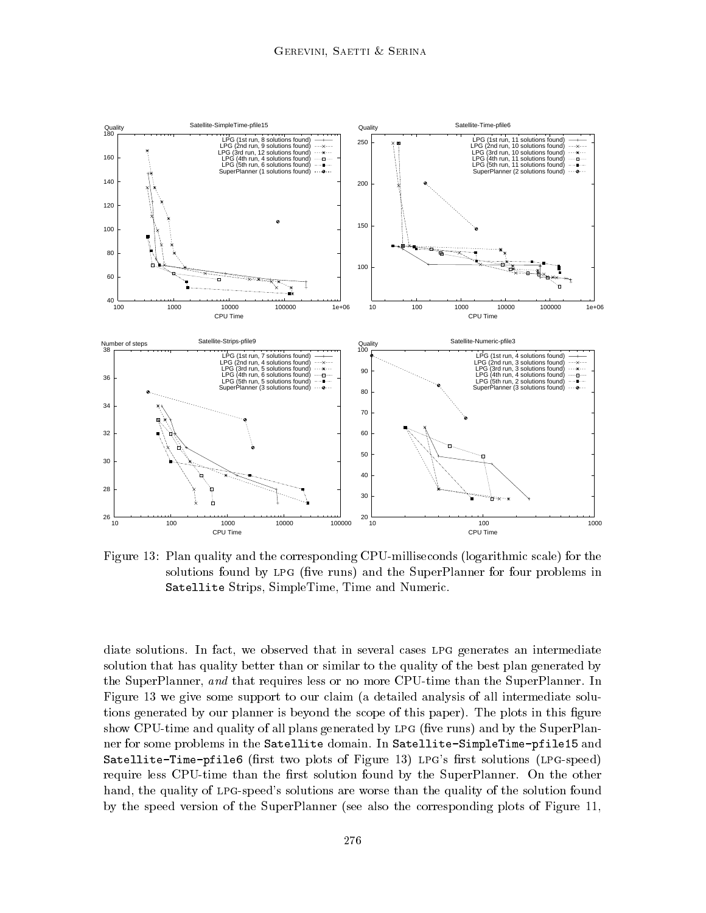

 $\mathbf{A}$  is the following the following the following the following the following the following the following the following the following the following the following the following the following the following the following - - !9 - - . ) )-- . . & & - 8
 

-  -    -   -   
   
  - . In the case of the case of the case of the case of the case of the case of the case of the case of the case of the case of the case of the case of the case of the case of the case of the case of the case of the case of ; #\$  ! --   - - 
  -  - & 9 6)N - 
   - - !9 
- - . ) )-- -  )--)
--%-&\$ -)---%-/ !9 ; #\$- - 9 !- - decreased and the contract of the contract of the contract of the contract of the contract of the contract of the contract of the contract of the contract of the contract of the contract of the contract of the contract of - 
 - - 
   
 

- $\blacksquare$  . The set of the set of the set of the set of the set of the set of the set of the set of the set of the set of the set of the set of the set of the set of the set of the set of the set of the set of the set of the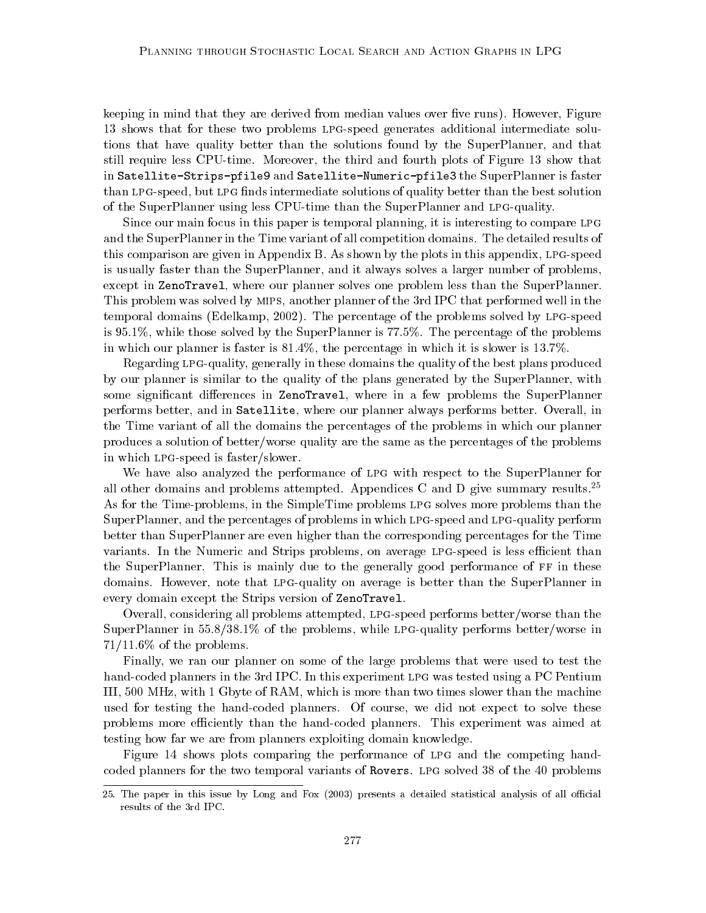keeping in mind that they are derived from median values over five runs). However, Figure 13 shows that for these two problems LPG-speed generates additional intermediate solutions that have quality better than the solutions found by the SuperPlanner, and that still require less CPU-time. Moreover, the third and fourth plots of Figure 13 show that in Satellite-Strips-pfile9 and Satellite-Numeric-pfile3 the SuperPlanner is faster than LPG-speed, but LPG finds intermediate solutions of quality better than the best solution of the SuperPlanner using less CPU-time than the SuperPlanner and LPG-quality.

Since our main focus in this paper is temporal planning, it is interesting to compare LPG and the SuperPlanner in the Time variant of all competition domains. The detailed results of this comparison are given in Appendix B. As shown by the plots in this appendix, LPG-speed is usually faster than the SuperPlanner, and it always solves a larger number of problems, except in ZenoTravel, where our planner solves one problem less than the SuperPlanner. This problem was solved by MIPS, another planner of the 3rd IPC that performed well in the temporal domains (Edelkamp, 2002). The percentage of the problems solved by LPG-speed is 95.1%, while those solved by the SuperPlanner is 77.5%. The percentage of the problems in which our planner is faster is  $81.4\%$ , the percentage in which it is slower is 13.7%.

Regarding LPG-quality, generally in these domains the quality of the best plans produced by our planner is similar to the quality of the plans generated by the SuperPlanner, with some significant differences in ZenoTravel, where in a few problems the SuperPlanner performs better, and in Satellite, where our planner always performs better. Overall, in the Time variant of all the domains the percentages of the problems in which our planner produces a solution of better/worse quality are the same as the percentages of the problems in which LPG-speed is faster/slower.

We have also analyzed the performance of LPG with respect to the SuperPlanner for all other domains and problems attempted. Appendices C and D give summary results.<sup>25</sup> As for the Time-problems, in the SimpleTime problems LPG solves more problems than the SuperPlanner, and the percentages of problems in which LPG-speed and LPG-quality perform better than SuperPlanner are even higher than the corresponding percentages for the Time variants. In the Numeric and Strips problems, on average LPG-speed is less efficient than the SuperPlanner. This is mainly due to the generally good performance of FF in these domains. However, note that LPG-quality on average is better than the SuperPlanner in every domain except the Strips version of ZenoTravel.

Overall, considering all problems attempted, LPG-speed performs better/worse than the SuperPlanner in  $55.8/38.1\%$  of the problems, while LPG-quality performs better/worse in  $71/11.6\%$  of the problems.

Finally, we ran our planner on some of the large problems that were used to test the hand-coded planners in the 3rd IPC. In this experiment LPG was tested using a PC Pentium III, 500 MHz, with 1 Gbyte of RAM, which is more than two times slower than the machine used for testing the hand-coded planners. Of course, we did not expect to solve these problems more efficiently than the hand-coded planners. This experiment was aimed at testing how far we are from planners exploiting domain knowledge.

Figure 14 shows plots comparing the performance of LPG and the competing handcoded planners for the two temporal variants of Rovers. LPG solved 38 of the 40 problems

<sup>25.</sup> The paper in this issue by Long and Fox (2003) presents a detailed statistical analysis of all official results of the 3rd IPC.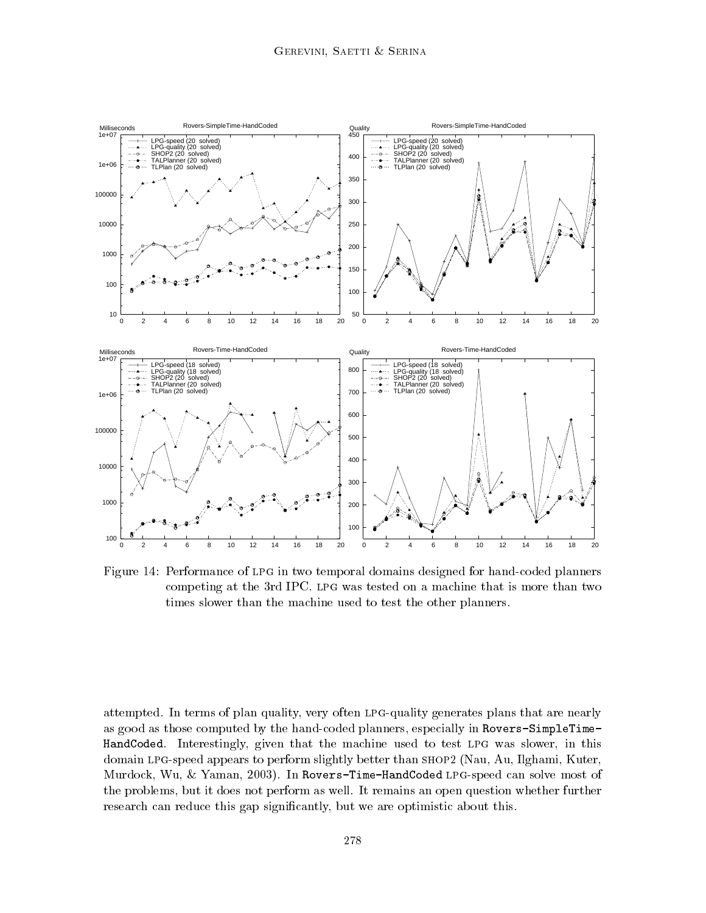

;
 #,7 )  -  -  -- ---   \$- )6 -      and the contract of the contract of the contract of the contract of the contract of the contract of the contract of

 -  
 -       -  - ---   -)
-- 2--   - -  -  - -    - !8
 (
  0 - +
 \* S  1\$- --2-- - -  
 -    
  $\mathbf{P}$  -  $\mathbf{P}$  -  $\mathbf{P}$  -  $\mathbf{P}$  -  $\mathbf{P}$  -  $\mathbf{P}$  -  $\mathbf{P}$  -  $\mathbf{P}$  -  $\mathbf{P}$  -  $\mathbf{P}$  -  $\mathbf{P}$  -  $\mathbf{P}$  -  $\mathbf{P}$  -  $\mathbf{P}$  -  $\mathbf{P}$  -  $\mathbf{P}$  -  $\mathbf{P}$  -  $\mathbf{P}$  -  $\mathbf{P}$  -  $\mathbf{P}$  -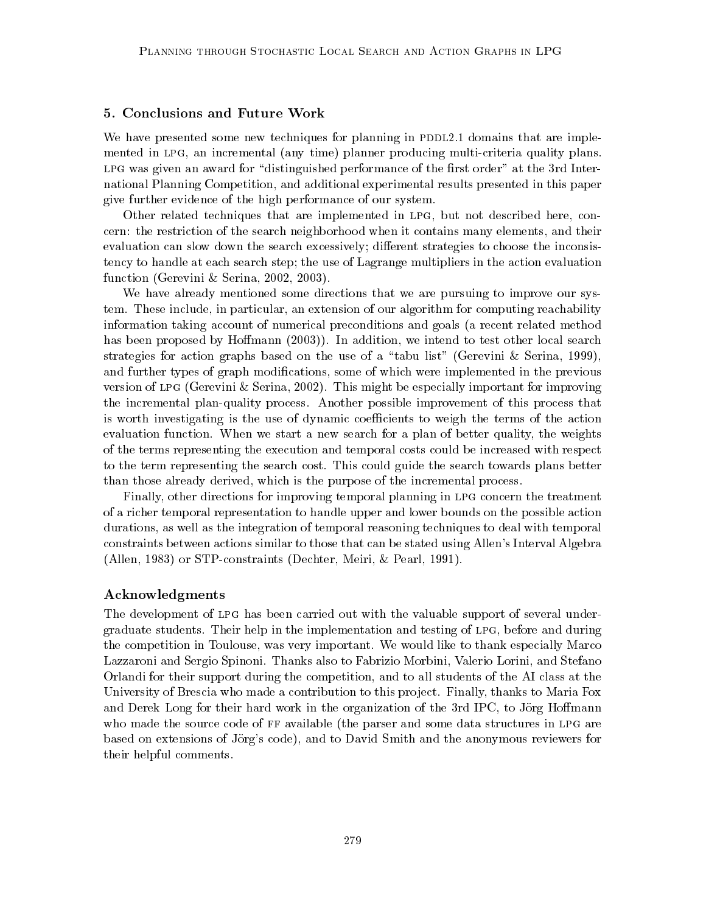### 5. Conclusions and Future Work

We have presented some new techniques for planning in PDDL2.1 domains that are implemented in LPG, an incremental (any time) planner producing multi-criteria quality plans. LPG was given an award for "distinguished performance of the first order" at the 3rd International Planning Competition, and additional experimental results presented in this paper give further evidence of the high performance of our system.

Other related techniques that are implemented in LPG, but not described here, concern: the restriction of the search neighborhood when it contains many elements, and their evaluation can slow down the search excessively; different strategies to choose the inconsistency to handle at each search step; the use of Lagrange multipliers in the action evaluation function (Gerevini & Serina, 2002, 2003).

We have already mentioned some directions that we are pursuing to improve our system. These include, in particular, an extension of our algorithm for computing reachability information taking account of numerical preconditions and goals (a recent related method has been proposed by Hoffmann (2003)). In addition, we intend to test other local search strategies for action graphs based on the use of a "tabu list" (Gerevini & Serina, 1999), and further types of graph modifications, some of which were implemented in the previous version of LPG (Gerevini & Serina, 2002). This might be especially important for improving the incremental plan-quality process. Another possible improvement of this process that is worth investigating is the use of dynamic coefficients to weigh the terms of the action evaluation function. When we start a new search for a plan of better quality, the weights of the terms representing the execution and temporal costs could be increased with respect to the term representing the search cost. This could guide the search towards plans better than those already derived, which is the purpose of the incremental process.

Finally, other directions for improving temporal planning in LPG concern the treatment of a richer temporal representation to handle upper and lower bounds on the possible action durations, as well as the integration of temporal reasoning techniques to deal with temporal constraints between actions similar to those that can be stated using Allen's Interval Algebra (Allen, 1983) or STP-constraints (Dechter, Meiri, & Pearl, 1991).

#### Acknowledgments

The development of LPG has been carried out with the valuable support of several undergraduate students. Their help in the implementation and testing of LPG, before and during the competition in Toulouse, was very important. We would like to thank especially Marco Lazzaroni and Sergio Spinoni. Thanks also to Fabrizio Morbini, Valerio Lorini, and Stefano Orlandi for their support during the competition, and to all students of the AI class at the University of Brescia who made a contribution to this project. Finally, thanks to Maria Fox and Derek Long for their hard work in the organization of the 3rd IPC, to Jörg Hoffmann who made the source code of FF available (the parser and some data structures in LPG are based on extensions of Jörg's code), and to David Smith and the anonymous reviewers for their helpful comments.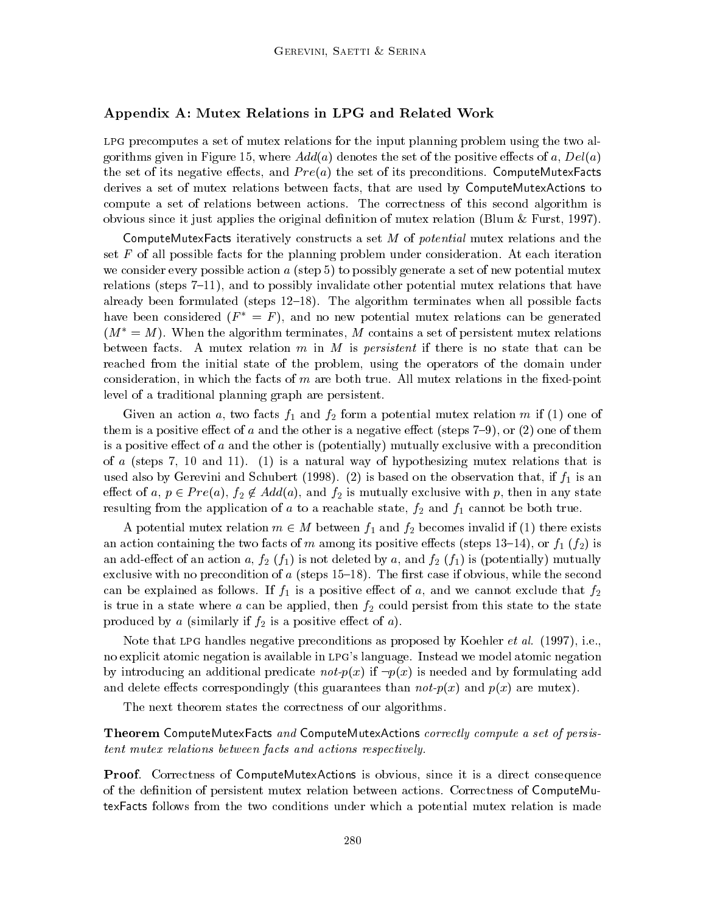# Appendix A: Mutex Relations in LPG and Related Work

LPG precomputes a set of mutex relations for the input planning problem using the two algorithms given in Figure 15, where  $Add(a)$  denotes the set of the positive effects of a,  $Del(a)$ the set of its negative effects, and  $Pre(a)$  the set of its preconditions. ComputeMutexFacts derives a set of mutex relations between facts, that are used by ComputeMutexActions to compute a set of relations between actions. The correctness of this second algorithm is obvious since it just applies the original definition of mutex relation (Blum & Furst, 1997).

ComputeMutexFacts iteratively constructs a set  $M$  of potential mutex relations and the set  $F$  of all possible facts for the planning problem under consideration. At each iteration we consider every possible action  $a$  (step 5) to possibly generate a set of new potential mutex relations (steps  $7-11$ ), and to possibly invalidate other potential mutex relations that have already been formulated (steps  $12-18$ ). The algorithm terminates when all possible facts have been considered  $(F^* = F)$ , and no new potential mutex relations can be generated  $(M^* = M)$ . When the algorithm terminates, M contains a set of persistent mutex relations between facts. A mutex relation  $m$  in  $M$  is *persistent* if there is no state that can be reached from the initial state of the problem, using the operators of the domain under consideration, in which the facts of  $m$  are both true. All mutex relations in the fixed-point level of a traditional planning graph are persistent.

Given an action a, two facts  $f_1$  and  $f_2$  form a potential mutex relation m if (1) one of them is a positive effect of a and the other is a negative effect (steps  $7-9$ ), or (2) one of them is a positive effect of  $a$  and the other is (potentially) mutually exclusive with a precondition of a (steps 7, 10 and 11). (1) is a natural way of hypothesizing mutex relations that is used also by Gerevini and Schubert (1998). (2) is based on the observation that, if  $f_1$  is an effect of a,  $p \in Pre(a)$ ,  $f_2 \notin Add(a)$ , and  $f_2$  is mutually exclusive with p, then in any state resulting from the application of a to a reachable state,  $f_2$  and  $f_1$  cannot be both true.

A potential mutex relation  $m \in M$  between  $f_1$  and  $f_2$  becomes invalid if (1) there exists an action containing the two facts of m among its positive effects (steps 13–14), or  $f_1$  ( $f_2$ ) is an add-effect of an action a,  $f_2(f_1)$  is not deleted by a, and  $f_2(f_1)$  is (potentially) mutually exclusive with no precondition of  $a$  (steps 15–18). The first case if obvious, while the second can be explained as follows. If  $f_1$  is a positive effect of a, and we cannot exclude that  $f_2$ is true in a state where  $a$  can be applied, then  $f_2$  could persist from this state to the state produced by a (similarly if  $f_2$  is a positive effect of a).

Note that LPG handles negative preconditions as proposed by Koehler *et al.* (1997), i.e., no explicit atomic negation is available in LPG's language. Instead we model atomic negation by introducing an additional predicate not- $p(x)$  if  $\neg p(x)$  is needed and by formulating add and delete effects correspondingly (this guarantees than  $not \text{-} p(x)$  and  $p(x)$  are mutex).

The next theorem states the correctness of our algorithms.

**Theorem** ComputeMutexFacts and ComputeMutexActions correctly compute a set of persistent mutex relations between facts and actions respectively.

**Proof.** Correctness of ComputeMutexActions is obvious, since it is a direct consequence of the definition of persistent mutex relation between actions. Correctness of ComputeMutexFacts follows from the two conditions under which a potential mutex relation is made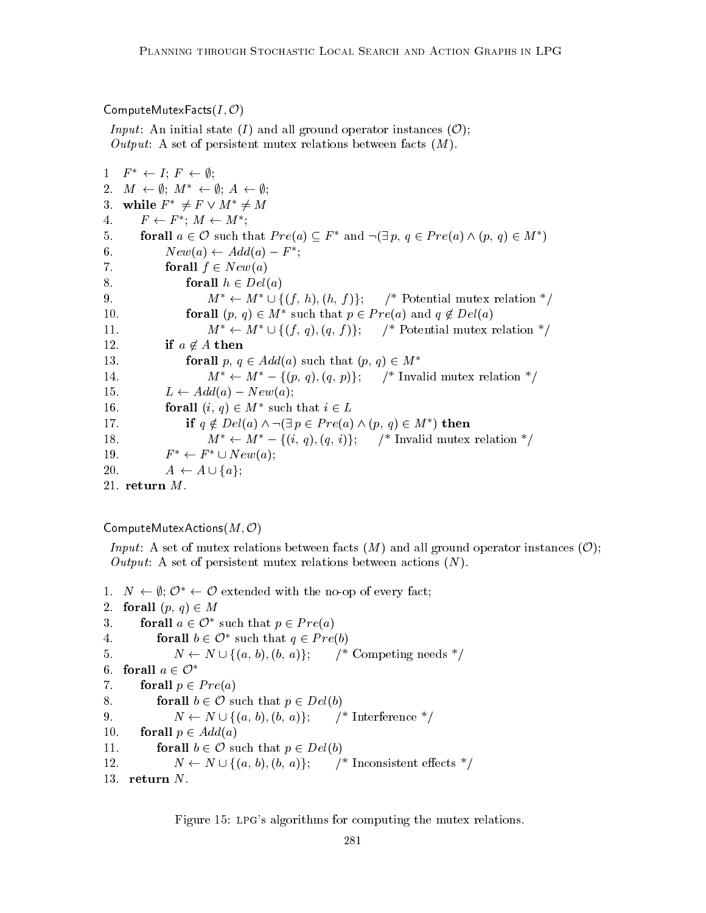ComputeMutexFacts $(I, \mathcal{O})$ 

*Input*: An initial state (*I*) and all ground operator instances (*O*); *Output*: A set of persistent mutex relations between facts  $(M)$ .

 $1 \quad F^* \leftarrow I: F \leftarrow \emptyset$ 2.  $M \leftarrow \emptyset$ ;  $M^* \leftarrow \emptyset$ ;  $A \leftarrow \emptyset$ ; 3. while  $F^* \neq F \vee M^* \neq M$ 4.  $F \leftarrow F^*; M \leftarrow M^*;$ **forall**  $a \in \mathcal{O}$  such that  $Pre(a) \subseteq F^*$  and  $\neg(\exists p, q \in Pre(a) \land (p, q) \in M^*)$ 5. 6.  $New(a) \leftarrow Add(a) - F^*;$ 7. forall  $f \in New(a)$ 8. forall  $h \in Del(a)$ 9.  $M^* \leftarrow M^* \cup \{(f, h), (h, f)\};$  $\frac{1}{2}$  Potential mutex relation  $\frac{1}{2}$ **forall**  $(p, q) \in M^*$  such that  $p \in Pre(a)$  and  $q \notin Del(a)$ 10.  $\frac{1}{2}$  Potential mutex relation  $\frac{1}{2}$ 11.  $M^* \leftarrow M^* \cup \{(f, q), (q, f)\};$ 12. if  $a \notin A$  then 13. **forall** p,  $q \in Add(a)$  such that  $(p, q) \in M^*$  $M^* \leftarrow M^* - \{(p, q), (q, p)\};$  /\* Invalid mutex relation \*/ 14. 15.  $L \leftarrow Add(a) - New(a);$  $16.$ **forall**  $(i, q) \in M^*$  such that  $i \in L$ 17. if  $q \notin Del(a) \land \neg (\exists p \in Pre(a) \land (p, q) \in M^*)$  then  $M^* \leftarrow M^* - \{(i, q), (q, i)\};$  /\* Invalid mutex relation \*/ 18.  $F^* \leftarrow F^* \cup New(a);$ 19. 20.  $A \leftarrow A \cup \{a\};$  $21.$  return  $M.$ 

 $ComputeMutexActions(M, O)$ 

*Input*: A set of mutex relations between facts  $(M)$  and all ground operator instances  $(0)$ : *Output*: A set of persistent mutex relations between actions  $(N)$ .

```
1. N \leftarrow \emptyset; \mathcal{O}^* \leftarrow \mathcal{O} extended with the no-op of every fact;
2. forall (p, q) \in M3.
        forall a \in \mathcal{O}^* such that p \in Pre(a)forall b \in \mathcal{O}^* such that q \in Pre(b)4.
                 N \leftarrow N \cup \{(a, b), (b, a)\}\; /* Competing needs */
5.
6.
   forall a \in \mathcal{O}^*7.
        forall p \in Pre(a)forall b \in \mathcal{O} such that p \in Del(b)8.
                 N \leftarrow N \cup \{(a, b), (b, a)\};\frac{1}{2} Interference */
9.
10.
        forall p \in Add(a)11.
             forall b \in \mathcal{O} such that p \in Del(b)N \leftarrow N \cup \{(a, b), (b, a)\};\frac{1}{\sqrt{2}} Inconsistent effects \frac{1}{\sqrt{2}}12.
13. return N.
```
Figure 15: LPG's algorithms for computing the mutex relations.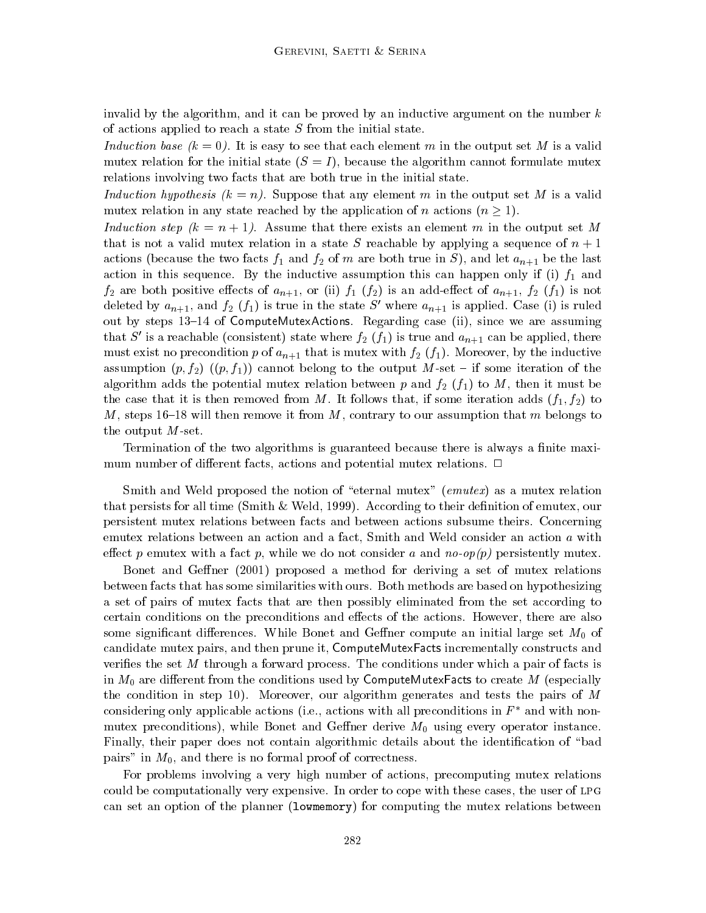invalid by the algorithm, and it can be proved by an inductive argument on the number  $k$ of actions applied to reach a state  $S$  from the initial state.

Induction base  $(k = 0)$ . It is easy to see that each element m in the output set M is a valid mutex relation for the initial state  $(S = I)$ , because the algorithm cannot formulate mutex relations involving two facts that are both true in the initial state.

Induction hypothesis  $(k = n)$ . Suppose that any element m in the output set M is a valid mutex relation in any state reached by the application of *n* actions  $(n \geq 1)$ .

Induction step  $(k = n + 1)$ . Assume that there exists an element m in the output set M that is not a valid mutex relation in a state S reachable by applying a sequence of  $n + 1$ actions (because the two facts  $f_1$  and  $f_2$  of m are both true in S), and let  $a_{n+1}$  be the last action in this sequence. By the inductive assumption this can happen only if (i)  $f_1$  and  $f_2$  are both positive effects of  $a_{n+1}$ , or (ii)  $f_1(f_2)$  is an add-effect of  $a_{n+1}$ ,  $f_2(f_1)$  is not deleted by  $a_{n+1}$ , and  $f_2(f_1)$  is true in the state S' where  $a_{n+1}$  is applied. Case (i) is ruled out by steps 13-14 of ComputeMutexActions. Regarding case (ii), since we are assuming that S' is a reachable (consistent) state where  $f_2(f_1)$  is true and  $a_{n+1}$  can be applied, there must exist no precondition p of  $a_{n+1}$  that is mutex with  $f_2(f_1)$ . Moreover, by the inductive assumption  $(p, f_2)$   $((p, f_1))$  cannot belong to the output M-set – if some iteration of the algorithm adds the potential mutex relation between p and  $f_2$  ( $f_1$ ) to M, then it must be the case that it is then removed from M. It follows that, if some iteration adds  $(f_1, f_2)$  to M, steps 16–18 will then remove it from M, contrary to our assumption that m belongs to the output  $M$ -set.

Termination of the two algorithms is guaranteed because there is always a finite maximum number of different facts, actions and potential mutex relations.  $\Box$ 

Smith and Weld proposed the notion of "eternal mutex" (emutex) as a mutex relation that persists for all time (Smith & Weld, 1999). According to their definition of emutex, our persistent mutex relations between facts and between actions subsume theirs. Concerning emutex relations between an action and a fact, Smith and Weld consider an action a with effect p emutex with a fact p, while we do not consider a and  $no-op(p)$  persistently mutex.

Bonet and Geffner (2001) proposed a method for deriving a set of mutex relations between facts that has some similarities with ours. Both methods are based on hypothesizing a set of pairs of mutex facts that are then possibly eliminated from the set according to certain conditions on the preconditions and effects of the actions. However, there are also some significant differences. While Bonet and Geffner compute an initial large set  $M_0$  of candidate mutex pairs, and then prune it, ComputeMutexFacts incrementally constructs and verifies the set  $M$  through a forward process. The conditions under which a pair of facts is in  $M_0$  are different from the conditions used by ComputeMutexFacts to create M (especially the condition in step 10). Moreover, our algorithm generates and tests the pairs of  $M$ considering only applicable actions (i.e., actions with all preconditions in  $F^*$  and with nonmutex preconditions), while Bonet and Geffner derive  $M_0$  using every operator instance. Finally, their paper does not contain algorithmic details about the identification of "bad" pairs" in  $M_0$ , and there is no formal proof of correctness.

For problems involving a very high number of actions, precomputing mutex relations could be computationally very expensive. In order to cope with these cases, the user of LPG can set an option of the planner (lowmemory) for computing the mutex relations between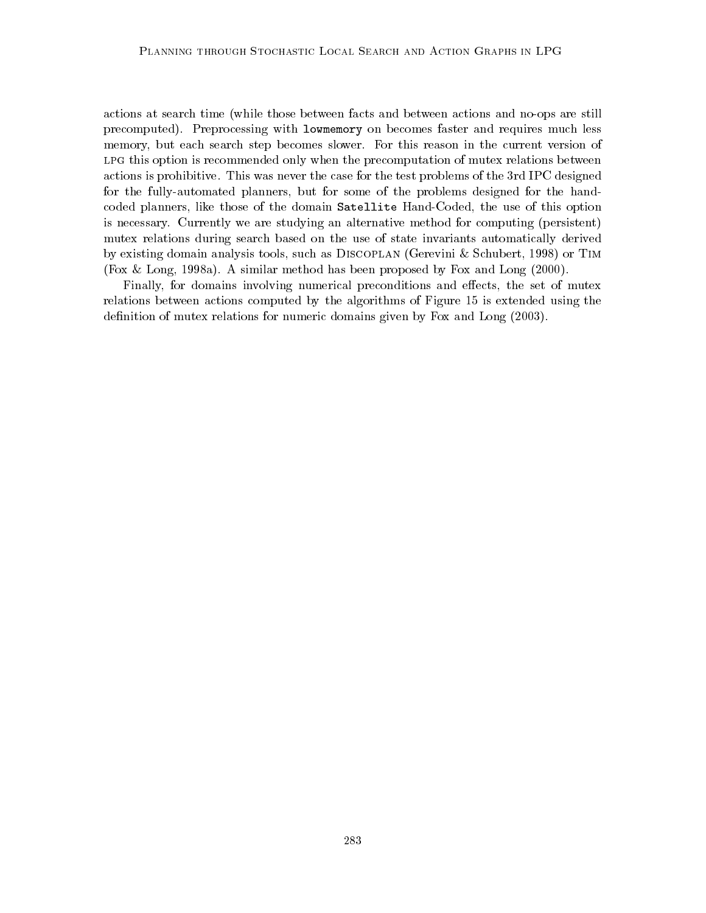actions at search time (while those between facts and between actions and no-ops are still precomputed). Preprocessing with lowmemory on becomes faster and requires much less memory, but each search step becomes slower. For this reason in the current version of LPG this option is recommended only when the precomputation of mutex relations between actions is prohibitive. This was never the case for the test problems of the 3rd IPC designed for the fully-automated planners, but for some of the problems designed for the handcoded planners, like those of the domain Satellite Hand-Coded, the use of this option is necessary. Currently we are studying an alternative method for computing (persistent) mutex relations during search based on the use of state invariants automatically derived by existing domain analysis tools, such as DISCOPLAN (Gerevini & Schubert, 1998) or TIM (Fox & Long, 1998a). A similar method has been proposed by Fox and Long  $(2000)$ .

Finally, for domains involving numerical preconditions and effects, the set of mutex relations between actions computed by the algorithms of Figure 15 is extended using the definition of mutex relations for numeric domains given by Fox and Long (2003).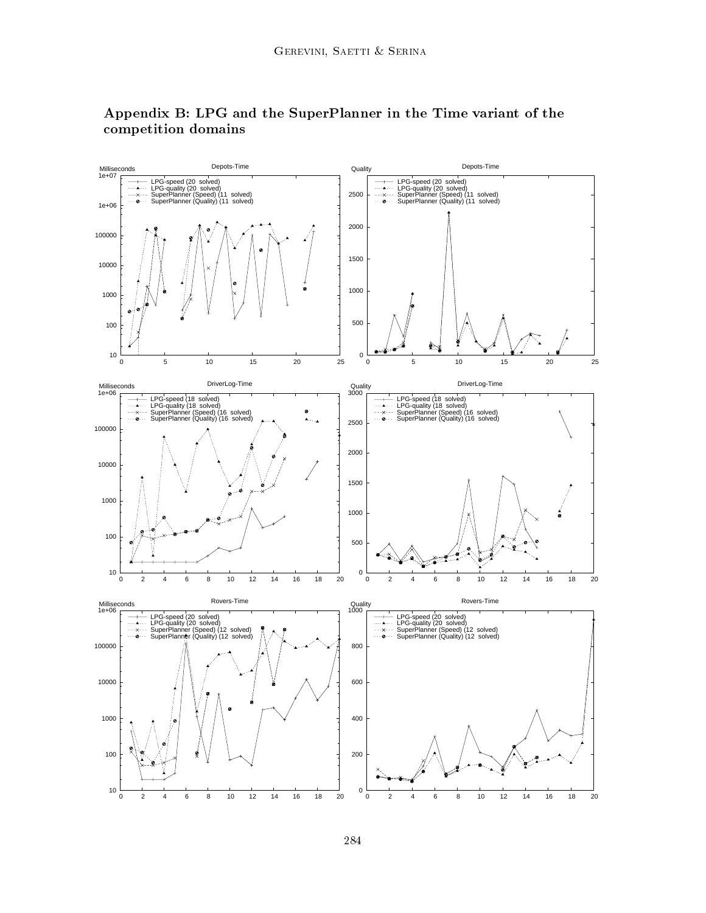

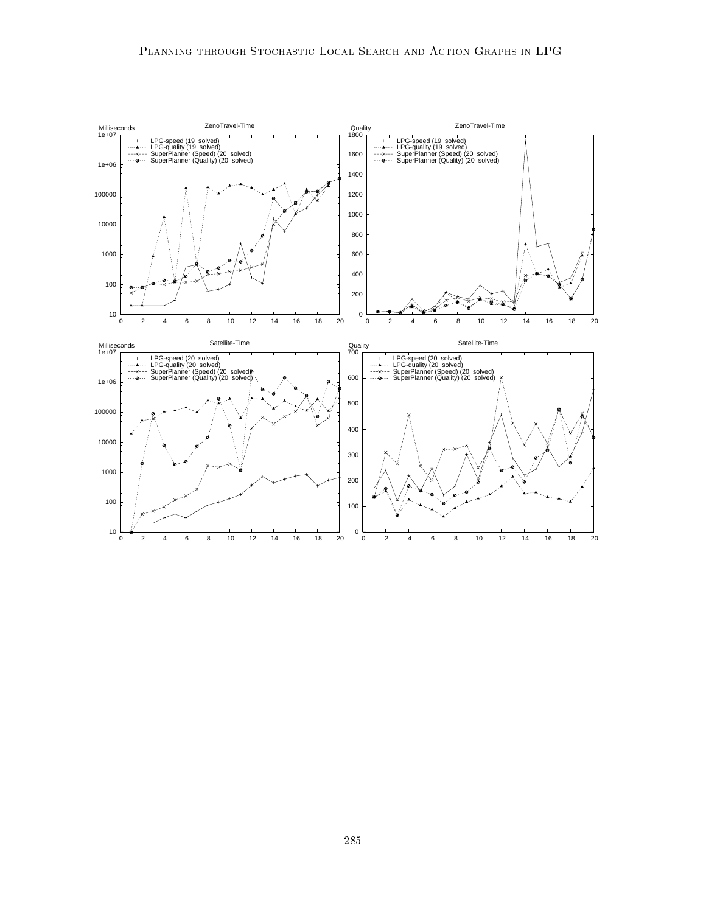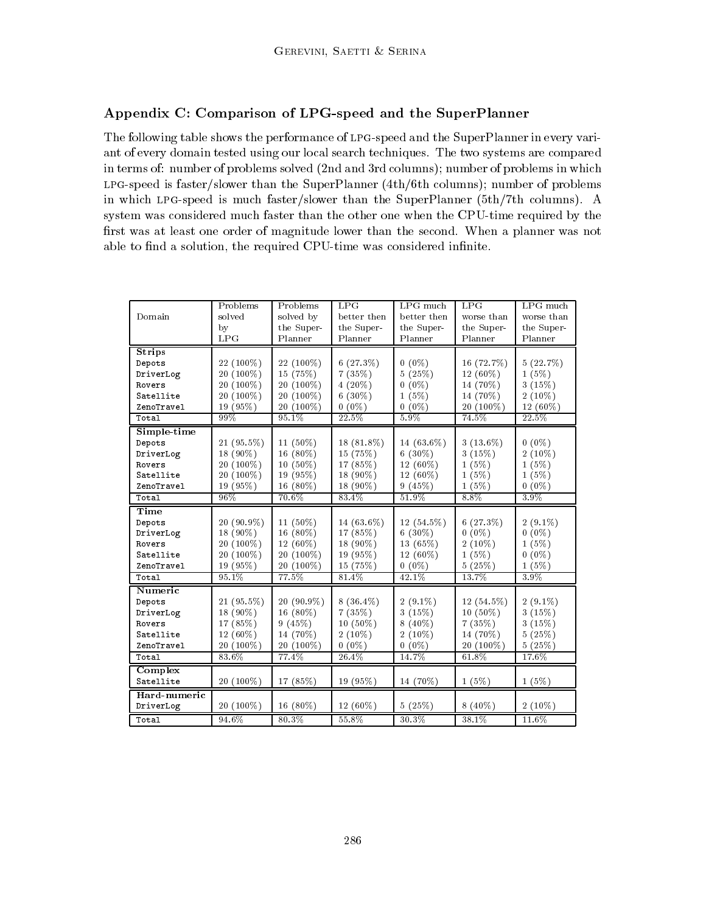# Appendix C: Comparison of LPG-speed and the SuperPlanner

&   - - - . )   -  - 

   &  - $\blacksquare$  . The contract of the contract of the contract of the contract of the contract of the contract of the contract of the contract of the contract of the contract of the contract of the contract of the contract of the LPG-speed is faster/slower than the SuperPlanner  $(4th/6th$  columns); number of problems . The contract of the contract of the contract of the contract of the contract of the contract of the contract of the contract of the contract of the contract of the contract of the contract of the contract of the contrac  -- 
   6)N 
- 9    - 
-  - +     9-  

- 6)N  -- 9

|               | Problems                                          | Problems     | LPG          | $LPG$ much   | LPG          | $LPG$ much |  |
|---------------|---------------------------------------------------|--------------|--------------|--------------|--------------|------------|--|
| Domain        | solved                                            | solved by    | better then  | better then  | worse than   | worse than |  |
|               | by                                                | the Super-   | the Super-   | the Super-   | the Super-   | the Super- |  |
|               | LPG                                               | Planner      | Planner      | Planner      | Planner      | Planner    |  |
| <b>Strips</b> |                                                   |              |              |              |              |            |  |
| Depots        | $6(27.3\%)$<br>$0(0\%)$<br>22 (100%)<br>22 (100%) |              | 16 (72.7%)   | 5(22.7%)     |              |            |  |
| DriverLog     | $20(100\%)$                                       | 15(75%)      | 7(35%)       | 5(25%)       | 12 (60%)     | $1(5\%)$   |  |
| Rovers        | 20 (100%)                                         | 20 (100%)    | $4(20\%)$    | $0(0\%)$     | 14 (70%)     | 3(15%)     |  |
| Satellite     | 20 (100%)                                         | 20 (100%)    | $6(30\%)$    | $1(5\%)$     | 14 (70%)     | $2(10\%)$  |  |
| ZenoTravel    | 19 (95%)                                          | 20 (100%)    | $0(0\%)$     | $0(0\%)$     | 20 (100%)    | 12 (60%)   |  |
| Total         | 99%                                               | 95.1%        | 22.5%        | $5.9\%$      | 74.5%        | 22.5%      |  |
| Simple-time   |                                                   |              |              |              |              |            |  |
| Depots        | $21(95.5\%)$                                      | 11 $(50\%)$  | $18(81.8\%)$ | 14 (63.6%)   | $3(13.6\%)$  | $0(0\%)$   |  |
| DriverLog     | $18(90\%)$                                        | $16(80\%)$   | 15 (75%)     | $6(30\%)$    | 3(15%)       | $2(10\%)$  |  |
| Rovers        | 20 (100%)                                         | 10 (50%)     | 17 (85%)     | 12 (60%)     | $1(5\%)$     | $1(5\%)$   |  |
| Satellite     | 20 (100%)                                         | 19 (95%)     | 18 (90%)     | $12(60\%)$   | $1(5\%)$     | $1(5\%)$   |  |
| ZenoTravel    | 19 (95%)                                          | 16 (80%)     | 18 (90%)     | 9(45%)       | $1(5\%)$     | $0(0\%)$   |  |
| Total         | 96%                                               | 70.6%        | 83.4%        | 51.9%        | 8.8%         | $3.9\%$    |  |
| Time          |                                                   |              |              |              |              |            |  |
| Depots        | $20(90.9\%)$                                      | 11 $(50\%)$  | $14(63.6\%)$ | $12(54.5\%)$ | $6(27.3\%)$  | $2(9.1\%)$ |  |
| DriverLog     | $18(90\%)$                                        | $16(80\%)$   | 17 (85%)     | $6(30\%)$    | $0(0\%)$     | $0(0\%)$   |  |
| Rovers        | 20 (100%)                                         | $12(60\%)$   | 18 (90%)     | 13 (65%)     | $2(10\%)$    | $1(5\%)$   |  |
| Satellite     | 20 (100%)                                         | 20 (100%)    | 19 (95%)     | 12 $(60\%)$  | 1(5%)        | $0(0\%)$   |  |
| ZenoTravel    | 19 (95%)                                          | 20 (100%)    | 15 (75%)     | $0(0\%)$     | 5(25%)       | $1(5\%)$   |  |
| Total         | 95.1%                                             | $77.5\%$     | 81.4%        | 42.1%        | 13.7%        | $3.9\%$    |  |
| Numeric       |                                                   |              |              |              |              |            |  |
| Depots        | $21(95.5\%)$                                      | $20(90.9\%)$ | $8(36.4\%)$  | $2(9.1\%)$   | $12(54.5\%)$ | $2(9.1\%)$ |  |
| DriverLog     | 18 (90%)                                          | 16 (80%)     | 7(35%)       | 3(15%)       | $10(50\%)$   | 3(15%)     |  |
| Rovers        | 17 (85%)                                          | 9(45%)       | $10(50\%)$   | $8(40\%)$    | 7(35%)       | 3(15%)     |  |
| Satellite     | $12(60\%)$                                        | 14 (70%)     | $2(10\%)$    | $2(10\%)$    | 14 (70%)     | 5(25%)     |  |
| ZenoTravel    | $20(100\%)$                                       | 20 (100%)    | $0(0\%)$     | $0(0\%)$     | 20 (100%)    | 5(25%)     |  |
| Total         | 83.6%                                             | 77.4%        | 26.4%        | 14.7%        | 61.8%        | 17.6%      |  |
| Complex       |                                                   |              |              |              |              |            |  |
| Satellite     | $20(100\%)$                                       | 17 (85%)     | 19 (95%)     | 14 (70%)     | $1(5\%)$     | 1(5%)      |  |
| Hard numeric  |                                                   |              |              |              |              |            |  |
| DriverLog     | 20 (100%)                                         | 16 (80%)     | 12 (60%)     | 5(25%)       | $8(40\%)$    | $2(10\%)$  |  |
| Total         | 94.6%                                             | 80.3%        | 55.8%        | 30.3%        | 38.1%        | 11.6%      |  |
|               |                                                   |              |              |              |              |            |  |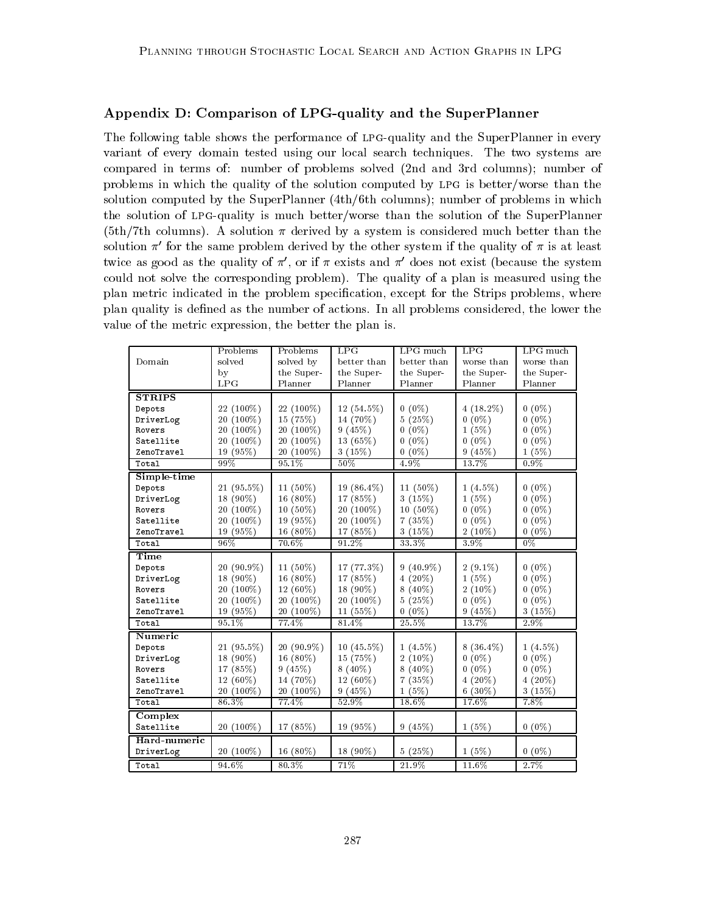# Appendix D: Comparison of LPG-quality and the SuperPlanner

The following table shows the performance of LPG-quality and the SuperPlanner in every variant of every domain tested using our local search techniques. The two systems are compared in terms of: number of problems solved (2nd and 3rd columns); number of problems in which the quality of the solution computed by LPG is better/worse than the solution computed by the SuperPlanner  $(4th/6th$  columns); number of problems in which the solution of LPG-quality is much better/worse than the solution of the SuperPlanner  $(5th/7th$  columns). A solution  $\pi$  derived by a system is considered much better than the solution  $\pi'$  for the same problem derived by the other system if the quality of  $\pi$  is at least twice as good as the quality of  $\pi'$ , or if  $\pi$  exists and  $\pi'$  does not exist (because the system could not solve the corresponding problem). The quality of a plan is measured using the plan metric indicated in the problem specification, except for the Strips problems, where plan quality is defined as the number of actions. In all problems considered, the lower the value of the metric expression, the better the plan is.

|               | Problems     | Problems    | LPG          | $LPG$ much  | $L\overline{PG}$ | $LPG$ much |
|---------------|--------------|-------------|--------------|-------------|------------------|------------|
| Domain        | solved       | solved by   | better than  | better than | worse than       | worse than |
|               | by           | the Super-  | the Super-   | the Super-  | the Super-       | the Super- |
|               | LPG          | Planner     | Planner      | Planner     | Planner          | Planner    |
| <b>STRIPS</b> |              |             |              |             |                  |            |
| Depots        | 22 (100%)    | 22 (100%)   | $12(54.5\%)$ | $0(0\%)$    | $4(18.2\%)$      | $0(0\%)$   |
| DriverLog     | 20 (100%)    | $15(75\%)$  | 14 (70%)     | 5(25%)      | $0(0\%)$         | $0(0\%)$   |
| Rovers        | 20 (100%)    | 20 (100%)   | 9(45%)       | $0(0\%)$    | 1(5%)            | $0(0\%)$   |
| Satellite     | 20 (100%)    | 20 (100%)   | 13 (65%)     | $0(0\%)$    | $0(0\%)$         | $0(0\%)$   |
| ZenoTravel    | 19 (95%)     | 20 (100%)   | 3(15%)       | $0(0\%)$    | 9(45%)           | $1(5\%)$   |
| Total         | 99%          | 95.1%       | 50%          | 4.9%        | 13.7%            | $0.9\%$    |
| Simple-time   |              |             |              |             |                  |            |
| Depots        | 21 (95.5%)   | 11 $(50\%)$ | 19 (86.4%)   | 11 (50%)    | $1(4.5\%)$       | $0(0\%)$   |
| DriverLog     | 18 (90%)     | 16 $(80\%)$ | 17 (85%)     | 3(15%)      | $1(5\%)$         | $0(0\%)$   |
| Rovers        | 20 (100%)    | $10(50\%)$  | 20 (100%)    | $10(50\%)$  | $0(0\%)$         | $0(0\%)$   |
| Satellite     | 20 (100%)    | 19 (95%)    | 20 (100%)    | 7(35%)      | $0(0\%)$         | $0(0\%)$   |
| ZenoTravel    | 19 (95%)     | 16 $(80\%)$ | 17 (85%)     | 3(15%)      | $2(10\%)$        | $0(0\%)$   |
| Total         | 96%          | $70.6\%$    | 91.2%        | 33.3%       | $3.9\%$          | $0\%$      |
| Time          |              |             |              |             |                  |            |
| Depots        | $20(90.9\%)$ | 11 $(50\%)$ | 17 (77.3%)   | $9(40.9\%)$ | $2(9.1\%)$       | $0(0\%)$   |
| DriverLog     | 18 (90%)     | 16 $(80\%)$ | 17 (85%)     | $4(20\%)$   | $1(5\%)$         | $0(0\%)$   |
| Rovers        | 20 (100%)    | 12 (60%)    | 18 (90%)     | $8(40\%)$   | $2(10\%)$        | $0(0\%)$   |
| Satellite     | 20 (100%)    | 20 (100%)   | 20 (100%)    | 5(25%)      | $0(0\%)$         | $0(0\%)$   |
| ZenoTravel    | 19 (95%)     | 20 (100%)   | 11 (55%)     | $0(0\%)$    | 9(45%)           | 3(15%)     |
| Total         | 95.1%        | 77.4%       | 81.4%        | 25.5%       | 13.7%            | 2.9%       |
| Numeric       |              |             |              |             |                  |            |
| Depots        | 21 (95.5%)   | 20 (90.9%)  | $10(45.5\%)$ | $1(4.5\%)$  | $8(36.4\%)$      | $1(4.5\%)$ |
| DriverLog     | 18 (90%)     | 16 (80%)    | 15 (75%)     | $2(10\%)$   | $0(0\%)$         | $0(0\%)$   |
| Rovers        | 17 (85%)     | 9(45%)      | $8(40\%)$    | $8(40\%)$   | $0(0\%)$         | $0(0\%)$   |
| Satellite     | $12(60\%)$   | 14 (70%)    | 12 (60%)     | 7(35%)      | $4(20\%)$        | $4(20\%)$  |
| ZenoTravel    | 20 (100%)    | 20 (100%)   | 9(45%)       | $1(5\%)$    | $6(30\%)$        | 3(15%)     |
| Total         | 86.3%        | 77.4%       | 52.9%        | 18.6%       | 17.6%            | $7.8\%$    |
| Complex       |              |             |              |             |                  |            |
| Satellite     | 20 (100%)    | 17 (85%)    | 19 (95%)     | 9(45%)      | $1(5\%)$         | $0(0\%)$   |
| Hard numeric  |              |             |              |             |                  |            |
| DriverLog     | 20 (100%)    | 16 $(80\%)$ | 18 (90%)     | 5(25%)      | $1(5\%)$         | $0(0\%)$   |
| Total         | 94.6%        | 80.3%       | 71%          | 21.9%       | 11.6%            | 2.7%       |
|               |              |             |              |             |                  |            |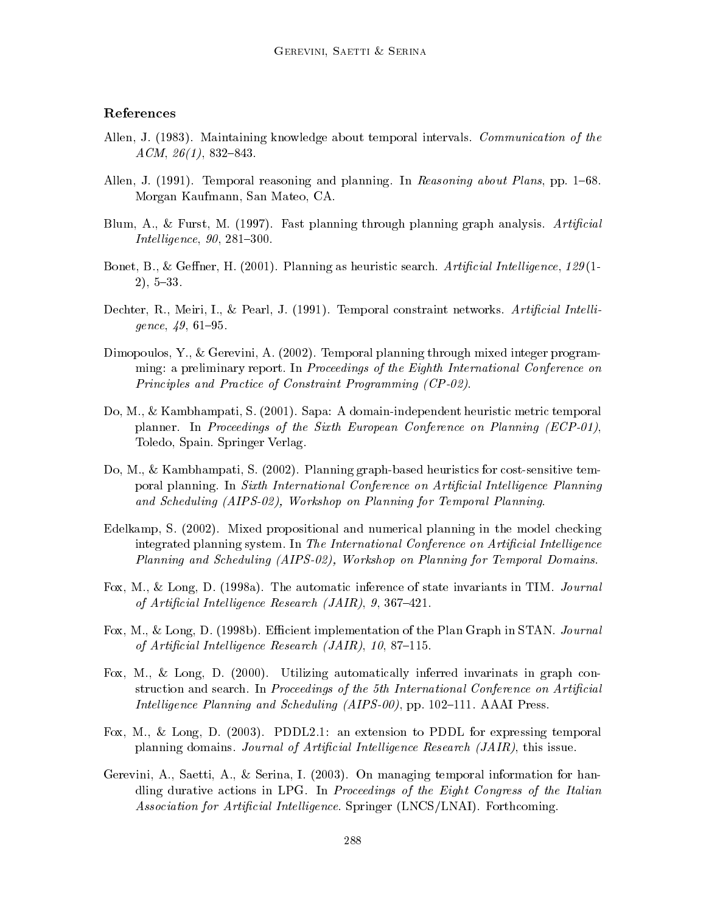# References

- Allen, J. (1983). Maintaining knowledge about temporal intervals. Communication of the  $ACM, 26(1), 832-843.$
- Allen, J. (1991). Temporal reasoning and planning. In Reasoning about Plans, pp. 1–68. Morgan Kaufmann, San Mateo, CA.
- Blum, A., & Furst, M. (1997). Fast planning through planning graph analysis. Artificial *Intelligence*,  $90, 281 - 300$ .
- Bonet, B., & Geffner, H. (2001). Planning as heuristic search. Artificial Intelligence, 129(1- $2), 5-33.$
- Dechter, R., Meiri, I., & Pearl, J. (1991). Temporal constraint networks. Artificial Intelliqence,  $49, 61-95$ .
- Dimopoulos, Y., & Gerevini, A. (2002). Temporal planning through mixed integer programming: a preliminary report. In Proceedings of the Eighth International Conference on Principles and Practice of Constraint Programming (CP-02).
- Do, M., & Kambhampati, S. (2001). Sapa: A domain-independent heuristic metric temporal planner. In Proceedings of the Sixth European Conference on Planning (ECP-01), Toledo, Spain. Springer Verlag.
- Do, M., & Kambhampati, S. (2002). Planning graph-based heuristics for cost-sensitive temporal planning. In Sixth International Conference on Artificial Intelligence Planning and Scheduling (AIPS-02), Workshop on Planning for Temporal Planning.
- Edelkamp, S. (2002). Mixed propositional and numerical planning in the model checking integrated planning system. In The International Conference on Artificial Intelligence Planning and Scheduling (AIPS-02), Workshop on Planning for Temporal Domains.
- Fox, M., & Long, D. (1998a). The automatic inference of state invariants in TIM. Journal of Artificial Intelligence Research (JAIR), 9, 367-421.
- Fox, M., & Long, D. (1998b). Efficient implementation of the Plan Graph in STAN. Journal of Artificial Intelligence Research (JAIR), 10, 87-115.
- Fox, M., & Long, D. (2000). Utilizing automatically inferred invarinats in graph construction and search. In Proceedings of the 5th International Conference on Artificial Intelligence Planning and Scheduling (AIPS-00), pp. 102-111. AAAI Press.
- Fox, M., & Long, D. (2003). PDDL2.1: an extension to PDDL for expressing temporal planning domains. Journal of Artificial Intelligence Research (JAIR), this issue.
- Gerevini, A., Saetti, A., & Serina, I. (2003). On managing temporal information for handling durative actions in LPG. In Proceedings of the Eight Congress of the Italian *Association for Artificial Intelligence.* Springer (LNCS/LNAI). Forthcoming.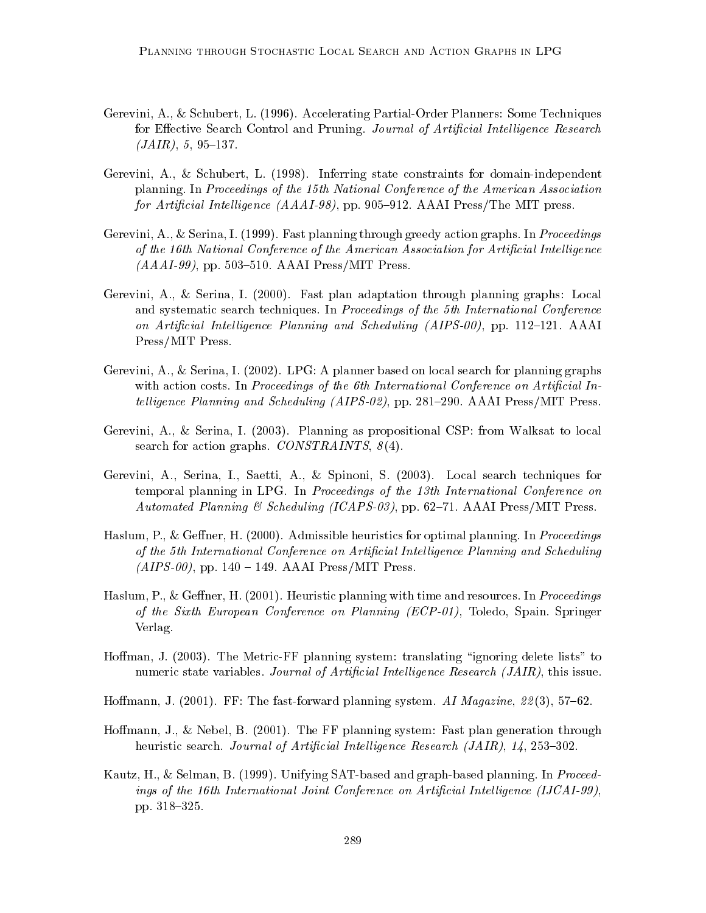- Gerevini, A., & Schubert, L. (1996). Accelerating Partial-Order Planners: Some Techniques for Effective Search Control and Pruning. Journal of Artificial Intelligence Research  $(JAIR), 5, 95-137.$
- Gerevini, A., & Schubert, L. (1998). Inferring state constraints for domain-independent planning. In Proceedings of the 15th National Conference of the American Association for Artificial Intelligence (AAAI-98), pp. 905–912. AAAI Press/The MIT press.
- Gerevini, A., & Serina, I. (1999). Fast planning through greedy action graphs. In *Proceedings* of the 16th National Conference of the American Association for Artificial Intelligence  $(AAAI-99)$ , pp. 503-510. AAAI Press/MIT Press.
- Gerevini, A., & Serina, I. (2000). Fast plan adaptation through planning graphs: Local and systematic search techniques. In Proceedings of the 5th International Conference on Artificial Intelligence Planning and Scheduling (AIPS-00), pp. 112-121. AAAI Press/MIT Press.
- Gerevini, A., & Serina, I. (2002). LPG: A planner based on local search for planning graphs with action costs. In Proceedings of the 6th International Conference on Artificial In*telligence Planning and Scheduling (AIPS-02)*, pp. 281–290. AAAI Press/MIT Press.
- Gerevini, A., & Serina, I. (2003). Planning as propositional CSP: from Walksat to local search for action graphs. *CONSTRAINTS*,  $8(4)$ .
- Gerevini, A., Serina, I., Saetti, A., & Spinoni, S. (2003). Local search techniques for temporal planning in LPG. In Proceedings of the 13th International Conference on Automated Planning & Scheduling (ICAPS-03), pp. 62-71. AAAI Press/MIT Press.
- Haslum, P., & Geffner, H. (2000). Admissible heuristics for optimal planning. In *Proceedings* of the 5th International Conference on Artificial Intelligence Planning and Scheduling  $(AIPS-00)$ , pp. 140 – 149. AAAI Press/MIT Press.
- Haslum, P., & Geffner, H. (2001). Heuristic planning with time and resources. In *Proceedings* of the Sixth European Conference on Planning (ECP-01), Toledo, Spain. Springer Verlag.
- Hoffman, J. (2003). The Metric-FF planning system: translating "ignoring delete lists" to numeric state variables. Journal of Artificial Intelligence Research (JAIR), this issue.
- Hoffmann, J. (2001). FF: The fast-forward planning system. AI Magazine, 22(3), 57–62.
- Hoffmann, J., & Nebel, B. (2001). The FF planning system: Fast plan generation through heuristic search. Journal of Artificial Intelligence Research (JAIR),  $14$ , 253-302.
- Kautz, H., & Selman, B. (1999). Unifying SAT-based and graph-based planning. In Proceedings of the 16th International Joint Conference on Artificial Intelligence (IJCAI-99), pp. 318-325.